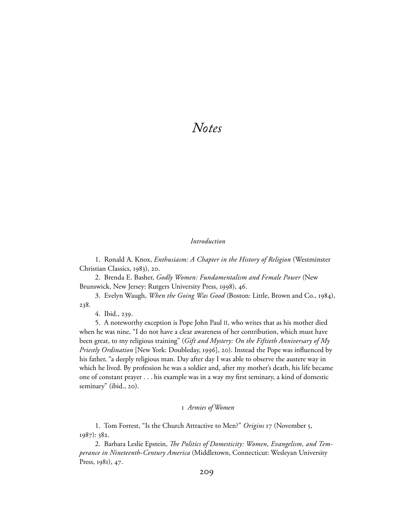# *Notes*

## *Introduction*

 1. Ronald A. Knox, *Enthusiasm: A Chapter in the History of Religion* (Westminster Christian Classics, 1983), 20.

 2. Brenda E. Basher, *Godly Women: Fundamentalism and Female Power* (New Brunswick, New Jersey: Rutgers University Press, 998), 46.

 3. Evelyn Waugh, *When the Going Was Good* (Boston: Little, Brown and Co., 984), 238.

4. Ibid., 239.

 5. A noteworthy exception is Pope John Paul II, who writes that as his mother died when he was nine, "I do not have a clear awareness of her contribution, which must have been great, to my religious training" (*Gift and Mystery: On the Fiftieth Anniversary of My Priestly Ordination* [New York: Doubleday, 996], 20). Instead the Pope was influenced by his father, "a deeply religious man. Day after day I was able to observe the austere way in which he lived. By profession he was a soldier and, after my mother's death, his life became one of constant prayer . . . his example was in a way my first seminary, a kind of domestic seminary" (ibid., 20).

#### *Armies of Women*

1. Tom Forrest, "Is the Church Attractive to Men?" *Origins* 17 (November 5, 987): 382.

2. Barbara Leslie Epstein, *The Politics of Domesticity: Women, Evangelism, and Temperance in Nineteenth-Century America* (Middletown, Connecticut: Wesleyan University Press, 1981), 47.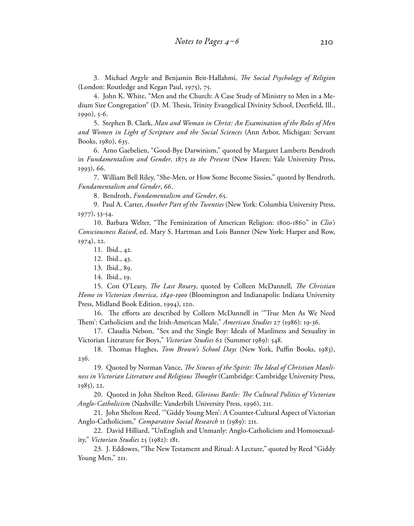3. Michael Argyle and Benjamin Beit-Hallahmi, *The Social Psychology of Religion* (London: Routledge and Kegan Paul, 1975), 75.

 4. John K. White, "Men and the Church: A Case Study of Ministry to Men in a Medium Size Congregation" (D. M. Thesis, Trinity Evangelical Divinity School, Deerfield, Ill., 990), 5-6.

 5. Stephen B. Clark, *Man and Woman in Christ: An Examination of the Roles of Men and Women in Light of Scripture and the Social Sciences* (Ann Arbor, Michigan: Servant Books, 1980), 635.

 6. Arno Gaebelien, "Good-Bye Darwinism," quoted by Margaret Lamberts Bendroth in *Fundamentalism and Gender,* 875 *to the Present* (New Haven: Yale University Press, 993), 66.

 7. William Bell Riley, "She-Men, or How Some Become Sissies," quoted by Bendroth, *Fundamentalism and Gender*, 66.

8. Bendroth, *Fundamentalism and Gender*, 65.

 9. Paul A. Carter, *Another Part of the Twenties* (New York: Columbia University Press, 977), 53-54.

 10. Barbara Welter, "The Feminization of American Religion: 800-860" in *Clio's Consciousness Raised*, ed. Mary S. Hartman and Lois Banner (New York: Harper and Row, 974), 22.

11. Ibid., 42.

12. Ibid., 43.

13. Ibid., 89.

14. Ibid., 19.

 15. Con O'Leary, *The Last Rosary*, quoted by Colleen McDannell, *The Christian Home in Victorian America, 1840-1900* (Bloomington and Indianapolis: Indiana University Press, Midland Book Edition, 1994), 120.

 16. The efforts are described by Colleen McDannell in '"True Men As We Need Them': Catholicism and the Irish-American Male," *American Studies* 27 (1986): 19-36.

 17. Claudia Nelson, "Sex and the Single Boy: Ideals of Manliness and Sexuality in Victorian Literature for Boys," Victorian Studies 62 (Summer 1989): 548.

18. Thomas Hughes, *Tom Brown's School Days* (New York, Puffin Books, 1983), 236.

 19. Quoted by Norman Vance, *The Sinews of the Spirit: The Ideal of Christian Manliness in Victorian Literature and Religious Thought* (Cambridge: Cambridge University Press, 985), 22.

 20. Quoted in John Shelton Reed, *Glorious Battle: The Cultural Politics of Victorian*  Anglo-Catholicism (Nashville: Vanderbilt University Press, 1996), 211.

 21. John Shelton Reed, '"Giddy Young Men': A Counter-Cultural Aspect of Victorian Anglo-Catholicism," *Comparative Social Research* II (1989): 211.

 22. David Hilliard, "UnEnglish and Unmanly: Anglo-Catholicism and Homosexuality," *Victorian Studies* 25 (1982): 181.

 23. J. Eddowes, "The New Testament and Ritual: A Lecture," quoted by Reed "Giddy Young Men," 211.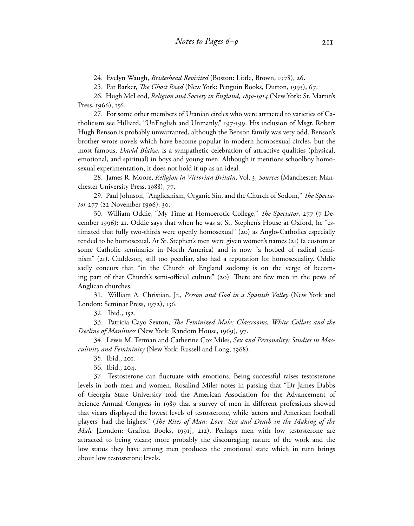24. Evelyn Waugh, *Brideshead Revisited* (Boston: Little, Brown, 978), 26.

25. Pat Barker, *The Ghost Road* (New York: Penguin Books, Dutton, 995), 67.

 26. Hugh McLeod, *Religion and Society in England, 1850-1914* (New York: St. Martin's Press, 1966), 156.

 27. For some other members of Uranian circles who were attracted to varieties of Catholicism see Hilliard, "UnEnglish and Unmanly," 97-99. His inclusion of Msgr. Robert Hugh Benson is probably unwarranted, although the Benson family was very odd. Benson's brother wrote novels which have become popular in modern homosexual circles, but the most famous, *David Blaize*, is a sympathetic celebration of attractive qualities (physical, emotional, and spiritual) in boys and young men. Although it mentions schoolboy homosexual experimentation, it does not hold it up as an ideal.

 28. James R. Moore, *Religion in Victorian Britain*, Vol. 3, *Sources* (Manchester: Manchester University Press, 1988), 77.

 29. Paul Johnson, "Anglicanism, Organic Sin, and the Church of Sodom," *The Spectator* 277 (22 November 1996): 30.

 30. William Oddie, "My Time at Homoerotic College," *The Spectator*, 277 (7 December 1996): 21. Oddie says that when he was at St. Stephen's House at Oxford, he "estimated that fully two-thirds were openly homosexual" (20) as Anglo-Catholics especially tended to be homosexual. At St. Stephen's men were given women's names (21) (a custom at some Catholic seminaries in North America) and is now "a hotbed of radical feminism" (2). Cuddeson, still too peculiar, also had a reputation for homosexuality. Oddie sadly concurs that "in the Church of England sodomy is on the verge of becoming part of that Church's semi-official culture" (20). There are few men in the pews of Anglican churches.

 31. William A. Christian, Jr., *Person and God in a Spanish Valley* (New York and London: Seminar Press, 1972), 136.

32. Ibid., 52.

 33. Patricia Cayo Sexton, *The Feminized Male: Classrooms, White Collars and the Decline of Manliness* (New York: Random House, 1969), 97.

 34. Lewis M. Terman and Catherine Cox Miles, *Sex and Personality: Studies in Masculinity and Femininity* (New York: Russell and Long, 1968).

35. Ibid., 201.

36. Ibid., 204.

 37. Testosterone can fluctuate with emotions. Being successful raises testosterone levels in both men and women. Rosalind Miles notes in passing that "Dr James Dabbs of Georgia State University told the American Association for the Advancement of Science Annual Congress in 989 that a survey of men in different professions showed that vicars displayed the lowest levels of testosterone, while 'actors and American football players' had the highest" (*The Rites of Man: Love, Sex and Death in the Making of the Male* [London: Grafton Books, 1991], 212). Perhaps men with low testosterone are attracted to being vicars; more probably the discouraging nature of the work and the low status they have among men produces the emotional state which in turn brings about low testosterone levels.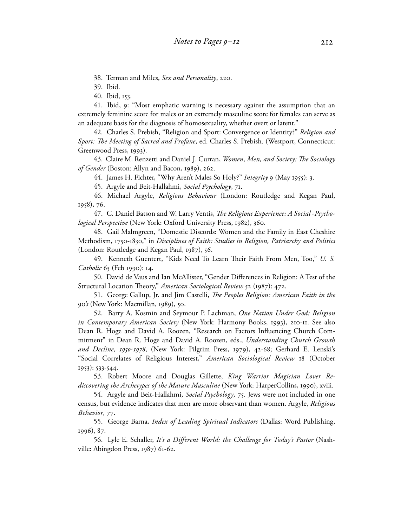38. Terman and Miles, *Sex and Personality*, 220.

39. Ibid.

40. Ibid, 53.

 41. Ibid, 9: "Most emphatic warning is necessary against the assumption that an extremely feminine score for males or an extremely masculine score for females can serve as an adequate basis for the diagnosis of homosexuality, whether overt or latent."

 42. Charles S. Prebish, "Religion and Sport: Convergence or Identity?" *Religion and Sport: The Meeting of Sacred and Profane*, ed. Charles S. Prebish. (Westport, Connecticut: Greenwood Press, 1993).

 43. Claire M. Renzetti and Daniel J. Curran, *Women, Men, and Society: The Sociology*  of Gender (Boston: Allyn and Bacon, 1989), 262.

44. James H. Fichter, "Why Aren't Males So Holy?" *Integrity* 9 (May 1955): 3.

45. Argyle and Beit-Hallahmi, *Social Psychology*, 7.

 46. Michael Argyle, *Religious Behaviour* (London: Routledge and Kegan Paul, 958), 76.

 47. C. Daniel Batson and W. Larry Ventis, *The Religious Experience: A Social -Psycho*logical Perspective (New York: Oxford University Press, 1982), 360.

 48. Gail Malmgreen, "Domestic Discords: Women and the Family in East Cheshire Methodism, 750-830," in *Disciplines of Faith: Studies in Religion, Patriarchy and Politics* (London: Routledge and Kegan Paul, 1987), 56.

 49. Kenneth Guentert, "Kids Need To Learn Their Faith From Men, Too," *U. S. Catholic* 65 (Feb 1990): 14.

 50. David de Vaus and Ian McAllister, "Gender Differences in Religion: A Test of the Structural Location Theory," American Sociological Review 52 (1987): 472.

 51. George Gallup, Jr. and Jim Castelli, *The Peoples Religion: American Faith in the*  90*'s* (New York: Macmillan, 989), 50.

 52. Barry A. Kosmin and Seymour P. Lachman, *One Nation Under God: Religion in Contemporary American Society* (New York: Harmony Books, 1993), 210-11. See also Dean R. Hoge and David A. Roozen, "Research on Factors Influencing Church Commitment" in Dean R. Hoge and David A. Roozen, eds., *Understanding Church Growth and Decline, 1950-1978*, (New York: Pilgrim Press, 979), 42-68; Gerhard E. Lenski's "Social Correlates of Religious Interest," *American Sociological Review* 8 (October 953): 533-544.

 53. Robert Moore and Douglas Gillette, *King Warrior Magician Lover Rediscovering the Archetypes of the Mature Masculine* (New York: HarperCollins, 990), xviii.

 54. Argyle and Beit-Hallahmi, *Social Psychology*, 75. Jews were not included in one census, but evidence indicates that men are more observant than women. Argyle, *Religious Behavior*, 77.

 55. George Barna, *Index of Leading Spiritual Indicators* (Dallas: Word Publishing, 996), 87.

 56. Lyle E. Schaller, *It's a Different World: the Challenge for Today's Pastor* (Nashville: Abingdon Press,  $1987$ ) 61-62.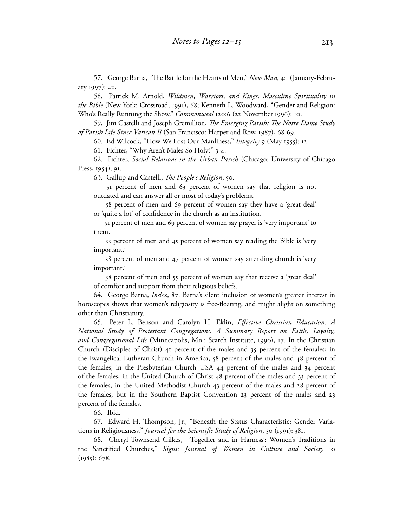57. George Barna, "The Battle for the Hearts of Men," *New Man*, 4:1 (January-February 1997): 42.

 58. Patrick M. Arnold, *Wildmen, Warriors, and Kings: Masculine Spirituality in the Bible* (New York: Crossroad, 1991), 68; Kenneth L. Woodward, "Gender and Religion: Who's Really Running the Show," *Commonweal* 120:6 (22 November 1996): 10.

 59. Jim Castelli and Joseph Gremillion, *The Emerging Parish: The Notre Dame Study*  of Parish Life Since Vatican II (San Francisco: Harper and Row, 1987), 68-69.

60. Ed Wilcock, "How We Lost Our Manliness," *Integrity* 9 (May 955): 2.

61. Fichter, "Why Aren't Males So Holy?" 3-4.

 62. Fichter, *Social Relations in the Urban Parish* (Chicago: University of Chicago Press,  $1954$ ,  $91$ .

63. Gallup and Castelli, *The People's Religion*, 50.

51 percent of men and 63 percent of women say that religion is not outdated and can answer all or most of today's problems.

 58 percent of men and 69 percent of women say they have a 'great deal' or 'quite a lot' of confidence in the church as an institution.

 5 percent of men and 69 percent of women say prayer is 'very important' to them.

 33 percent of men and 45 percent of women say reading the Bible is 'very important.'

 38 percent of men and 47 percent of women say attending church is 'very important.'

 38 percent of men and 55 percent of women say that receive a 'great deal' of comfort and support from their religious beliefs.

 64. George Barna, *Index*, 87. Barna's silent inclusion of women's greater interest in horoscopes shows that women's religiosity is free-floating, and might alight on something other than Christianity.

 65. Peter L. Benson and Carolyn H. Eklin, *Effective Christian Education: A National Study of Protestant Congregations. A Summary Report on Faith, Loyalty,*  and Congregational Life (Minneapolis, Mn.: Search Institute, 1990), 17. In the Christian Church (Disciples of Christ) 41 percent of the males and 35 percent of the females; in the Evangelical Lutheran Church in America, 58 percent of the males and 48 percent of the females, in the Presbyterian Church USA 44 percent of the males and 34 percent of the females, in the United Church of Christ 48 percent of the males and 33 percent of the females, in the United Methodist Church 43 percent of the males and 28 percent of the females, but in the Southern Baptist Convention 23 percent of the males and 23 percent of the females.

66. Ibid.

 67. Edward H. Thompson, Jr., "Beneath the Status Characteristic: Gender Variations in Religiousness," *Journal for the Scientific Study of Religion*, 30 (1991): 381.

 68. Cheryl Townsend Gilkes, '"Together and in Harness': Women's Traditions in the Sanctified Churches," Signs: Journal of Women in Culture and Society 10  $(1985): 678.$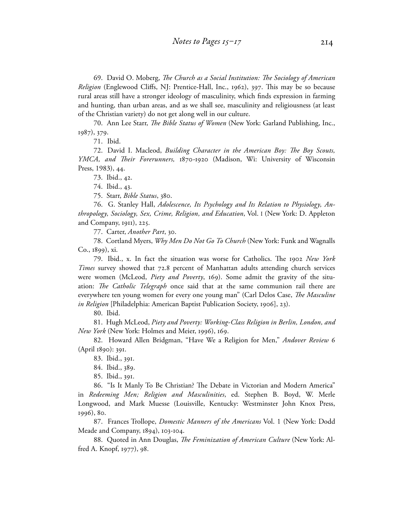69. David O. Moberg, *The Church as a Social Institution: The Sociology of American Religion* (Englewood Cliffs, NJ: Prentice-Hall, Inc., 962), 397. This may be so because rural areas still have a stronger ideology of masculinity, which finds expression in farming and hunting, than urban areas, and as we shall see, masculinity and religiousness (at least of the Christian variety) do not get along well in our culture.

 70. Ann Lee Starr, *The Bible Status of Women* (New York: Garland Publishing, Inc., 987), 379.

71. Ibid.

 72. David I. Macleod, *Building Character in the American Boy: The Boy Scouts, YMCA, and Their Forerunners,* 870*-*920 (Madison, Wi: University of Wisconsin Press, 1983), 44.

73. Ibid., 42.

74. Ibid., 43.

75. Starr, *Bible Status*, 380.

 76. G. Stanley Hall, *Adolescence, Its Psychology and Its Relation to Physiology, Anthropology, Sociology, Sex, Crime, Religion, and Education*, Vol. I (New York: D. Appleton and Company,  $1911$ ,  $225$ .

77. Carter, *Another Part*, 30.

 78. Cortland Myers, *Why Men Do Not Go To Church* (New York: Funk and Wagnalls Co., 1899), xi.

 79. Ibid., x. In fact the situation was worse for Catholics. The 902 *New York Times* survey showed that 72.8 percent of Manhattan adults attending church services were women (McLeod, *Piety and Poverty*, 69). Some admit the gravity of the situation: *The Catholic Telegraph* once said that at the same communion rail there are everywhere ten young women for every one young man" (Carl Delos Case, *The Masculine in Religion* [Philadelphia: American Baptist Publication Society, 1906], 23).

80. Ibid.

 81. Hugh McLeod, *Piety and Poverty: Working-Class Religion in Berlin, London, and New York* (New York: Holmes and Meier, 1996), 169.

 82. Howard Allen Bridgman, "Have We a Religion for Men," *Andover Review* 6 (April 1890): 391.

83. Ibid., 39.

84. Ibid., 389.

85. Ibid., 39.

 86. "Is It Manly To Be Christian? The Debate in Victorian and Modern America" in *Redeeming Men; Religion and Masculinities*, ed. Stephen B. Boyd, W. Merle Longwood, and Mark Muesse (Louisville, Kentucky: Westminster John Knox Press, 996), 80.

 87. Frances Trollope, *Domestic Manners of the Americans* Vol. 1 (New York: Dodd Meade and Company,  $1894$ ),  $103-104$ .

 88. Quoted in Ann Douglas, *The Feminization of American Culture* (New York: Alfred A. Knopf, 1977), 98.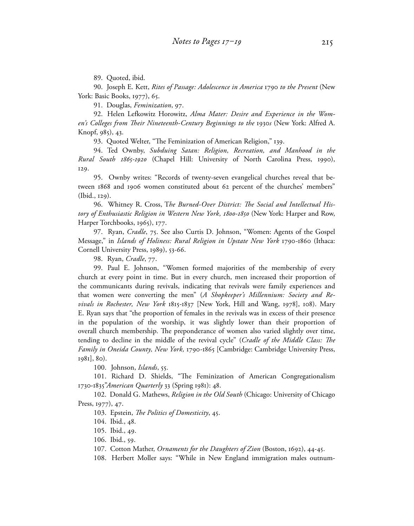89. Quoted, ibid.

 90. Joseph E. Kett, *Rites of Passage: Adolescence in America* 790 *to the Present* (New York: Basic Books, 1977), 65.

91. Douglas, *Feminization*, 97.

 92. Helen Lefkowitz Horowitz, *Alma Mater: Desire and Experience in the Women's Colleges from Their Nineteenth-Century Beginnings to the* 1930s (New York: Alfred A. Knopf, 985), 43.

93. Quoted Welter, "The Feminization of American Religion," 139.

 94. Ted Ownby, *Subduing Satan: Religion, Recreation, and Manhood in the Rural South 1865-1920* (Chapel Hill: University of North Carolina Press, 990), 129.

 95. Ownby writes: "Records of twenty-seven evangelical churches reveal that between 1868 and 1906 women constituted about 62 percent of the churches' members"  $(Ibid., I29).$ 

 96. Whitney R. Cross, T*he Burned-Over District: The Social and Intellectual History of Enthusiastic Religion in Western New York, 1800-1850* (New York: Harper and Row, Harper Torchbooks, 1965), 177.

 97. Ryan, *Cradle*, 75. See also Curtis D. Johnson, "Women: Agents of the Gospel Message," in *Islands of Holiness: Rural Religion in Upstate New York* 1790-1860 (Ithaca: Cornell University Press, 1989), 53-66.

98. Ryan, *Cradle*, 77.

 99. Paul E. Johnson, "Women formed majorities of the membership of every church at every point in time. But in every church, men increased their proportion of the communicants during revivals, indicating that revivals were family experiences and that women were converting the men" (*A Shopkeeper's Millennium: Society and Revivals in Rochester, New York* 85*-*837 [New York, Hill and Wang, 978], 08). Mary E. Ryan says that "the proportion of females in the revivals was in excess of their presence in the population of the worship, it was slightly lower than their proportion of overall church membership. The preponderance of women also varied slightly over time, tending to decline in the middle of the revival cycle" (*Cradle of the Middle Class: The Family in Oneida County, New York,* 790*-*865 [Cambridge: Cambridge University Press, 1981], 80).

100. Johnson, *Islands*, 55.

 101. Richard D. Shields, "The Feminization of American Congregationalism 1730-1835" American Quarterly 33 (Spring 1981): 48.

 102. Donald G. Mathews, *Religion in the Old South* (Chicago: University of Chicago Press, 1977), 47.

103. Epstein, *The Politics of Domesticity*, 45.

104. Ibid., 48.

105. Ibid., 49.

106. Ibid., 59.

107. Cotton Mather, *Ornaments for the Daughters of Zion* (Boston, 692), 44-45.

108. Herbert Moller says: "While in New England immigration males outnum-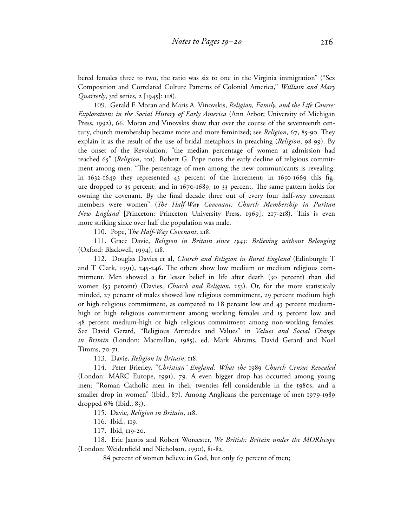bered females three to two, the ratio was six to one in the Virginia immigration" ("Sex Composition and Correlated Culture Patterns of Colonial America," *William and Mary Quarterly*, 3rd series, 2 [1945]: 118).

 109. Gerald F. Moran and Maris A. Vinovskis, *Religion, Family, and the Life Course: Explorations in the Social History of Early America* (Ann Arbor; University of Michigan Press, 992), 66. Moran and Vinovskis show that over the course of the seventeenth century, church membership became more and more feminized; see *Religion*, 67, 85-90. They explain it as the result of the use of bridal metaphors in preaching (*Religion*, 98-99). By the onset of the Revolution, "the median percentage of women at admission had reached 65" (*Religion*, 101). Robert G. Pope notes the early decline of religious commitment among men: "The percentage of men among the new communicants is revealing: in  $1632-1649$  they represented 43 percent of the increment; in  $1650-1669$  this figure dropped to 35 percent; and in 670-689, to 33 percent. The same pattern holds for owning the covenant. By the final decade three out of every four half-way covenant members were women" (*The Half-Way Covenant: Church Membership in Puritan New England* [Princeton: Princeton University Press, 969], 27-28). This is even more striking since over half the population was male.

110. Pope, T*he Half-Way Covenant*, 28.

 111. Grace Davie, *Religion in Britain since 1945: Believing without Belonging*   $(Oxford: Blackwell, 1994)$ , 118.

 112. Douglas Davies et al, *Church and Religion in Rural England* (Edinburgh: T and T Clark, 1991),  $245-246$ . The others show low medium or medium religious commitment. Men showed a far lesser belief in life after death (30 percent) than did women (53 percent) (Davies, *Church and Religion*, 253). Or, for the more statisticaly minded, 27 percent of males showed low religious commitment, 29 percent medium high or high religious commitment, as compared to 18 percent low and 43 percent mediumhigh or high religious commitment among working females and 15 percent low and 48 percent medium-high or high religious commitment among non-working females. See David Gerard, "Religious Attitudes and Values" in *Values and Social Change in Britain* (London: Macmillan, 985), ed. Mark Abrams, David Gerard and Noel Timms, 70-7.

113. Davie, *Religion in Britain*, 118.

 114. Peter Brierley, "*Christian" England: What the* 989 *Church Census Revealed* (London: MARC Europe, 99), 79. A even bigger drop has occurred among young men: "Roman Catholic men in their twenties fell considerable in the 980s, and a smaller drop in women" (Ibid.,  $87$ ). Among Anglicans the percentage of men 1979-1989 dropped 6% (Ibid., 85).

115. Davie, *Religion in Britain*, 118.

116. Ibid., 119.

117. Ibid, 119-20.

 118. Eric Jacobs and Robert Worcester, *We British: Britain under the MORIscope* (London: Weidenfield and Nicholson, 1990), 81-82.

84 percent of women believe in God, but only 67 percent of men;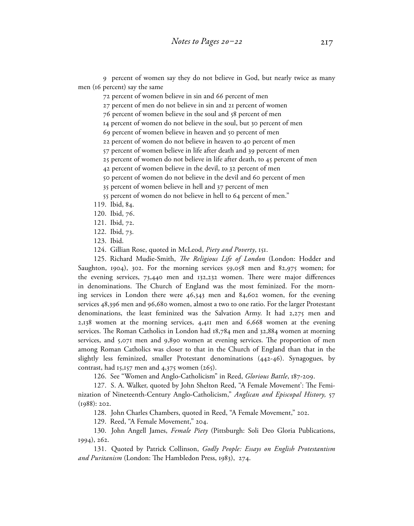9 percent of women say they do not believe in God, but nearly twice as many men (6 percent) say the same

72 percent of women believe in sin and 66 percent of men

27 percent of men do not believe in sin and 21 percent of women

76 percent of women believe in the soul and 58 percent of men

4 percent of women do not believe in the soul, but 30 percent of men

69 percent of women believe in heaven and 50 percent of men

22 percent of women do not believe in heaven to 40 percent of men

57 percent of women believe in life after death and 39 percent of men

25 percent of women do not believe in life after death, to 45 percent of men

42 percent of women believe in the devil, to 32 percent of men

50 percent of women do not believe in the devil and 60 percent of men

35 percent of women believe in hell and 37 percent of men

55 percent of women do not believe in hell to 64 percent of men."

119. Ibid, 84.

120. Ibid, 76.

121. Ibid, 72.

122. Ibid, 73.

123. Ibid.

124. Gillian Rose, quoted in McLeod, Piety and Poverty, 151.

 125. Richard Mudie-Smith, *The Religious Life of London* (London: Hodder and Saughton, 904), 302. For the morning services 59,058 men and 82,975 women; for the evening services, 73,440 men and 32,232 women. There were major differences in denominations. The Church of England was the most feminized. For the morning services in London there were 46,343 men and 84,602 women, for the evening services 48,396 men and 96,680 women, almost a two to one ratio. For the larger Protestant denominations, the least feminized was the Salvation Army. It had 2,275 men and 2,138 women at the morning services,  $4,4$ II men and  $6,668$  women at the evening services. The Roman Catholics in London had 8,784 men and 32,884 women at morning services, and 5,071 men and 9,890 women at evening services. The proportion of men among Roman Catholics was closer to that in the Church of England than that in the slightly less feminized, smaller Protestant denominations (442-46). Synagogues, by contrast, had  $15,157$  men and  $4,375$  women  $(265)$ .

126. See "Women and Anglo-Catholicism" in Reed, *Glorious Battle*, 87-209.

 127. S. A. Walker, quoted by John Shelton Reed, "A Female Movement': The Feminization of Nineteenth-Century Anglo-Catholicism," *Anglican and Episcopal History,* 57  $(1988): 202.$ 

128. John Charles Chambers, quoted in Reed, "A Female Movement," 202.

129. Reed, "A Female Movement," 204.

 130. John Angell James, *Female Piety* (Pittsburgh: Soli Deo Gloria Publications, 994), 262.

 131. Quoted by Patrick Collinson, *Godly People: Essays on English Protestantism*  and Puritanism (London: The Hambledon Press, 1983), 274.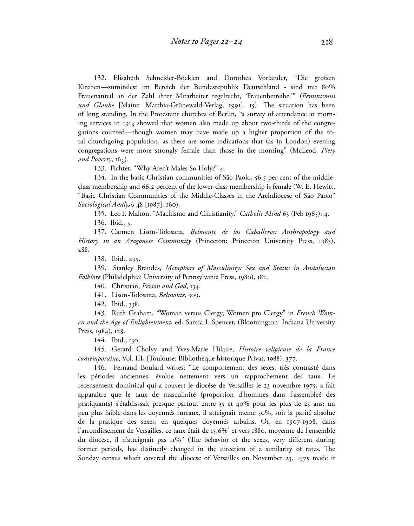132. Elisabeth Schneider-Böcklen and Dorothea Vorländer, "Die grofsen Kirchen—zumindest im Bereich der Bundesrepublik Deutschland - sind mit 80% Frauenanteil an der Zahl ihrer Mitarbeiter regelrecht, 'Frauenbetreibe.'" (*Feminismus*  und Glaube [Mainz: Matthia-Grünewald-Verlag, 1991], 15). The situation has been of long standing. In the Protestant churches of Berlin, "a survey of attendance at morning services in 1913 showed that women also made up about two-thirds of the congregations counted—though women may have made up a higher proportion of the total churchgoing population, as there are some indications that (as in London) evening congregations were more strongly female than those in the morning" (McLeod, *Piety*  and Poverty,  $16<sub>3</sub>$ ).

133. Fichter, "Why Aren't Males So Holy?" 4.

 134. In the basic Christian communities of São Paolo, 56.5 per cent of the middleclass membership and 66.2 percent of the lower-class membership is female (W. E. Hewitt, "Basic Christian Communities of the Middle-Classes in the Archdiocese of São Paolo" *Sociological Analysis* 48 [1987]: 160).

135. LeoT. Mahon, "Machismo and Christianity," *Catholic Mind* 63 (Feb 1965): 4. 136. Ibid., 5.

 137. Carmen Lison-Tolosana, *Belmonte de los Caballeros: Anthropology and History in an Aragonese Community* (Princeton: Princeton University Press, 983), 288.

138. Ibid., 295.

 139. Stanley Brandes, *Metaphors of Masculinity: Sex and Status in Andalusian Folklore* (Philadelphia: University of Pennsylvania Press, 1980), 182.

140. Christian, *Person and God*, 134.

141. Lison-Tolosana, *Belmonte*, 309.

142. Ibid., 338.

 143. Ruth Graham, "Woman versus Clergy, Women pro Clergy" in *French Women and the Age of Enlightenment*, ed. Samia I. Spencer, (Bloomington: Indiana University Press,  $1984$ ),  $128$ .

144. Ibid., 130.

 145. Gerard Cholvy and Yves-Marie Hilaire, *Histoire religieuse de la France contemporaine*, Vol. III, (Toulouse: Bibliothèque historique Privat, 1988), 377.

 146. Fernand Boulard writes: "Le comportement des sexes, très contrasté dans les périodes anciennes, évolue nettement vers un rapprochement des taux. Le recensement dominical qui a couvert le diocèse de Versailles le 23 novembre 1975, a fait apparaître que le taux de masculinité (proportion d'hommes dans l'assembleé des pratiquants) s'établisssait presque partout entre 35 et 40% pour les plus de 25 ans; un peu plus faible dans les doyennés rureaux, il atteignait meme 50%, soit la parité absolue de la pratique des sexes, en quelques doyennés urbains. Or, en 907-908, dans l'arrondissement de Versailles, ce taux était de 15.6%' et vers 1880, moyenne de l'ensemble du diocese, il n'atteignait pas  $11\%$ " (The behavior of the sexes, very different during former periods, has distinctly changed in the direction of a similarity of rates. The Sunday census which covered the diocese of Versailles on November 23, 1975 made it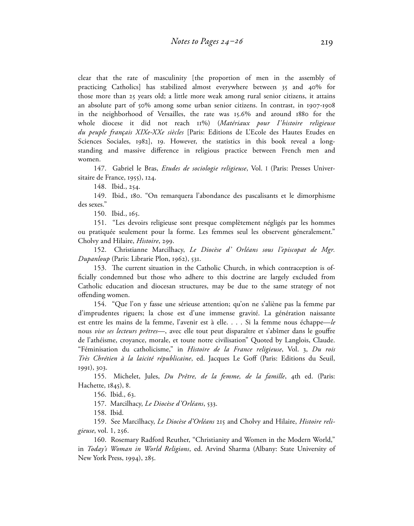clear that the rate of masculinity [the proportion of men in the assembly of practicing Catholics] has stabilized almost everywhere between 35 and 40% for those more than 25 years old; a little more weak among rural senior citizens, it attains an absolute part of 50% among some urban senior citizens. In contrast, in 907-908 in the neighborhood of Versailles, the rate was 5.6% and around 880 for the whole diocese it did not reach  $11\%$ ) (*Matériaux pour I' histoire religieuse du peuple français XIXe-XXe siècles* [Paris: Editions de L'Ecole des Hautes Etudes en Sciences Sociales, 1982], 19. However, the statistics in this book reveal a longstanding and massive difference in religious practice between French men and women.

 147. Gabriel le Bras, *Etudes de sociologie religieuse*, Vol. I (Paris: Presses Universitaire de France, 1955), 124.

148. Ibid., 254.

 149. Ibid., 80. "On remarquera l'abondance des pascalisants et le dimorphisme des sexes."

150. Ibid., 165.

 151. "Les devoirs religieuse sont presque complètement négligés par les hommes ou pratiquée seulement pour la forme. Les femmes seul les observent géneralement." Cholvy and Hilaire, *Histoire*, 299.

 152. Christianne Marcilhacy, *Le Diocèse d' Orléans sous l'episcopat de Mgr. Dupanloup* (Paris: Librarie Plon, 1962), 531.

 153. The current situation in the Catholic Church, in which contraception is officially condemned but those who adhere to this doctrine are largely excluded from Catholic education and diocesan structures, may be due to the same strategy of not offending women.

 154. "Que l'on y fasse une sérieuse attention; qu'on ne s'aliène pas la femme par d'imprudentes riguers; la chose est d'une immense gravité. La génération naissante est entre les mains de la femme, l'avenir est à elle. . . . Si la femme nous échappe—*le*  nous *vise ses lecteurs prêtres*—, avec elle tout peut disparaître et s'abîmer dans le gouffre de l'athéisme, croyance, morale, et toute notre civilisation" Quoted by Langlois, Claude. "Féminisation du catholicisme," in *Histoire de la France religieuse*, Vol. 3, *Du rois Très Chrétien à la laicité républicaine*, ed. Jacques Le Goff (Paris: Editions du Seuil, 99), 303.

 155. Michelet, Jules, *Du Prêtre, de la femme, de la famille*, 4th ed. (Paris: Hachette, 1845), 8.

156. Ibid., 63.

157. Marcilhacy, *Le Diocèse d'Orléans*, 533.

158. Ibid.

 159. See Marcilhacy, *Le Diocèse d'Orléans* 25 and Cholvy and Hilaire, *Histoire religieuse*, vol. 1, 256.

 160. Rosemary Radford Reuther, "Christianity and Women in the Modern World," in *Today's Woman in World Religions*, ed. Arvind Sharma (Albany: State University of New York Press, 1994), 285.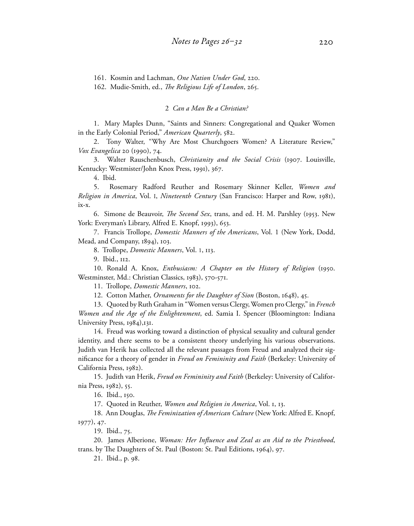161. Kosmin and Lachman, *One Nation Under God*, 220.

162. Mudie-Smith, ed., *The Religious Life of London*, 265.

2 *Can a Man Be a Christian?*

 1. Mary Maples Dunn, "Saints and Sinners: Congregational and Quaker Women in the Early Colonial Period," *American Quarterly*, 582.

 2. Tony Walter, "Why Are Most Churchgoers Women? A Literature Review," *Vox Evangelica* 20 (1990), 74.

 3. Walter Rauschenbusch, *Christianity and the Social Crisis* (907. Louisville, Kentucky: Westmister/John Knox Press, 1991), 367.

4. Ibid.

 5. Rosemary Radford Reuther and Rosemary Skinner Keller, *Women and Religion in America*, Vol. I, *Nineteenth Century* (San Francisco: Harper and Row, 1981), ix-x.

 6. Simone de Beauvoir, *The Second Sex*, trans, and ed. H. M. Parshley (953. New York: Everyman's Library, Alfred E. Knopf, 1993), 653.

 7. Francis Trollope, *Domestic Manners of the Americans*, Vol. 1 (New York, Dodd, Mead, and Company, 1894), 103.

8. Trollope, *Domestic Manners*, Vol. 1, 113.

9. Ibid., 112.

10. Ronald A. Knox, *Enthusiasm: A Chapter on the History of Religion* (1950. Westminster, Md.: Christian Classics, 1983), 570-571.

11. Trollope, *Domestic Manners*, 102.

12. Cotton Mather, *Ornaments for the Daughter of Sion* (Boston, 1648), 45.

 13. Quoted by Ruth Graham in "Women versus Clergy, Women pro Clergy," in *French Women and the Age of the Enlightenment*, ed. Samia I. Spencer (Bloomington: Indiana University Press, 1984), 131.

 14. Freud was working toward a distinction of physical sexuality and cultural gender identity, and there seems to be a consistent theory underlying his various observations. Judith van Herik has collected all the relevant passages from Freud and analyzed their significance for a theory of gender in *Freud on Femininity and Faith* (Berkeley: University of California Press, 1982).

 15. Judith van Herik, *Freud on Femininity and Faith* (Berkeley: University of California Press, 1982), 55.

16. Ibid., 50.

17. Quoted in Reuther, *Women and Religion in America*, Vol. 1, 13.

 18. Ann Douglas, *The Feminization of American Culture* (New York: Alfred E. Knopf, 977), 47.

19. Ibid., 75.

 20. James Alberione, *Woman: Her Influence and Zeal as an Aid to the Priesthood*, trans. by The Daughters of St. Paul (Boston: St. Paul Editions, 1964), 97.

21. Ibid., p. 98.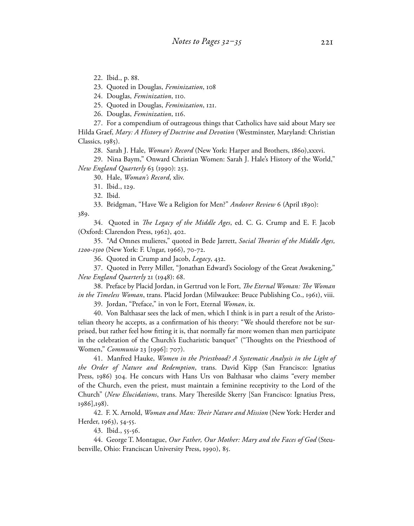22. Ibid., p. 88.

23. Quoted in Douglas, *Feminization*, 108

24. Douglas, Feminization, 110.

25. Quoted in Douglas, *Feminization*, 121.

26. Douglas, *Feminization*, 116.

 27. For a compendium of outrageous things that Catholics have said about Mary see Hilda Graef, *Mary: A History of Doctrine and Devotion* (Westminster, Maryland: Christian Classics,  $1985$ ).

28. Sarah J. Hale, *Woman's Record* (New York: Harper and Brothers, 86o),xxxvi.

 29. Nina Baym," Onward Christian Women: Sarah J. Hale's History of the World," *New England Quarterly* 63 (1990): 253.

30. Hale, *Woman's Record*, xliv.

31. Ibid., 129.

32. Ibid.

33. Bridgman, "Have We a Religion for Men?" *Andover Review* 6 (April 1890):

389.

 34. Quoted in *The Legacy of the Middle Ages*, ed. C. G. Crump and E. F. Jacob (Oxford: Clarendon Press, 1962), 402.

 35. "Ad Omnes mulieres," quoted in Bede Jarrett, *Social Theories of the Middle Ages, 1200-1500* (New York: F. Ungar, 966), 70-72.

36. Quoted in Crump and Jacob, *Legacy*, 432.

 37. Quoted in Perry Miller, "Jonathan Edward's Sociology of the Great Awakening," *New England Quarterly* 21 (1948): 68.

 38. Preface by Placid Jordan, in Gertrud von le Fort, *The Eternal Woman: The Woman in the Timeless Woman*, trans. Placid Jordan (Milwaukee: Bruce Publishing Co., 96), viii. 39. Jordan, "Preface," in von le Fort, Eternal *Woman*, ix.

 40. Von Balthasar sees the lack of men, which I think is in part a result of the Aristotelian theory he accepts, as a confirmation of his theory: "We should therefore not be surprised, but rather feel how fitting it is, that normally far more women than men participate in the celebration of the Church's Eucharistic banquet" ("Thoughts on the Priesthood of Women," *Communio* 23 [996]: 707).

 41. Manfred Hauke, *Women in the Priesthood? A Systematic Analysis in the Light of the Order of Nature and Redemption*, trans. David Kipp (San Francisco: Ignatius Press, 986) 304. He concurs with Hans Urs von Balthasar who claims "every member of the Church, even the priest, must maintain a feminine receptivity to the Lord of the Church" (*New Elucidations*, trans. Mary Theresilde Skerry [San Francisco: Ignatius Press, 986],98).

 42. F. X. Arnold, *Woman and Man: Their Nature and Mission* (New York: Herder and Herder, 1963), 54-55.

43. Ibid., 55-56.

 44. George T. Montague, *Our Father, Our Mother: Mary and the Faces of God* (Steubenville, Ohio: Franciscan University Press, 1990), 85.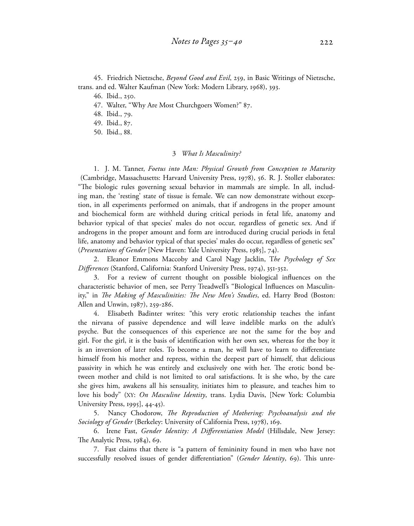45. Friedrich Nietzsche, *Beyond Good and Evil*, 259, in Basic Writings of Nietzsche, trans. and ed. Walter Kaufman (New York: Modern Library, 968), 393.

46. Ibid., 250.

47. Walter, "Why Are Most Churchgoers Women?" 87.

48. Ibid., 79.

49. Ibid., 87.

50. Ibid., 88.

### 3 *What Is Masculinity?*

 1. J. M. Tanner, *Foetus into Man: Physical Growth from Conception to Maturity* (Cambridge, Massachusetts: Harvard University Press, 978), 56. R. J. Stoller elaborates: "The biologic rules governing sexual behavior in mammals are simple. In all, including man, the 'resting' state of tissue is female. We can now demonstrate without exception, in all experiments performed on animals, that if androgens in the proper amount and biochemical form are withheld during critical periods in fetal life, anatomy and behavior typical of that species' males do not occur, regardless of genetic sex. And if androgens in the proper amount and form are introduced during crucial periods in fetal life, anatomy and behavior typical of that species' males do occur, regardless of genetic sex" (*Presentations of Gender* [New Haven: Yale University Press, 985], 74).

 2. Eleanor Emmons Maccoby and Carol Nagy Jacklin, T*he Psychology of Sex Differences* (Stanford, California: Stanford University Press, 1974), 351-352.

 3. For a review of current thought on possible biological influences on the characteristic behavior of men, see Perry Treadwell's "Biological Influences on Masculinity," in *The Making of Masculinities: The New Men's Studies*, ed. Harry Brod (Boston: Allen and Unwin, 1987), 259-286.

 4. Elisabeth Badinter writes: "this very erotic relationship teaches the infant the nirvana of passive dependence and will leave indelible marks on the adult's psyche. But the consequences of this experience are not the same for the boy and girl. For the girl, it is the basis of identification with her own sex, whereas for the boy it is an inversion of later roles. To become a man, he will have to learn to differentiate himself from his mother and repress, within the deepest part of himself, that delicious passivity in which he was entirely and exclusively one with her. The erotic bond between mother and child is not limited to oral satisfactions. It is she who, by the care she gives him, awakens all his sensuality, initiates him to pleasure, and teaches him to love his body" (XY: *On Masculine Identity*, trans. Lydia Davis, [New York: Columbia University Press,  $1995$ ,  $44-45$ ).

 5. Nancy Chodorow, *The Reproduction of Mothering: Psychoanalysis and the Sociology of Gender* (Berkeley: University of California Press, 1978), 169.

 6. Irene Fast, *Gender Identity: A Differentiation Model* (Hillsdale, New Jersey: The Analytic Press, 1984), 69.

 7. Fast claims that there is "a pattern of femininity found in men who have not successfully resolved issues of gender differentiation" (*Gender Identity*, 69). This unre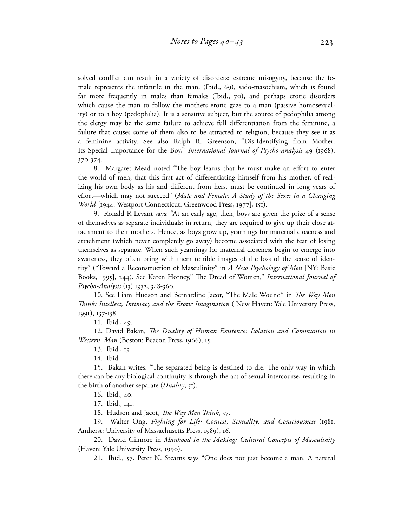solved conflict can result in a variety of disorders: extreme misogyny, because the female represents the infantile in the man, (Ibid., 69), sado-masochism, which is found far more frequently in males than females (Ibid., 70), and perhaps erotic disorders which cause the man to follow the mothers erotic gaze to a man (passive homosexuality) or to a boy (pedophilia). It is a sensitive subject, but the source of pedophilia among the clergy may be the same failure to achieve full differentiation from the feminine, a failure that causes some of them also to be attracted to religion, because they see it as a feminine activity. See also Ralph R. Greenson, "Dis-Identifying from Mother: Its Special Importance for the Boy," *International Journal of Psycho-analysis* 49 (1968): 370-374.

 8. Margaret Mead noted "The boy learns that he must make an effort to enter the world of men, that this first act of differentiating himself from his mother, of realizing his own body as his and different from hers, must be continued in long years of effort—which may not succeed" (*Male and Female: A Study of the Sexes in a Changing World* [1944. Westport Connecticut: Greenwood Press, 1977], 151).

 9. Ronald R Levant says: "At an early age, then, boys are given the prize of a sense of themselves as separate individuals; in return, they are required to give up their close attachment to their mothers. Hence, as boys grow up, yearnings for maternal closeness and attachment (which never completely go away) become associated with the fear of losing themselves as separate. When such yearnings for maternal closeness begin to emerge into awareness, they often bring with them terrible images of the loss of the sense of identity" ("Toward a Reconstruction of Masculinity" in *A New Psychology of Men* [NY: Basic Books, 995], 244). See Karen Horney," The Dread of Women," *International Journal of Psycho-Analysis* (13) 1932, 348-360.

 10. See Liam Hudson and Bernardine Jacot, "The Male Wound" in *The Way Men Think: Intellect, Intimacy and the Erotic Imagination* ( New Haven: Yale University Press, 1991), 137-158.

11. Ibid., 49.

 12. David Bakan, *The Duality of Human Existence: Isolation and Communion in Western Man* (Boston: Beacon Press, 1966), 15.

13. Ibid., 15.

14. Ibid.

 15. Bakan writes: "The separated being is destined to die. The only way in which there can be any biological continuity is through the act of sexual intercourse, resulting in the birth of another separate (*Duality*, 5).

16. Ibid., 40.

17. Ibid., 141.

18. Hudson and Jacot, *The Way Men Think*, 57.

19. Walter Ong, *Fighting for Life: Contest, Sexuality, and Consciousness* (1981. Amherst: University of Massachusetts Press, 1989), 16.

 20. David Gilmore in *Manhood in the Making: Cultural Concepts of Masculinity*  (Haven: Yale University Press, 1990).

21. Ibid., 57. Peter N. Stearns says "One does not just become a man. A natural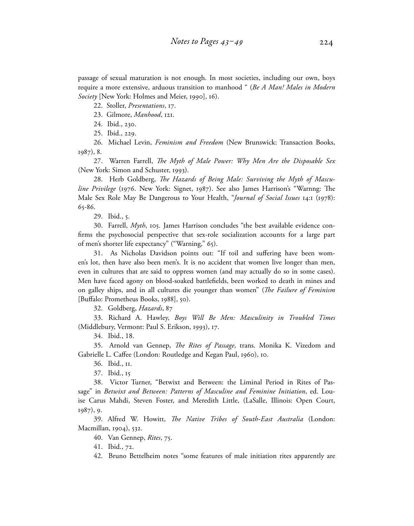passage of sexual maturation is not enough. In most societies, including our own, boys require a more extensive, arduous transition to manhood " (*Be A Man! Males in Modern Society* [New York: Holmes and Meier, 1990], 16).

22. Stoller, *Presentations*, 17.

23. Gilmore, *Manhood*, 121.

24. Ibid., 230.

25. Ibid., 229.

 26. Michael Levin, *Feminism and Freedom* (New Brunswick: Transaction Books, 987), 8.

 27. Warren Farrell, *The Myth of Male Power: Why Men Are the Disposable Sex* (New York: Simon and Schuster, 1993).

 28. Herb Goldberg, *The Hazards of Being Male: Surviving the Myth of Masculine Privilege* (1976. New York: Signet, 1987). See also James Harrison's "Warnng: The Male Sex Role May Be Dangerous to Your Health, "*Journal of Social Issues* 14:1 (1978): 65-86.

29. Ibid., 5.

30. Farrell, *Myth*, 105. James Harrison concludes "the best available evidence confirms the psychosocial perspective that sex-role socialization accounts for a large part of men's shorter life expectancy" ("Warning," 65).

 31. As Nicholas Davidson points out: "If toil and suffering have been women's lot, then have also been men's. It is no accident that women live longer than men, even in cultures that are said to oppress women (and may actually do so in some cases). Men have faced agony on blood-soaked battlefields, been worked to death in mines and on galley ships, and in all cultures die younger than women" (*The Failure of Feminism* [Buffalo: Prometheus Books, 1988], 50).

32. Goldberg, *Hazards*, 87

 33. Richard A. Hawley, *Boys Will Be Men: Masculinity in Troubled Times*  (Middlebury, Vermont: Paul S. Erikson, 1993), 17.

34. Ibid., 18.

 35. Arnold van Gennep, *The Rites of Passage*, trans. Monika K. Vizedom and Gabrielle L. Caffee (London: Routledge and Kegan Paul, 1960), 10.

36. Ibid., II.

37. Ibid., 15

 38. Victor Turner, "Betwixt and Between: the Liminal Period in Rites of Passage" in *Betwixt and Between: Patterns of Masculine and Feminine Initiation*, ed. Louise Carus Mahdi, Steven Foster, and Meredith Little, (LaSalle, Illinois: Open Court, 987), 9.

 39. Alfred W. Howitt, *The Native Tribes of South-East Australia* (London: Macmillan, 1904), 532.

40. Van Gennep, *Rites*, 75.

41. Ibid., 72.

42. Bruno Bettelheim notes "some features of male initiation rites apparently are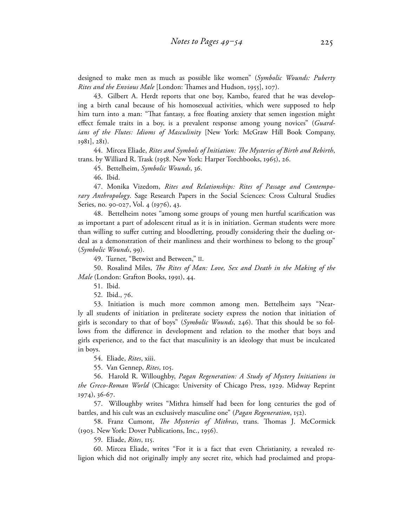designed to make men as much as possible like women" (*Symbolic Wounds: Puberty Rites and the Envious Male* [London: Thames and Hudson, 1955], 107).

 43. Gilbert A. Herdt reports that one boy, Kambo, feared that he was developing a birth canal because of his homosexual activities, which were supposed to help him turn into a man: "That fantasy, a free floating anxiety that semen ingestion might effect female traits in a boy, is a prevalent response among young novices" (*Guardians of the Flutes: Idioms of Masculinity* [New York: McGraw Hill Book Company, 1981], 281).

 44. Mircea Eliade, *Rites and Symbols of Initiation: The Mysteries of Birth and Rebirth*, trans. by Williard R. Trask (958. New York: Harper Torchbooks, 965), 26.

45. Bettelheim, *Symbolic Wounds*, 36.

46. Ibid.

 47. Monika Vizedom, *Rites and Relationships: Rites of Passage and Contemporary Anthropology*. Sage Research Papers in the Social Sciences: Cross Cultural Studies Series, no. 90-027, Vol. 4 (1976), 43.

 48. Bettelheim notes "among some groups of young men hurtful scarification was as important a part of adolescent ritual as it is in initiation. German students were more than willing to suffer cutting and bloodletting, proudly considering their the dueling ordeal as a demonstration of their manliness and their worthiness to belong to the group" (*Symbolic Wounds*, 99).

49. Turner, "Betwixt and Between," II.

 50. Rosalind Miles, *The Rites of Man: Love, Sex and Death in the Making of the Male* (London: Grafton Books, 1991), 44.

51. Ibid.

52. Ibid., 76.

 53. Initiation is much more common among men. Bettelheim says "Nearly all students of initiation in preliterate society express the notion that initiation of girls is secondary to that of boys" (*Symbolic Wounds*, 246). That this should be so follows from the difference in development and relation to the mother that boys and girls experience, and to the fact that masculinity is an ideology that must be inculcated in boys.

54. Eliade, *Rites*, xiii.

55. Van Gennep, Rites, 105.

 56. Harold R. Willoughby, *Pagan Regeneration: A Study of Mystery Initiations in the Greco-Roman World* (Chicago: University of Chicago Press, 929. Midway Reprint 974), 36-67.

 57. Willoughby writes "Mithra himself had been for long centuries the god of battles, and his cult was an exclusively masculine one" (*Pagan Regeneration*, 52).

 58. Franz Cumont, *The Mysteries of Mithras*, trans. Thomas J. McCormick (903. New York: Dover Publications, Inc., 956).

59. Eliade, *Rites*, 115.

 60. Mircea Eliade, writes "For it is a fact that even Christianity, a revealed religion which did not originally imply any secret rite, which had proclaimed and propa-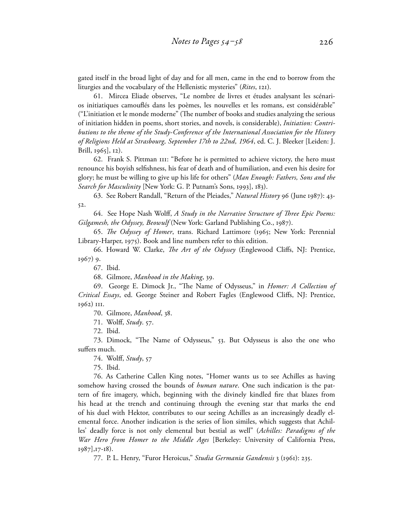gated itself in the broad light of day and for all men, came in the end to borrow from the liturgies and the vocabulary of the Hellenistic mysteries" (*Rites*, 121).

 61. Mircea Eliade observes, "Le nombre de livres et études analysant les scénarios initiatiques camouflés dans les poèmes, les nouvelles et les romans, est considérable" ("L'initiation et le monde moderne" (The number of books and studies analyzing the serious of initiation hidden in poems, short stories, and novels, is considerable), *Initiation: Contributions to the theme of the Study-Conference of the International Association for the History of Religions Held at Strasbourg, September 17th to 22nd, 1964*, ed. C. J. Bleeker [Leiden: J.  $Brill, 1965, 12.$ 

62. Frank S. Pittman III: "Before he is permitted to achieve victory, the hero must renounce his boyish selfishness, his fear of death and of humiliation, and even his desire for glory; he must be willing to give up his life for others" (*Man Enough: Fathers, Sons and the Search for Masculinity* [New York: G. P. Putnam's Sons, 1993], 183).

63. See Robert Randall, "Return of the Pleiades," *Natural History* 96 (June 1987): 43-52.

 64. See Hope Nash Wolff, *A Study in the Narrative Structure of Three Epic Poems: Gilgamesh, the Odyssey, Beowulf* (New York: Garland Publishing Co., 987).

 65. *The Odyssey of Homer*, trans. Richard Lattimore (965; New York: Perennial Library-Harper, 975). Book and line numbers refer to this edition.

 66. Howard W. Clarke, *The Art of the Odyssey* (Englewood Cliffs, NJ: Prentice, 967) 9.

67. Ibid.

68. Gilmore, *Manhood in the Making*, 39.

 69. George E. Dimock Jr., "The Name of Odysseus," in *Homer: A Collection of Critical Essays*, ed. George Steiner and Robert Fagles (Englewood Cliffs, NJ: Prentice, 1962) III.

70. Gilmore, *Manhood*, 38.

71. Wolff, *Study*. 57.

72. Ibid.

 73. Dimock, "The Name of Odysseus," 53. But Odysseus is also the one who suffers much.

74. Wolff, *Study*, 57

75. Ibid.

 76. As Catherine Callen King notes, "Homer wants us to see Achilles as having somehow having crossed the bounds of *human nature*. One such indication is the pattern of fire imagery, which, beginning with the divinely kindled fire that blazes from his head at the trench and continuing through the evening star that marks the end of his duel with Hektor, contributes to our seeing Achilles as an increasingly deadly elemental force. Another indication is the series of lion similes, which suggests that Achilles' deadly force is not only elemental but bestial as well" (*Achilles: Paradigms of the War Hero from Homer to the Middle Ages* [Berkeley: University of California Press, 987],7-8).

77. P. L. Henry, "Furor Heroicus," *Studia Germania Gandensis* 3 (96): 235.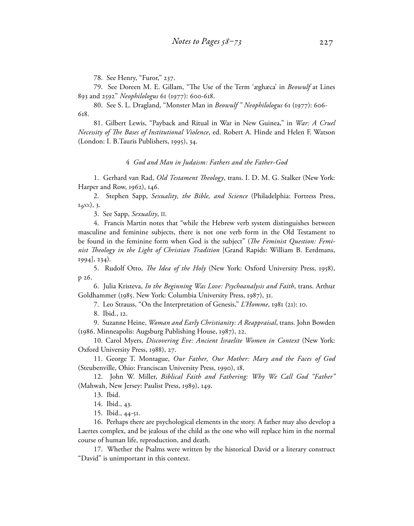78. See Henry, "Furor," 237.

 79. See Doreen M. E. Gillam, "The Use of the Term 'æghæca' in *Beowulf* at Lines 893 and 2592" *Neophilologus* 61 (1977): 600-618.

80. See S. L. Dragland, "Monster Man in *Beowulf" Neophilologus* 61 (1977): 606-618.

 81. Gilbert Lewis, "Payback and Ritual in War in New Guinea," in *War: A Cruel Necessity of The Bases of Institutional Violence*, ed. Robert A. Hinde and Helen F. Watson (London: I. B. Tauris Publishers, 1995), 34.

4 *God and Man in Judaism: Fathers and the Father-God*

 1. Gerhard van Rad, *Old Testament Theology*, trans. I. D. M. G. Stalker (New York: Harper and Row, 1962), 146.

 2. Stephen Sapp, *Sexuality, the Bible, and Science* (Philadelphia: Fortress Press,  $I_9XX$ , 3.

3. See Sapp, *Sexuality*, II.

 4. Francis Martin notes that "while the Hebrew verb system distinguishes between masculine and feminine subjects, there is not one verb form in the Old Testament to be found in the feminine form when God is the subject" (*The Feminist Question: Feminist Theology in the Light of Christian Tradition* [Grand Rapids: William B. Eerdmans, 994], 234).

 5. Rudolf Otto, *The Idea of the Holy* (New York: Oxford University Press, 958), p 26.

 6. Julia Kristeva, *In the Beginning Was Love: Psychoanalysis and Faith*, trans. Arthur Goldhammer (1985. New York: Columbia University Press, 1987), 31.

7. Leo Strauss, "On the Interpretation of Genesis," *L'Homme*, 1981 (21): 10.

8. Ibid., 12.

 9. Suzanne Heine, *Woman and Early Christianity: A Reappraisal*, trans. John Bowden (986. Minneapolis: Augsburg Publishing House, 987), 22.

 10. Carol Myers, *Discovering Eve: Ancient Israelite Women in Context* (New York: Oxford University Press, 1988), 27.

 11. George T. Montague, *Our Father, Our Mother: Mary and the Faces of God* (Steubenville, Ohio: Franciscan University Press, 1990), 18.

 12. John W. Miller, *Biblical Faith and Fathering: Why We Call God "Father"* (Mahwah, New Jersey: Paulist Press, 1989), 149.

13. Ibid.

14. Ibid., 43.

15. Ibid., 44-5.

 16. Perhaps there are psychological elements in the story. A father may also develop a Laertes complex, and be jealous of the child as the one who will replace him in the normal course of human life, reproduction, and death.

 17. Whether the Psalms were written by the historical David or a literary construct "David" is unimportant in this context.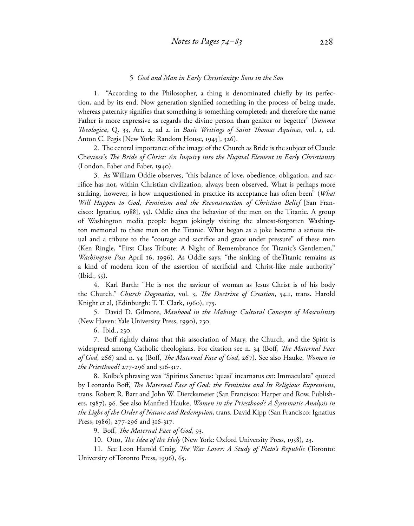#### 5 *God and Man in Early Christianity: Sons in the Son*

 1. "According to the Philosopher, a thing is denominated chiefly by its perfection, and by its end. Now generation signified something in the process of being made, whereas paternity signifies that something is something completed; and therefore the name Father is more expressive as regards the divine person than genitor or begetter" (*Summa Theologica*, Q. 33, Art. 2, ad 2. in *Basic Writings of Saint Thomas Aquinas*, vol. 1, ed. Anton C. Pegis [New York: Random House, 1945], 326).

 2. The central importance of the image of the Church as Bride is the subject of Claude Chevasse's *The Bride of Christ: An Inquiry into the Nuptial Element in Early Christianity* (London, Faber and Faber, 1940).

 3. As William Oddie observes, "this balance of love, obedience, obligation, and sacrifice has not, within Christian civilization, always been observed. What is perhaps more striking, however, is how unquestioned in practice its acceptance has often been" (*What Will Happen to God, Feminism and the Reconstruction of Christian Belief* [San Francisco: Ignatius, 988], 55). Oddie cites the behavior of the men on the Titanic. A group of Washington media people began jokingly visiting the almost-forgotten Washington memorial to these men on the Titanic. What began as a joke became a serious ritual and a tribute to the "courage and sacrifice and grace under pressure" of these men (Ken Ringle, "First Class Tribute: A Night of Remembrance for Titanic's Gentlemen," *Washington Post* April 16, 1996). As Oddie says, "the sinking of theTitanic remains as a kind of modern icon of the assertion of sacrificial and Christ-like male authority" (Ibid., 55).

 4. Karl Barth: "He is not the saviour of woman as Jesus Christ is of his body the Church." *Church Dogmatics*, vol. 3, *The Doctrine of Creation*, 54., trans. Harold Knight et al, (Edinburgh: T. T. Clark, 1960), 175.

 5. David D. Gilmore, *Manhood in the Making: Cultural Concepts of Masculinity*  (New Haven: Yale University Press, 1990), 230.

6. Ibid., 230.

 7. Boff rightly claims that this association of Mary, the Church, and the Spirit is widespread among Catholic theologians. For citation see n. 34 (Boff, *The Maternal Face of God*, 266) and n. 54 (Boff, *The Maternal Face of God*, 267). See also Hauke, *Women in the Priesthood?* 277-296 and 316-317.

 8. Kolbe's phrasing was "Spiritus Sanctus: 'quasi' incarnatus est: Immaculata" quoted by Leonardo Boff, *The Maternal Face of God: the Feminine and Its Religious Expressions*, trans. Robert R. Barr and John W. Diercksmeier (San Francisco: Harper and Row, Publishers, 1987), 96. See also Manfred Hauke, *Women in the Priesthood? A Systematic Analysis in the Light of the Order of Nature and Redemption*, trans. David Kipp (San Francisco: Ignatius Press, 1986), 277-296 and 316-317.

9. Boff, *The Maternal Face of God*, 93.

10. Otto, *The Idea of the Holy* (New York: Oxford University Press, 1958), 23.

 11. See Leon Harold Craig, *The War Lover: A Study of Plato's Republic* (Toronto: University of Toronto Press, 1996), 65.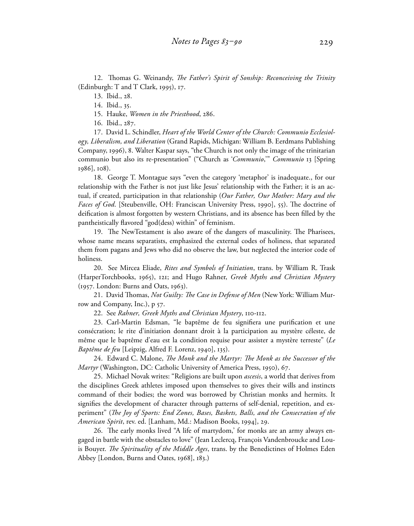12. Thomas G. Weinandy, *The Father's Spirit of Sonship: Reconceiving the Trinity* (Edinburgh:  $T$  and  $T$  Clark, 1995), 17.

13. Ibid., 28.

14. Ibid., 35.

15. Hauke, *Women in the Priesthood*, 286.

16. Ibid., 287.

 17. David L. Schindler, *Heart of the World Center of the Church: Communio Ecclesiology, Liberalism, and Liberation* (Grand Rapids, Michigan: William B. Eerdmans Publishing Company, 1996), 8. Walter Kaspar says, "the Church is not only the image of the trinitarian communio but also its re-presentation" ("Church as '*Communio*,'" *Communio* 3 [Spring 986], 08).

 18. George T. Montague says "even the category 'metaphor' is inadequate., for our relationship with the Father is not just like Jesus' relationship with the Father; it is an actual, if created, participation in that relationship (*Our Father, Our Mother: Mary and the Faces of God*. [Steubenville, OH: Franciscan University Press, 990], 55). The doctrine of deification is almost forgotten by western Christians, and its absence has been filled by the pantheistically flavored "god(dess) within" of feminism.

 19. The NewTestament is also aware of the dangers of masculinity. The Pharisees, whose name means separatists, emphasized the external codes of holiness, that separated them from pagans and Jews who did no observe the law, but neglected the interior code of holiness.

 20. See Mircea Eliade, *Rites and Symbols of Initiation*, trans. by William R. Trask (HarperTorchbooks, 1965), 121; and Hugo Rahner, *Greek Myths and Christian Mystery*  $(1957.$  London: Burns and Oats,  $1963$ ).

 21. David Thomas, *Not Guilty: The Case in Defense of Men* (New York: William Murrow and Company, Inc.), p 57.

22. See *Rahner, Greek Myths and Christian Mystery*, 110-112.

 23. Carl-Martin Edsman, "le baptême de feu signifiera une purification et une consécration; le rite d'initiation donnant droit à la participation au mystère céleste, de même que le baptême d'eau est la condition requise pour assister a mystère terreste" (*Le Baptême de feu* [Leipzig, Alfred F. Lorenz, 1940], 135).

 24. Edward C. Malone, *The Monk and the Martyr: The Monk as the Successor of the Martyr* (Washington, DC: Catholic University of America Press, 1950), 67.

 25. Michael Novak writes: "Religions are built upon *ascesis*, a world that derives from the disciplines Greek athletes imposed upon themselves to gives their wills and instincts command of their bodies; the word was borrowed by Christian monks and hermits. It signifies the development of character through patterns of self-denial, repetition, and experiment" (*The Joy of Sports: End Zones, Bases, Baskets, Balls, and the Consecration of the American Spirit*, rev. ed. [Lanham, Md.: Madison Books, 1994], 29.

 26. The early monks lived "A life of martydom,' for monks are an army always engaged in battle with the obstacles to love" (Jean Leclercq, François Vandenbroucke and Louis Bouyer. *The Spirituality of the Middle Ages*, trans. by the Benedictines of Holmes Eden Abbey [London, Burns and Oates, 1968], 183.)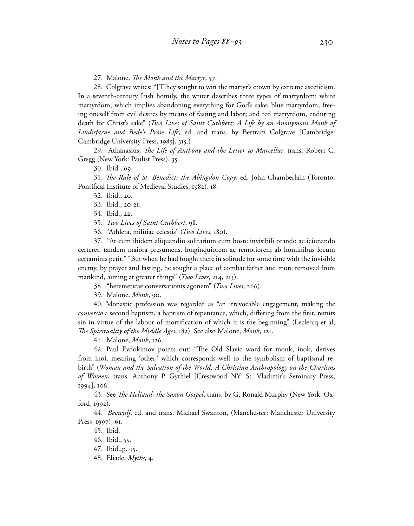27. Malone, *The Monk and the Martyr*, 57.

 28. Colgrave writes: "[T]hey sought to win the martyr's crown by extreme asceticism. In a seventh-century Irish homily, the writer describes three types of martyrdom: white martyrdom, which implies abandoning everything for God's sake; blue martyrdom, freeing oneself from evil desires by means of fasting and labor; and red martyrdom, enduring death for Christ's sake" (*Two Lives of Saint Cuthbert: A Life by an Anonymous Monk of Lindisfarne and Bede's Prose Life*, ed. and trans. by Bertram Colgrave [Cambridge: Cambridge University Press, 1985], 315.)

 29. Athanasius, *The Life of Anthony and the Letter to Marcellus*, trans. Robert C. Gregg (New York: Paulist Press), 35.

30. Ibid., 69.

 31. *The Rule of St. Benedict: the Abingdon Copy*, ed. John Chamberlain (Toronto: Pontifical Institute of Medieval Studies, 1982), 18.

32. Ibid., 20.

33. Ibid., 20-21.

34. Ibid., 22.

35. *Two Lives of Saint Cuthbert*, 98.

36. "Athleta, militiae celestis" (*Two Lives*, 80).

 37. "At cum ibidem aliquandiu solitarium cum hoste invisibili orando ac ieiunando certeret, tandem maiora presumens, longinquiorem ac remotiorem ab hominibus locum certaminis petit." "But when he had fought there in solitude for some time with the invisible enemy, by prayer and fasting, he sought a place of combat father and more removed from mankind, aiming at greater things" (*Two Lives*, 24, 25).

38. "heremeticae conversationis agonem" (*Two Lives*, 266).

39. Malone, *Monk*, 90.

 40. Monastic profession was regarded as "an irrevocable engagement, making the *conversio* a second baptism, a baptism of repentance, which, differing from the first, remits sin in virtue of the labour of mortification of which it is the beginning" (Leclercq et al, *The Spirituality of the Middle Ages*, 182). See also Malone, *Monk*, 121.

41. Malone, *Monk*, 26.

 42. Paul Evdokimov points out: "The Old Slavic word for monk, inok, derives from inoi, meaning 'other,' which corresponds well to the symbolism of baptismal rebirth" (*Woman and the Salvation of the World: A Christian Anthropology on the Charisms of Women*, trans. Anthony P. Gythiel [Crestwood NY: St. Vladimir's Seminary Press, 994], 06.

 43. See *The Heliand: the Saxon Gospel*, trans. by G. Ronald Murphy (New York: Oxford,  $1992$ ).

 44. *Beowulf*, ed. and trans. Michael Swanton, (Manchester: Manchester University Press, 1997), 61.

45. Ibid.

46. Ibid., 55.

47. Ibid.,p. 95.

48. Eliade, *Myths*, 4.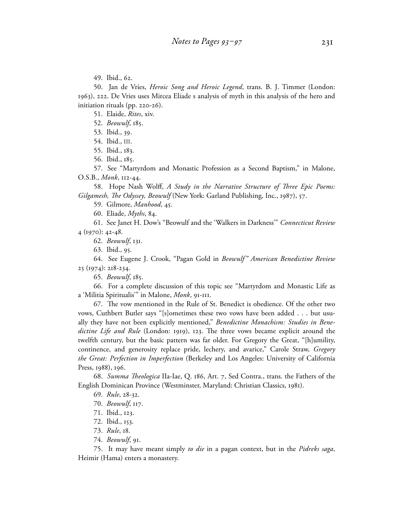49. Ibid., 62.

 50. Jan de Vries, *Heroic Song and Heroic Legend*, trans. B. J. Timmer (London: 963), 222. De Vries uses Mircea Eliade s analysis of myth in this analysis of the hero and initiation rituals (pp. 220-26).

51. Elaide, *Rites*, xiv.

52. *Beowulf*, 185.

53. Ibid., 39.

54. Ibid., III.

55. Ibid., 183.

56. Ibid., 185.

 57. See "Martyrdom and Monastic Profession as a Second Baptism," in Malone, O.S.B., *Monk*, 112-44.

 58. Hope Nash Wolff, *A Study in the Narrative Structure of Three Epic Poems: Gilgamesh, The Odyssey, Beowulf* (New York: Garland Publishing, Inc., 1987), 57.

59. Gilmore, *Manhood*, 45.

60. Eliade, *Myths*, 84.

 61. See Janet H. Dow's "Beowulf and the 'Walkers in Darkness'" *Connecticut Review* 4 (970): 42-48.

62. *Beowulf*, 131.

63. Ibid., 95.

 64. See Eugene J. Crook, "Pagan Gold in *Beowulf " American Benedictine Review*  $25$  (1974):  $218-234$ .

65. *Beowulf*, 85.

 66. For a complete discussion of this topic see "Martyrdom and Monastic Life as a 'Militia Spiritualis'" in Malone, Monk, 91-III.

 67. The vow mentioned in the Rule of St. Benedict is obedience. Of the other two vows, Cuthbert Butler says "[s]ometimes these two vows have been added . . . but usually they have not been explicitly mentioned," *Benedictine Monachism: Studies in Benedictine Life and Rule* (London: 1919), 123. The three vows became explicit around the twelfth century, but the basic pattern was far older. For Gregory the Great, "[h]umility, continence, and generosity replace pride, lechery, and avarice," Carole Straw, *Gregory the Great: Perfection in Imperfection* (Berkeley and Los Angeles: University of California Press, 1988), 196.

 68. *Summa Theologica* IIa-Iae, Q. 86, Art. 7, Sed Contra., trans. the Fathers of the English Dominican Province (Westminster, Maryland: Christian Classics, 1981).

71. Ibid., 23.

72. Ibid., 153.

73. *Rule*, 18.

74. *Beowulf*, 91.

 75. It may have meant simply *to die* in a pagan context, but in the *Pidreks saga*, Heimir (Hama) enters a monastery.

 <sup>69.</sup> *Rule*, 28-32.

<sup>70.</sup> *Beowulf*, 117.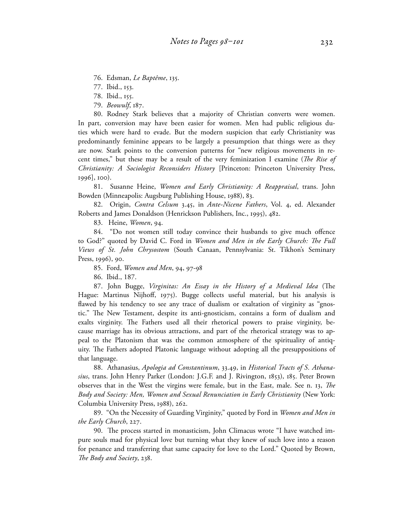76. Edsman, *Le Baptême*, 35.

77. Ibid., 153.

78. Ibid., 55.

79. *Beowulf*, 187.

 80. Rodney Stark believes that a majority of Christian converts were women. In part, conversion may have been easier for women. Men had public religious duties which were hard to evade. But the modern suspicion that early Christianity was predominantly feminine appears to be largely a presumption that things were as they are now. Stark points to the conversion patterns for "new religious movements in recent times," but these may be a result of the very feminization I examine (*The Rise of Christianity: A Sociologist Reconsiders History* [Princeton: Princeton University Press,  $1996$ ,  $100$ ).

 81. Susanne Heine, *Women and Early Christianity: A Reappraisal*, trans. John Bowden (Minneapolis: Augsburg Publishing House, 1988), 83.

 82. Origin, *Contra Celsum* 3.45, in *Ante-Nicene Fathers*, Vol. 4, ed. Alexander Roberts and James Donaldson (Henrickson Publishers, Inc., 995), 482.

83. Heine, *Women*, 94.

 84. "Do not women still today convince their husbands to give much offence to God?" quoted by David C. Ford in *Women and Men in the Early Church: The Full Views of St. John Chrysostom* (South Canaan, Pennsylvania: St. Tikhon's Seminary Press, 1996), 90.

85. Ford, *Women and Men*, 94, 97-98

86. Ibid., 187.

 87. John Bugge, *Virginitas: An Essay in the History of a Medieval Idea* (The Hague: Martinus Nijhoff, 975). Bugge collects useful material, but his analysis is flawed by his tendency to see any trace of dualism or exaltation of virginity as "gnostic." The New Testament, despite its anti-gnosticism, contains a form of dualism and exalts virginity. The Fathers used all their rhetorical powers to praise virginity, because marriage has its obvious attractions, and part of the rhetorical strategy was to appeal to the Platonism that was the common atmosphere of the spirituality of antiquity. The Fathers adopted Platonic language without adopting all the presuppositions of that language.

 88. Athanasius, *Apologia ad Constantinum*, 33.49, in *Historical Tracts of S. Athanasius*, trans. John Henry Parker (London: J.G.F. and J. Rivington, 853), 85. Peter Brown observes that in the West the virgins were female, but in the East, male. See n. 3, *The Body and Society: Men, Women and Sexual Renunciation in Early Christianity* (New York: Columbia University Press, 1988), 262.

 89. "On the Necessity of Guarding Virginity," quoted by Ford in *Women and Men in the Early Church*, 227.

 90. The process started in monasticism, John Climacus wrote "I have watched impure souls mad for physical love but turning what they knew of such love into a reason for penance and transferring that same capacity for love to the Lord." Quoted by Brown, *The Body and Society*, 238.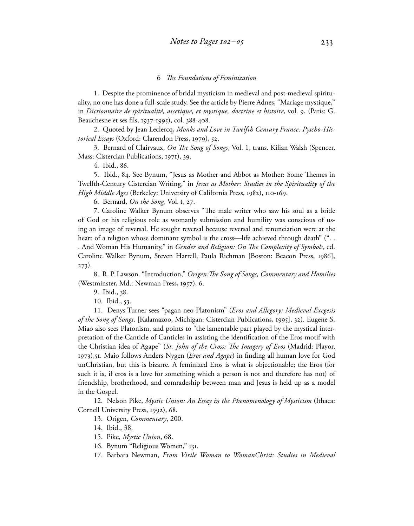#### 6 *The Foundations of Feminization*

 1. Despite the prominence of bridal mysticism in medieval and post-medieval spirituality, no one has done a full-scale study. See the article by Pierre Adnes, "Mariage mystique," in *Dictionnaire de spiritualité, ascetique, et mystique, doctrine et histoire*, vol. 9, (Paris: G. Beauchesne et ses fils, 1937-1995), col. 388-408.

 2. Quoted by Jean Leclercq, *Monks and Love in Twelfth Century France: Pyscho-His*torical Essays (Oxford: Clarendon Press, 1979), 52.

 3. Bernard of Clairvaux, *On The Song of Songs*, Vol. 1, trans. Kilian Walsh (Spencer, Mass: Cistercian Publications, 1971), 39.

4. Ibid., 86.

 5. Ibid., 84. See Bynum, "Jesus as Mother and Abbot as Mother: Some Themes in Twelfth-Century Cistercian Writing," in *Jesus as Mother: Studies in the Spirituality of the High Middle Ages* (Berkeley: University of California Press, 1982), 110-169.

6. Bernard, *On the Song*, Vol. I, 27.

 7. Caroline Walker Bynum observes "The male writer who saw his soul as a bride of God or his religious role as womanly submission and humility was conscious of using an image of reversal. He sought reversal because reversal and renunciation were at the heart of a religion whose dominant symbol is the cross—life achieved through death" (".. . And Woman His Humanity," in *Gender and Religion: On The Complexity of Symbols*, ed. Caroline Walker Bynum, Steven Harrell, Paula Richman [Boston: Beacon Press, 986], 273).

 8. R. P. Lawson. "Introduction," *Origen:The Song of Songs, Commentary and Homilies* (Westminster, Md.: Newman Press, 1957), 6.

9. Ibid., 38.

10. Ibid., 53.

 11. Denys Turner sees "pagan neo-Platonism" (*Eros and Allegory: Medieval Exegesis of the Song of Songs*. [Kalamazoo, Michigan: Cistercian Publications, 995], 32). Eugene S. Miao also sees Platonism, and points to "the lamentable part played by the mystical interpretation of the Canticle of Canticles in assisting the identification of the Eros motif with the Christian idea of Agape" (*St. John of the Cross: The Imagery of Eros* (Madrid: Playor, 973),5. Maio follows Anders Nygen (*Eros and Agape*) in finding all human love for God unChristian, but this is bizarre. A feminized Eros is what is objectionable; the Eros (for such it is, if eros is a love for something which a person is not and therefore has not) of friendship, brotherhood, and comradeship between man and Jesus is held up as a model in the Gospel.

 12. Nelson Pike, *Mystic Union: An Essay in the Phenomenology of Mysticism* (Ithaca: Cornell University Press, 1992), 68.

13. Origen, *Commentary*, 200.

14. Ibid., 38.

15. Pike, *Mystic Union*, 68.

16. Bynum "Religious Women," 131.

17. Barbara Newman, *From Virile Woman to WomanChrist: Studies in Medieval*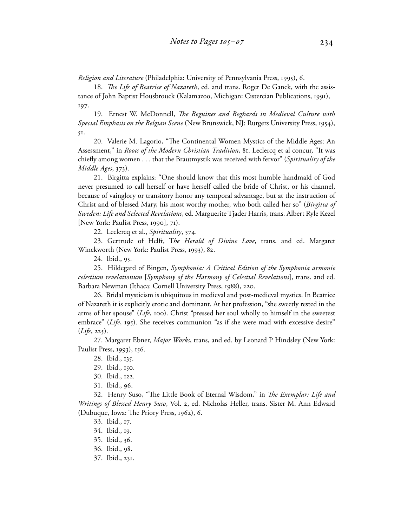*Religion and Literature* (Philadelphia: University of Pennsylvania Press, 995), 6.

 18. *The Life of Beatrice of Nazareth*, ed. and trans. Roger De Ganck, with the assistance of John Baptist Housbrouck (Kalamazoo, Michigan: Cistercian Publications, 99), 197.

 19. Ernest W. McDonnell, *The Beguines and Beghards in Medieval Culture with Special Emphasis on the Belgian Scene* (New Brunswick, NJ: Rutgers University Press, 954), 5.

 20. Valerie M. Lagorio, "The Continental Women Mystics of the Middle Ages: An Assessment," in *Roots of the Modern Christian Tradition*, 81. Leclercq et al concur, "It was chiefly among women . . . that the Brautmystik was received with fervor" (*Spirituality of the Middle Ages*, 373).

 21. Birgitta explains: "One should know that this most humble handmaid of God never presumed to call herself or have herself called the bride of Christ, or his channel, because of vainglory or transitory honor any temporal advantage, but at the instruction of Christ and of blessed Mary, his most worthy mother, who both called her so" (*Birgitta of Sweden: Life and Selected Revelations*, ed. Marguerite Tjader Harris, trans. Albert Ryle Kezel [New York: Paulist Press, 1990], 71).

22. Leclercq et al., *Spirituality*, 374.

 23. Gertrude of Helft, T*he Herald of Divine Love*, trans. and ed. Margaret Winckworth (New York: Paulist Press, 1993), 82.

24. Ibid., 95.

 25. Hildegard of Bingen, *Symphonia: A Critical Edition of the Symphonia armonie celestium revelationum* [*Symphony of the Harmony of Celestial Revelations*], trans. and ed. Barbara Newman (Ithaca: Cornell University Press, 1988), 220.

 26. Bridal mysticism is ubiquitous in medieval and post-medieval mystics. In Beatrice of Nazareth it is explicitly erotic and dominant. At her profession, "she sweetly rested in the arms of her spouse" (*Life*, 00). Christ "pressed her soul wholly to himself in the sweetest embrace" (*Life*, 195). She receives communion "as if she were mad with excessive desire" (*Life*, 225).

 27. Margaret Ebner, *Major Works*, trans, and ed. by Leonard P Hindsley (New York: Paulist Press, 1993), 156.

28. Ibid., 135.

29. Ibid., 150.

30. Ibid., 22.

31. Ibid., 96.

 32. Henry Suso, "The Little Book of Eternal Wisdom," in *The Exemplar: Life and Writings of Blessed Henry Suso*, Vol. 2, ed. Nicholas Heller, trans. Sister M. Ann Edward (Dubuque, Iowa: The Priory Press, 1962), 6.

33. Ibid., 17.

34. Ibid., 19.

35. Ibid., 36.

- 36. Ibid., 98.
- 37. Ibid., 23.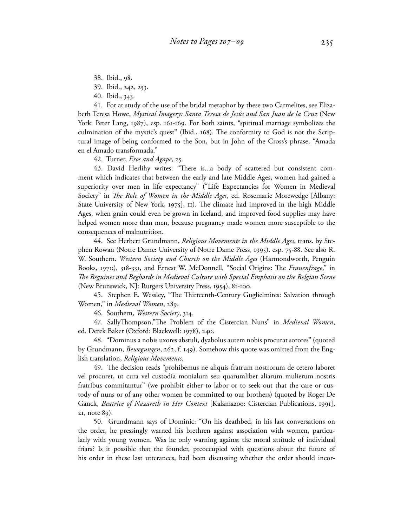38. Ibid., 98.

39. Ibid., 242, 253.

40. Ibid., 343.

 41. For at study of the use of the bridal metaphor by these two Carmelites, see Elizabeth Teresa Howe, *Mystical Imagery: Santa Teresa de Jesús and San Juan de la Cruz* (New York: Peter Lang, 1987), esp. 161-169. For both saints, "spiritual marriage symbolizes the culmination of the mystic's quest" (Ibid., 68). The conformity to God is not the Scriptural image of being conformed to the Son, but in John of the Cross's phrase, "Amada en el Amado transformada."

42. Turner, *Eros and Agape*, 25.

 43. David Herlihy writes: "There is...a body of scattered but consistent comment which indicates that between the early and late Middle Ages, women had gained a superiority over men in life expectancy" ("Life Expectancies for Women in Medieval Society" in *The Role of Women in the Middle Ages*, ed. Rosemarie Morewedge [Albany: State University of New York, 1975],  $\overline{11}$ . The climate had improved in the high Middle Ages, when grain could even be grown in Iceland, and improved food supplies may have helped women more than men, because pregnancy made women more susceptible to the consequences of malnutrition.

 44. See Herbert Grundmann, *Religious Movements in the Middle Ages*, trans. by Stephen Rowan (Notre Dame: University of Notre Dame Press, 995). esp. 75-88. See also R. W. Southern. *Western Society and Church on the Middle Ages* (Harmondworth, Penguin Books, 1970), 318-331, and Ernest W. McDonnell, "Social Origins: The Frauenfrage," in *The Beguines and Beghards in Medieval Culture with Special Emphasis on the Belgian Scene* (New Brunswick, NJ: Rutgers University Press, 1954), 81-100.

 45. Stephen E. Wessley, "The Thirteenth-Century Guglielmites: Salvation through Women," in *Medieval Women*, 289.

46. Southern, *Western Society*, 34.

 47. SallyThompson,"The Problem of the Cistercian Nuns" in *Medieval Women*, ed. Derek Baker (Oxford: Blackwell: 1978), 240.

 48. "Dominus a nobis uxores abstuli, dyabolus autem nobis procurat sorores" (quoted by Grundmann, *Bewegungen*, 262, f. 49). Somehow this quote was omitted from the English translation, *Religious Movements*.

 49. The decision reads "prohibemus ne aliquis fratrum nostrorum de cetero laboret vel procuret, ut cura vel custodia monialum seu quarumlibet aliarum mulierum nostris fratribus commitantur" (we prohibit either to labor or to seek out that the care or custody of nuns or of any other women be committed to our brothers) (quoted by Roger De Ganck, *Beatrice of Nazareth in Her Context* [Kalamazoo: Cistercian Publications, 99], 21, note 89).

 50. Grundmann says of Dominic: "On his deathbed, in his last conversations on the order, he pressingly warned his brethren against association with women, particularly with young women. Was he only warning against the moral attitude of individual friars? Is it possible that the founder, preoccupied with questions about the future of his order in these last utterances, had been discussing whether the order should incor-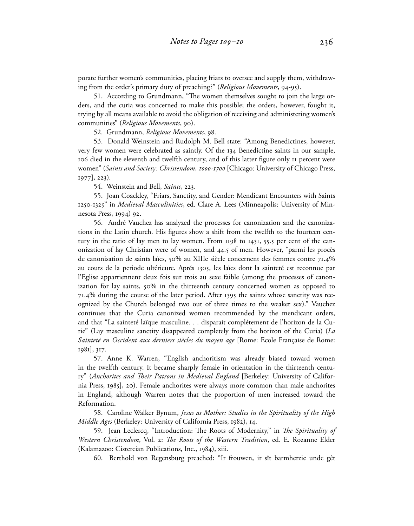porate further women's communities, placing friars to oversee and supply them, withdrawing from the order's primary duty of preaching?" (*Religious Movements*, 94-95).

 51. According to Grundmann, "The women themselves sought to join the large orders, and the curia was concerned to make this possible; the orders, however, fought it, trying by all means available to avoid the obligation of receiving and administering women's communities" (*Religious Movements*, 90).

52. Grundmann, *Religious Movements*, 98.

 53. Donald Weinstein and Rudolph M. Bell state: "Among Benedictines, however, very few women were celebrated as saintly. Of the 34 Benedictine saints in our sample, 106 died in the eleventh and twelfth century, and of this latter figure only  $\pi$  percent were women" (*Saints and Society: Christendom, 1000-1700* [Chicago: University of Chicago Press, 977], 223).

54. Weinstein and Bell, *Saints*, 223.

 55. Joan Coackley, "Friars, Sanctity, and Gender: Mendicant Encounters with Saints 250-325" in *Medieval Masculinities*, ed. Clare A. Lees (Minneapolis: University of Minnesota Press, 1994) 92.

 56. André Vauchez has analyzed the processes for canonization and the canonizations in the Latin church. His figures show a shift from the twelfth to the fourteen century in the ratio of lay men to lay women. From 1198 to 1431, 55.5 per cent of the canonization of lay Christian were of women, and 44.5 of men. However, "parmi les procès de canonisation de saints laïcs, 50% au XIIIe siècle concernent des femmes contre 7.4% au cours de la periode ultérieure. Aprés 305, les laïcs dont la sainteté est reconnue par l'Eglise appartiennent deux fois sur trois au sexe faible (among the processes of canonization for lay saints, 50% in the thirteenth century concerned women as opposed to 7.4% during the course of the later period. After 395 the saints whose sanctity was recognized by the Church belonged two out of three times to the weaker sex)." Vauchez continues that the Curia canonized women recommended by the mendicant orders, and that "La sainteté laïque masculine. . . disparait complétement de l'horizon de la Curie" (Lay masculine sanctity disappeared completely from the horizon of the Curia) (*La Sainteté en Occident aux derniers siècles du moyen age* [Rome: Ecole Française de Rome: 1981], 317.

 57. Anne K. Warren, "English anchoritism was already biased toward women in the twelfth century. It became sharply female in orientation in the thirteenth century" (*Anchorites and Their Patrons in Medieval England* [Berkeley: University of California Press, 985], 20). Female anchorites were always more common than male anchorites in England, although Warren notes that the proportion of men increased toward the Reformation.

 58. Caroline Walker Bynum, *Jesus as Mother: Studies in the Spirituality of the High Middle Ages* (Berkeley: University of California Press, 1982), 14.

 59. Jean Leclercq, "Introduction: The Roots of Modernity," in *The Spirituality of Western Christendom*, Vol. 2: *The Roots of the Western Tradition*, ed. E. Rozanne Elder (Kalamazoo: Cistercian Publications, Inc., 1984), xiii.

60. Berthold von Regensburg preached: "Ir frouwen, ir sît barmherzic unde gêt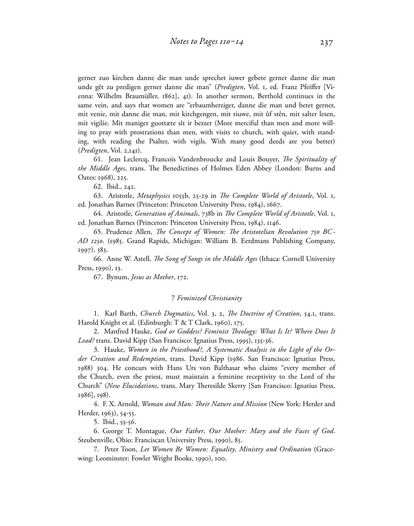gerner zuo kirchen danne die man unde sprechet iuwer gebete gerner danne die man unde gêt zu predigen gerner danne die man" (*Predigten*, Vol. , ed. Franz Pfeiffer [Vienna: Wilhelm Braumüller, 862], 4). In another sermon, Berthold continues in the same vein, and says that women are "erbaumherziger, danne die man und betet gerner, mit venie, mit danne die man, mit kirchgengen, mit riuwe, mit ûf stên, mit salter lesen, mit vigilie. Mit maniger guottæte sît ir bezzer (More merciful than men and more willing to pray with prostrations than men, with visits to church, with quiet, with standing, with reading the Psalter, with vigils. With many good deeds are you better) (*Predigten*, Vol. 2,141).

 61. Jean Leclercq, Francois Vandenbroucke and Louis Bouyer, *The Spirituality of the Middle Ages*, trans. The Benedictines of Holmes Eden Abbey (London: Burns and Oates: 1968), 225.

62. Ibid., 242.

63. Aristotle, *Metaphysics* 1055b, 25-29 in *The Complete World of Aristotle*, Vol. 1, ed. Jonathan Barnes (Princeton: Princeton University Press, 1984), 1667.

 64. Aristotle, *Generation of Animals*, 738b in *The Complete World of Aristotle*, Vol. , ed. Jonathan Barnes (Princeton: Princeton University Press, 1984), 1146.

 65. Prudence Allen, *The Concept of Women: The Aristotelian Revolution 750 BC - AD 1250*. (985. Grand Rapids, Michigan: William B. Eerdmans Publishing Company, 997), 383.

 66. Anne W. Astell, *The Song of Songs in the Middle Ages* (Ithaca: Cornell University Press, 1990), 13.

67. Bynum, *Jesus as Mother*, 172.

#### 7 *Feminized Christianity*

 1. Karl Barth, *Church Dogmatics*, Vol. 3, 2, *The Doctrine of Creation*, 54., trans. Harold Knight et al. (Edinburgh:  $T & T$  Clark, 1960), 175.

 2. Manfred Hauke, *God or Goddess? Feminist Theology: What Is It? Where Does It*  Lead? trans. David Kipp (San Francisco: Ignatius Press, 1995), 135-36.

 3. Hauke, *Women in the Priesthood?, A Systematic Analysis in the Light of the Order Creation and Redemption*, trans. David Kipp (986. San Francisco: Ignatius Press, 988) 304. He concurs with Hans Urs von Balthasar who claims "every member of the Church, even the priest, must maintain a feminine receptivity to the Lord of the Church" (*New Elucidations*, trans. Mary Theresilde Skerry [San Francisco: Ignatius Press, 986], 98).

 4. F. X. Arnold, *Woman and Man: Their Nature and Mission* (New York: Herder and Herder, 1963), 54-55.

5. Ibid., 55-56.

 6. George T. Montague, *Our Father, Our Mother: Mary and the Faces of God*. Steubenville, Ohio: Franciscan University Press, 1990), 85.

 7. Peter Toon, *Let Women Be Women: Equality, Ministry and Ordination* (Gracewing: Leominster: Fowler Wright Books, 1990), 100.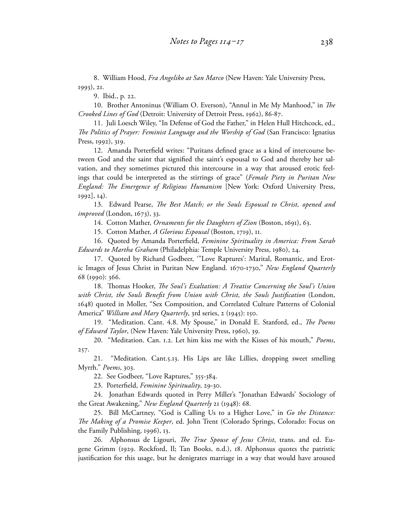8. William Hood, *Fra Angeliko at San Marco* (New Haven: Yale University Press,  $1993)$ , 21.

9. Ibid., p. 22.

 10. Brother Antoninus (William O. Everson), "Annul in Me My Manhood," in *The Crooked Lines of God* (Detroit: University of Detroit Press, 1962), 86-87.

 11. Juli Loesch Wiley, "In Defense of God the Father," in Helen Hull Hitchcock, ed., *The Politics of Prayer: Feminist Language and the Worship of God* (San Francisco: Ignatius Press, 1992), 319.

 12. Amanda Porterfield writes: "Puritans defined grace as a kind of intercourse between God and the saint that signified the saint's espousal to God and thereby her salvation, and they sometimes pictured this intercourse in a way that aroused erotic feelings that could be interpreted as the stirrings of grace" (*Female Piety in Puritan New England: The Emergence of Religious Humanism* [New York: Oxford University Press,  $1992$ ,  $14$ ).

 13. Edward Pearse, *The Best Match; or the Souls Espousal to Christ, opened and improved* (London, 1673), 33.

14. Cotton Mather, *Ornaments for the Daughters of Zion* (Boston, 1691), 63.

15. Cotton Mather, *A Glorious Espousal* (Boston, 1719), 11.

 16. Quoted by Amanda Porterfield, *Feminine Spirituality in America: From Sarah Edwards to Martha Graham* (Philadelphia: Temple University Press, 1980), 24.

 17. Quoted by Richard Godbeer, '"Love Raptures': Marital, Romantic, and Erotic Images of Jesus Christ in Puritan New England. 670-730," *New England Quarterly* 68 (990): 366.

 18. Thomas Hooker, *The Soul's Exaltation: A Treatise Concerning the Soul's Union with Christ, the Souls Benefit from Union with Christ, the Souls Justification* (London, 648) quoted in Moller, "Sex Composition, and Correlated Culture Patterns of Colonial America" *William and Mary Quarterly*, 3rd series, 2 (1945): 150.

 19. "Meditation. Cant. 4.8. My Spouse," in Donald E. Stanford, ed., *The Poems of Edward Taylor*, (New Haven: Yale University Press, 960), 39.

 20. "Meditation. Can. .2. Let him kiss me with the Kisses of his mouth," *Poems*, 257.

 21. "Meditation. Cant.5.3. His Lips are like Lillies, dropping sweet smelling Myrrh." *Poems*, 303.

22. See Godbeer, "Love Raptures," 355-384.

23. Porterfield, *Feminine Spirituality*, 29-30.

 24. Jonathan Edwards quoted in Perry Miller's "Jonathan Edwards' Sociology of the Great Awakening," *New England Quarterly* 21 (1948): 68.

 25. Bill McCartney, "God is Calling Us to a Higher Love," in *Go the Distance: The Making of a Promise Keeper*, ed. John Trent (Colorado Springs, Colorado: Focus on the Family Publishing, 1996), 13.

 26. Alphonsus de Ligouri, *The True Spouse of Jesus Christ*, trans. and ed. Eugene Grimm (929. Rockford, Il; Tan Books, n.d.), 8. Alphonsus quotes the patristic justification for this usage, but he denigrates marriage in a way that would have aroused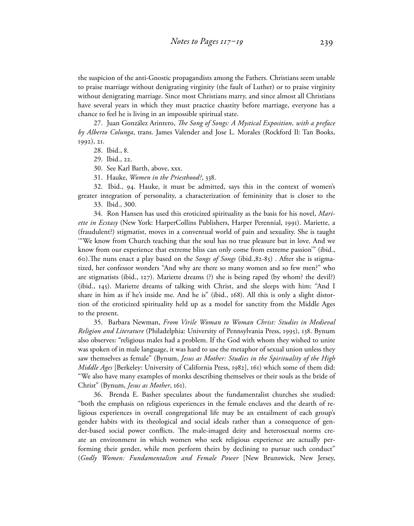the suspicion of the anti-Gnostic propagandists among the Fathers. Christians seem unable to praise marriage without denigrating virginity (the fault of Luther) or to praise virginity without denigrating marriage. Since most Christians marry, and since almost all Christians have several years in which they must practice chastity before marriage, everyone has a chance to feel he is living in an impossible spiritual state.

 27. Juan González Arintero, *The Song of Songs: A Mystical Exposition, with a preface by Alberto Colunga*, trans. James Valender and Jose L. Morales (Rockford Il: Tan Books, 1992), 21.

28. Ibid., 8.

29. Ibid., 22.

30. See Karl Barth, above, xxx.

31. Hauke, *Women in the Priesthood?*, 338.

 32. Ibid., 94. Hauke, it must be admitted, says this in the context of women's greater integration of personality, a characterization of femininity that is closer to the 33. Ibid., 300.

 34. Ron Hansen has used this eroticized spirituality as the basis for his novel, *Mariette in Ecstasy* (New York: HarperCollins Publishers, Harper Perennial, 1991). Mariette, a (fraudulent?) stigmatist, moves in a conventual world of pain and sexuality. She is taught '"We know from Church teaching that the soul has no true pleasure but in love. And we know from our experience that extreme bliss can only come from extreme passion'" (ibid., 60).The nuns enact a play based on the *Songs of Songs* (ibid.,82-85) . After she is stigmatized, her confessor wonders "And why are there so many women and so few men?" who are stigmatists (ibid., 27). Mariette dreams (?) she is being raped (by whom? the devil?) (ibid., 45). Mariette dreams of talking with Christ, and she sleeps with him: "And I share in him as if he's inside me. And he is" (ibid., 68). All this is only a slight distortion of the eroticized spirituality held up as a model for sanctity from the Middle Ages to the present.

 35. Barbara Newman, *From Virile Woman to Woman Christ: Studies in Medieval Religion and Literature* (Philadelphia: University of Pennsylvania Press, 1995), 138. Bynum also observes: "religious males had a problem. If the God with whom they wished to unite was spoken of in male language, it was hard to use the metaphor of sexual union unless they saw themselves as female" (Bynum, *Jesus as Mother: Studies in the Spirituality of the High Middle Ages* [Berkeley: University of California Press, 1982], 161) which some of them did: "We also have many examples of monks describing themselves or their souls as the bride of Christ" (Bynum, *Jesus as Mother*, 161).

 36. Brenda E. Basher speculates about the fundamentalist churches she studied: "both the emphasis on religious experiences in the female enclaves and the dearth of religious experiences in overall congregational life may be an entailment of each group's gender habits with its theological and social ideals rather than a consequence of gender-based social power conflicts. The male-imaged deity and heterosexual norms create an environment in which women who seek religious experience are actually performing their gender, while men perform theirs by declining to pursue such conduct" (*Godly Women: Fundamentalism and Female Power* [New Brunswick, New Jersey,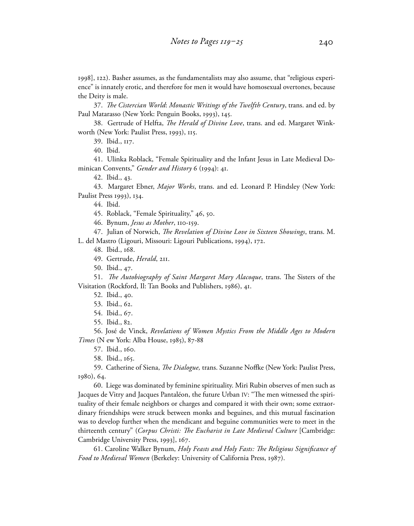998], 22). Basher assumes, as the fundamentalists may also assume, that "religious experience" is innately erotic, and therefore for men it would have homosexual overtones, because the Deity is male.

 37. *The Cistercian World*: *Monastic Writings of the Twelfth Century*, trans. and ed. by Paul Matarasso (New York: Penguin Books, 1993), 145.

 38. Gertrude of Helfta, *The Herald of Divine Love*, trans. and ed. Margaret Winkworth (New York: Paulist Press, 1993), 115.

39. Ibid., 117.

40. Ibid.

 41. Ulinka Roblack, "Female Spirituality and the Infant Jesus in Late Medieval Dominican Convents," *Gender and History* 6 (1994): 41.

42. Ibid., 43.

 43. Margaret Ebner, *Major Works*, trans. and ed. Leonard P. Hindsley (New York: Paulist Press 1993), 134.

44. Ibid.

45. Roblack, "Female Spirituality," 46, 50.

46. Bynum, *Jesus as Mother*, 110-159.

47. Julian of Norwich, *The Revelation of Divine Love in Sixteen Showings*, trans. M.

L. del Mastro (Ligouri, Missouri: Ligouri Publications, 994), 72.

48. Ibid., 168.

49. Gertrude, *Herald*, 211.

50. Ibid., 47.

 51. *The Autobiography of Saint Margaret Mary Alacoque*, trans. The Sisters of the Visitation (Rockford, Il: Tan Books and Publishers, 1986), 41.

52. Ibid., 40.

53. Ibid., 62.

54. Ibid., 67.

55. Ibid., 82.

 56. José de Vinck, *Revelations of Women Mystics From the Middle Ages to Modern Times* (N ew York: Alba House, 1985), 87-88

57. Ibid., 160.

58. Ibid., 165.

 59. Catherine of Siena, *The Dialogue,* trans. Suzanne Noffke (New York: Paulist Press, 980), 64.

 60. Liege was dominated by feminine spirituality. Miri Rubin observes of men such as Jacques de Vitry and Jacques Pantaléon, the future Urban IV: "The men witnessed the spirituality of their female neighbors or charges and compared it with their own; some extraordinary friendships were struck between monks and beguines, and this mutual fascination was to develop further when the mendicant and beguine communities were to meet in the thirteenth century" (*Corpus Christi: The Eucharist in Late Medieval Culture* [Cambridge: Cambridge University Press, 1993], 167.

 61. Caroline Walker Bynum, *Holy Feasts and Holy Fasts: The Religious Significance of Food to Medieval Women* (Berkeley: University of California Press, 1987).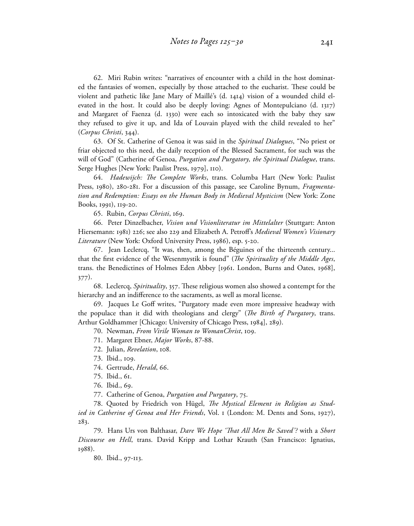62. Miri Rubin writes: "narratives of encounter with a child in the host dominated the fantasies of women, especially by those attached to the eucharist. These could be violent and pathetic like Jane Mary of Maillé's (d. 1414) vision of a wounded child elevated in the host. It could also be deeply loving: Agnes of Montepulciano (d. 1317) and Margaret of Faenza (d. 1330) were each so intoxicated with the baby they saw they refused to give it up, and Ida of Louvain played with the child revealed to her" (*Corpus Christi*, 344).

 63. Of St. Catherine of Genoa it was said in the *Spiritual Dialogues*, "No priest or friar objected to this need, the daily reception of the Blessed Sacrament, for such was the will of God" (Catherine of Genoa, *Purgation and Purgatory, the Spiritual Dialogue*, trans. Serge Hughes [New York: Paulist Press, 1979], 110).

 64. *Hadewijch: The Complete Works*, trans. Columba Hart (New York: Paulist Press, 1980), 280-281. For a discussion of this passage, see Caroline Bynum, *Fragmentation and Redemption: Essays on the Human Body in Medieval Mysticism* (New York: Zone Books, 1991), 119-20.

65. Rubin, *Corpus Christi*, 69.

 66. Peter Dinzelbacher, *Vision und Visionliteratur im Mittelalter* (Stuttgart: Anton Hiersemann: 98) 226; see also 229 and Elizabeth A. Petroff's *Medieval Women's Visionary Literature* (New York: Oxford University Press, 1986), esp. 5-20.

 67. Jean Leclercq, "It was, then, among the Béguines of the thirteenth century... that the first evidence of the Wesenmystik is found" (*The Spirituality of the Middle Ages*, trans. the Benedictines of Holmes Eden Abbey [96. London, Burns and Oates, 968], 377).

 68. Leclercq, *Spirituality*, 357. These religious women also showed a contempt for the hierarchy and an indifference to the sacraments, as well as moral license.

 69. Jacques Le Goff writes, "Purgatory made even more impressive headway with the populace than it did with theologians and clergy" (*The Birth of Purgatory*, trans. Arthur Goldhammer [Chicago: University of Chicago Press, 1984], 289).

70. Newman, *From Virile Woman to WomanChrist*, 09.

71. Margaret Ebner, *Major Works*, 87-88.

72. Julian, *Revelation*, 108.

73. Ibid., 109.

74. Gertrude, *Herald*, 66.

75. Ibid., 61.

76. Ibid., 69.

77. Catherine of Genoa, *Purgation and Purgatory*, 75.

 78. Quoted by Friedrich von Hügel, *The Mystical Element in Religion as Stud*ied in Catherine of Genoa and Her Friends, Vol. I (London: M. Dents and Sons, 1927), 283.

 79. Hans Urs von Balthasar, *Dare We Hope 'That All Men Be Saved'?* with a *Short Discourse on Hell*, trans. David Kripp and Lothar Krauth (San Francisco: Ignatius, 988).

80. Ibid., 97-113.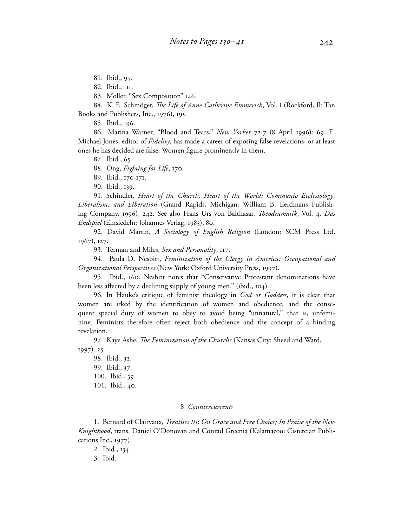81. Ibid., 99.

82. Ibid., III.

83. Moller, "Sex Composition" 46.

 84. K. E. Schmöger, *The Life of Anne Catherine Emmerich*, Vol. I (Rockford, Il: Tan Books and Publishers, Inc., 1976), 195.

85. Ibid., 196.

86. Marina Warner, "Blood and Tears," *New Yorker* 72:7 (8 April 1996): 69. E. Michael Jones, editor of *Fidelity*, has made a career of exposing false revelations, or at least ones he has decided are false. Women figure prominently in them.

87. Ibid., 65.

88. Ong, Fighting for Life, 170.

89. Ibid., 170-171.

90. Ibid., 139.

 91. Schindler, *Heart of the Church, Heart of the World: Communio Ecclesiology, Liberalism, and Liberation* (Grand Rapids, Michigan: William B. Eerdmans Publishing Company, 996), 242. See also Hans Urs von Balthasar, *Theodramatik*, Vol. 4, *Das Endspiel* (Einsiedeln: Johannes Verlag, 1983), 80.

 92. David Martin, *A Sociology of English Religion* (London: SCM Press Ltd, 1967), 127.

93. Terman and Miles, Sex and Personality, 117.

 94. Paula D. Nesbitt, *Feminization of the Clergy in America: Occupational and Organizational Perspectives* (New York: Oxford University Press, 997).

95. Ibid., 160. Nesbitt notes that "Conservative Protestant denominations have been less affected by a declining supply of young men." (ibid., 104).

 96. In Hauke's critique of feminist theology in *God or Goddess*, it is clear that women are irked by the identification of women and obedience, and the consequent special duty of women to obey to avoid being "unnatural," that is, unfeminine. Feminists therefore often reject both obedience and the concept of a binding revelation.

 97. Kaye Ashe, *The Feminization of the Church?* (Kansas City: Sheed and Ward, 997). 25.

 98. Ibid., 32. 99. Ibid., 37. 100. Ibid., 39. 101. Ibid., 40.

#### 8 *Countercurrents*

 1. Bernard of Clairvaux, *Treatises III*: *On Grace and Free Choice; In Praise of the New Knighthood*, trans. Daniel O'Donovan and Conrad Greenia (Kalamazoo: Cistercian Publications Inc., 1977).

2. Ibid., 134.

3. Ibid.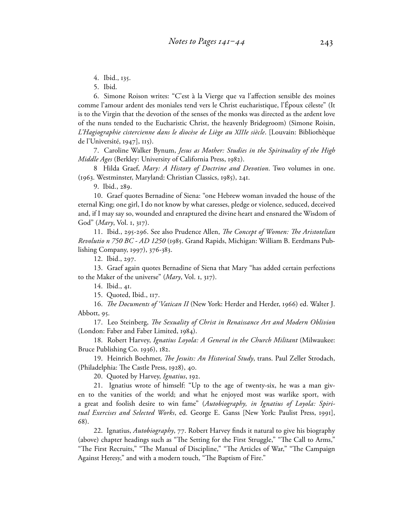4. Ibid., 135.

5. Ibid.

 6. Simone Roison writes: "C'est à la Vierge que va l'affection sensible des moines comme l'amour ardent des moniales tend vers le Christ eucharistique, l'Époux céleste" (It is to the Virgin that the devotion of the senses of the monks was directed as the ardent love of the nuns tended to the Eucharistic Christ, the heavenly Bridegroom) (Simone Roisin, *L'Hagiographie cistercienne dans le diocèse de Liège au XIIIe siècle*. [Louvain: Bibliothèque de l'Université,  $1947$ ,  $115$ ).

 7. Caroline Walker Bynum, *Jesus as Mother: Studies in the Spirituality of the High Middle Ages* (Berkley: University of California Press, 1982).

 8 Hilda Graef, *Mary: A History of Doctrine and Devotion*. Two volumes in one. (1963. Westminster, Maryland: Christian Classics, 1985), 241.

9. Ibid., 289.

 10. Graef quotes Bernadine of Siena: "one Hebrew woman invaded the house of the eternal King; one girl, I do not know by what caresses, pledge or violence, seduced, deceived and, if I may say so, wounded and enraptured the divine heart and ensnared the Wisdom of God" (*Mary*, Vol. 1, 317).

 11. Ibid., 295-296. See also Prudence Allen, *The Concept of Women: The Aristotelian Revolutio n 750 BC - AD 1250* (985. Grand Rapids, Michigan: William B. Eerdmans Publishing Company, 1997), 376-383.

12. Ibid., 297.

 13. Graef again quotes Bernadine of Siena that Mary "has added certain perfections to the Maker of the universe" (Mary, Vol. 1, 317).

14. Ibid., 41.

 $15.$  Quoted, Ibid.,  $117.$ 

 16. *The Documents of 'Vatican II* (New York: Herder and Herder, 966) ed. Walter J. Abbott, 95.

 17. Leo Steinberg, *The Sexuality of Christ in Renaissance Art and Modern Oblivion* (London: Faber and Faber Limited, 1984).

 18. Robert Harvey, *Ignatius Loyola: A General in the Church Militant* (Milwaukee: Bruce Publishing Co. 1936), 182.

 19. Heinrich Boehmer, *The Jesuits: An Historical Study*, trans. Paul Zeller Strodach, (Philadelphia: The Castle Press, 1928), 40.

20. Quoted by Harvey, *Ignatius*, 192.

 21. Ignatius wrote of himself: "Up to the age of twenty-six, he was a man given to the vanities of the world; and what he enjoyed most was warlike sport, with a great and foolish desire to win fame" (*Autobiography, in Ignatius of Loyola: Spiri*tual Exercises and Selected Works, ed. George E. Ganss [New York: Paulist Press, 1991], 68).

 22. Ignatius, *Autobiography*, 77. Robert Harvey finds it natural to give his biography (above) chapter headings such as "The Setting for the First Struggle," "The Call to Arms," "The First Recruits," "The Manual of Discipline," "The Articles of War," "The Campaign Against Heresy," and with a modern touch, "The Baptism of Fire."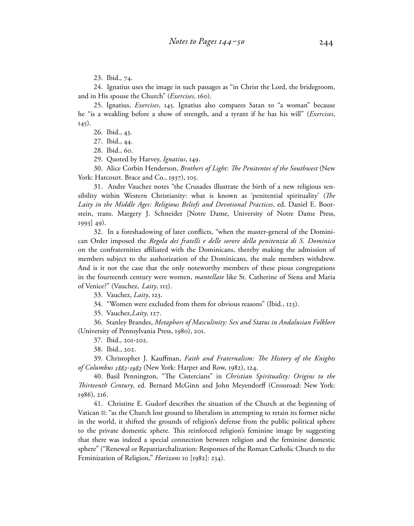23. Ibid., 74.

 24. Ignatius uses the image in such passages as "in Christ the Lord, the bridegroom, and in His spouse the Church" (*Exercises*, 160).

 25. Ignatius, *Exercises*, 45. Ignatius also compares Satan to "a woman" because he "is a weakling before a show of strength, and a tyrant if he has his will" (*Exercises*,  $145)$ .

26. Ibid., 43.

27. Ibid., 44.

28. Ibid., 60.

29. Quoted by Harvey, *Ignatius*, 49.

 30. Alice Corbin Henderson, *Brothers of Light: The Penitentes of the Southwest* (New York: Harcourt. Brace and  $Co.$ , 1937), 105.

 31. Andre Vauchez notes "the Crusades illustrate the birth of a new religious sensibility within Western Christianity: what is known as 'penitential spirituality' (*The Laity in the Middle Ages: Religious Beliefs and Devotional Practices*, ed. Daniel E. Boorstein, trans. Margery J. Schneider [Notre Dame, University of Notre Dame Press,  $1993]$  49).

 32. In a foreshadowing of later conflicts, "when the master-general of the Dominican Order imposed the *Regola dei fratelli e delle sorore della penitenzia di S. Dominico* on the confraternities affiliated with the Dominicans, thereby making the admission of members subject to the authorization of the Dominicans, the male members withdrew. And is it not the case that the only noteworthy members of these pious congregations in the fourteenth century were women, *mantellate* like St. Catherine of Siena and Maria of Venice?" (Vauchez, *Laity*, 115).

33. Vauchez, *Laity*, 123.

34. "Women were excluded from them for obvious reasons" (Ibid., 23).

35. Vauchez, *Laity*, 127.

 36. Stanley Brandes, *Metaphors of Masculinity: Sex and Status in Andalusian Folklore* (University of Pennsylvania Press, 1980), 201.

37. Ibid., 201-202.

38. Ibid., 202.

 39. Christopher J. Kauffman, *Faith and Fraternalism: The History of the Knights of Columbus 1882-1982* (New York: Harper and Row, 982), 24.

 40. Basil Pennington, "The Cistercians" in *Christian Spirituality: Origins to the Thirteenth Century*, ed. Bernard McGinn and John Meyendorff (Crossroad: New York: 1986), 216.

 41. Christine E. Gudorf describes the situation of the Church at the beginning of Vatican II: "as the Church lost ground to liberalism in attempting to retain its former niche in the world, it shifted the grounds of religion's defense from the public political sphere to the private domestic sphere. This reinforced religion's feminine image by suggesting that there was indeed a special connection between religion and the feminine domestic sphere" ("Renewal or Repatriarchalization: Responses of the Roman Catholic Church to the Feminization of Religion," *Horizons* 10 [1982]: 234).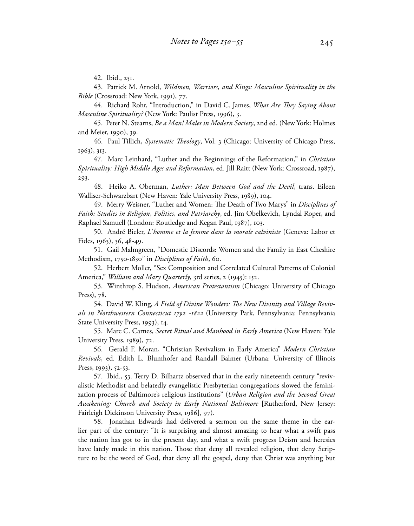42. Ibid., 25.

 43. Patrick M. Arnold, *Wildmen, Warriors, and Kings: Masculine Spirituality in the Bible* (Crossroad: New York, 1991), 77.

 44. Richard Rohr, "Introduction," in David C. James, *What Are They Saying About Masculine Spirituality?* (New York: Paulist Press, 996), 3.

 45. Peter N. Stearns, *Be a Man! Males in Modern Society*, 2nd ed. (New York: Holmes and Meier, 1990), 39.

 46. Paul Tillich, *Systematic Theology*, Vol. 3 (Chicago: University of Chicago Press, 1963), 313.

 47. Marc Leinhard, "Luther and the Beginnings of the Reformation," in *Christian Spirituality: High Middle Ages and Reformation*, ed. Jill Raitt (New York: Crossroad, 987), 293.

 48. Heiko A. Oberman, *Luther: Man Between God and the Devil*, trans. Eileen Walliser-Schwarzbart (New Haven: Yale University Press, 1989), 104.

 49. Merry Weisner, "Luther and Women: The Death of Two Marys" in *Disciplines of Faith: Studies in Religion, Politics, and Patriarchy*, ed. Jim Obelkevich, Lyndal Roper, and Raphael Samuell (London: Routledge and Kegan Paul, 1987), 103.

 50. André Bieler, *L' homme et la femme dans la morale calviniste* (Geneva: Labor et Fides, 1963), 36, 48-49.

 51. Gail Malmgreen, "Domestic Discords: Women and the Family in East Cheshire Methodism, 750-830" in *Disciplines of Faith*, 60.

 52. Herbert Moller, "Sex Composition and Correlated Cultural Patterns of Colonial America," *William and Mary Quarterly*, 3rd series, 2 (1945): 152.

 53. Winthrop S. Hudson, *American Protestantism* (Chicago: University of Chicago Press), 78.

 54. David W. Kling, *A Field of Divine Wonders: The New Divinity and Village Revivals in Northwestern Connecticut 1792 -1822* (University Park, Pennsylvania: Pennsylvania State University Press, 1993), 14.

 55. Marc C. Carnes, *Secret Ritual and Manhood in Early America* (New Haven: Yale University Press, 1989), 72.

 56. Gerald F. Moran, "Christian Revivalism in Early America" *Modern Christian Revivals*, ed. Edith L. Blumhofer and Randall Balmer (Urbana: University of Illinois Press, 1993), 52-53.

 57. Ibid., 53. Terry D. Bilhartz observed that in the early nineteenth century "revivalistic Methodist and belatedly evangelistic Presbyterian congregations slowed the feminization process of Baltimore's religious institutions" (*Urban Religion and the Second Great Awakening: Church and Society in Early National Baltimore* [Rutherford, New Jersey: Fairleigh Dickinson University Press, 1986], 97).

 58. Jonathan Edwards had delivered a sermon on the same theme in the earlier part of the century: "It is surprising and almost amazing to hear what a swift pass the nation has got to in the present day, and what a swift progress Deism and heresies have lately made in this nation. Those that deny all revealed religion, that deny Scripture to be the word of God, that deny all the gospel, deny that Christ was anything but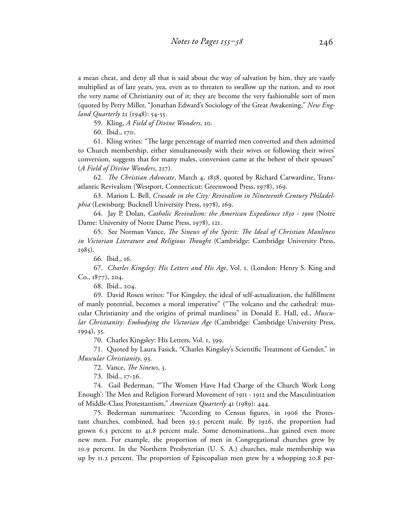a mean cheat, and deny all that is said about the way of salvation by him, they are vastly multiplied as of late years, yea, even as to threaten to swallow up the nation, and to root the very name of Christianity out of it; they are become the very fashionable sort of men (quoted by Perry Miller, "Jonathan Edward's Sociology of the Great Awakening," *New England Quarterly* 21 (1948): 54-55.

59. Kling, *A Field of Divine Wonders*, 10.

60. Ibid., 70.

 61. Kling writes: "The large percentage of married men converted and then admitted to Church membership, either simultaneously with their wives or following their wives' conversion, suggests that for many males, conversion came at the behest of their spouses" (*A Field of Divine Wonders*, 27).

 62. *The Christian Advocate*, March 4, 858, quoted by Richard Carwardine, Transatlantic Revivalism (Westport, Connecticut: Greenwood Press, 1978), 169.

 63. Marion L. Bell, *Crusade in the City: Revivalism in Nineteenth Century Philadelphia* (Lewisburg: Bucknell University Press, 1978), 169.

 64. Jay P. Dolan, *Catholic Revivalism: the American Expedience 1830 - 1900* (Notre Dame: University of Notre Dame Press, 1978), 121.

 65. See Norman Vance, *The Sinews of the Spirit: The Ideal of Christian Manliness in Victorian Literature and Religious Thought* (Cambridge: Cambridge University Press, 1985).

66. Ibid., 16.

 67. *Charles Kingsley: His Letters and His Age*, Vol. . (London: Henry S. King and Co., 877), 204.

68. Ibid., 204.

 69. David Rosen writes: "For Kingsley, the ideal of self-actualization, the fulfillment of manly potential, becomes a moral imperative" ("The volcano and the cathedral: muscular Christianity and the origins of primal manliness" in Donald E. Hall, ed., *Muscular Christianity: Embodying the Victorian Age* (Cambridge: Cambridge University Press, 994), 35.

70. Charles Kingsley: His Letters, Vol. 1, 399.

 71. Quoted by Laura Fasick, "Charles Kingsley's Scientific Treatment of Gender," in *Muscular Christianity*, 93.

72. Vance, *The Sinews*, 3.

73. Ibid., 7-26.

 74. Gail Bederman, '''The Women Have Had Charge of the Church Work Long Enough': The Men and Religion Forward Movement of 1911 - 1912 and the Masculinization of Middle-Class Protestantism," *American Quarterly* 41 (1989): 444.

 75. Bederman summarizes: "According to Census figures, in 906 the Protestant churches, combined, had been 39.5 percent male. By 926, the proportion had grown 6.3 percent to 4.8 percent male. Some denominations...has gained even more new men. For example, the proportion of men in Congregational churches grew by 0.9 percent. In the Northern Presbyterian (U. S. A.) churches, male membership was up by 11.2 percent. The proportion of Episcopalian men grew by a whopping 20.8 per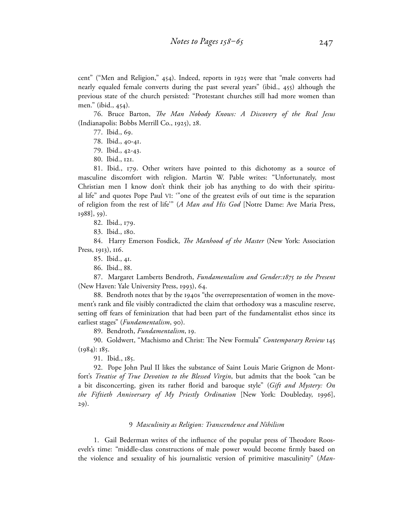cent" ("Men and Religion," 454). Indeed, reports in 925 were that "male converts had nearly equaled female converts during the past several years" (ibid., 455) although the previous state of the church persisted: "Protestant churches still had more women than men." (ibid., 454).

 76. Bruce Barton, *The Man Nobody Knows: A Discovery of the Real Jesus* (Indianapolis: Bobbs Merrill Co., 1925), 28.

77. Ibid., 69.

78. Ibid., 40-4.

79. Ibid., 42-43.

80. Ibid., 121.

 81. Ibid., 79. Other writers have pointed to this dichotomy as a source of masculine discomfort with religion. Martin W. Pable writes: "Unfortunately, most Christian men I know don't think their job has anything to do with their spiritual life" and quotes Pope Paul VI: '"one of the greatest evils of out time is the separation of religion from the rest of life'" (*A Man and His God* [Notre Dame: Ave Maria Press, 988], 59).

82. Ibid., 179.

83. Ibid., 180.

 84. Harry Emerson Fosdick, *The Manhood of the Master* (New York: Association Press, 1913), 116.

85. Ibid., 41.

86. Ibid., 88.

 87. Margaret Lamberts Bendroth, *Fundamentalism and Gender:1875 to the Present*  (New Haven: Yale University Press, 1993), 64.

88. Bendroth notes that by the 1940s "the overrepresentation of women in the movement's rank and file visibly contradicted the claim that orthodoxy was a masculine reserve, setting off fears of feminization that had been part of the fundamentalist ethos since its earliest stages" (*Fundamentalism*, 90).

89. Bendroth, *Fundamentalism*, 19.

 90. Goldwert, "Machismo and Christ: The New Formula" *Contemporary Review* 45  $(1984): 185.$ 

91. Ibid., 185.

 92. Pope John Paul II likes the substance of Saint Louis Marie Grignon de Montfort's *Treatise of True Devotion to the Blessed Virgin*, but admits that the book "can be a bit disconcerting, given its rather florid and baroque style" (*Gift and Mystery: On the Fiftieth Anniversary of My Priestly Ordination* [New York: Doubleday, 996], 29).

## 9 *Masculinity as Religion: Transcendence and Nihilism*

 1. Gail Bederman writes of the influence of the popular press of Theodore Roosevelt's time: "middle-class constructions of male power would become firmly based on the violence and sexuality of his journalistic version of primitive masculinity" (*Man-*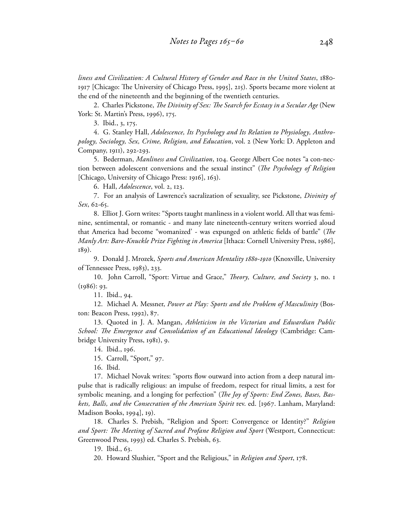*liness and Civilization: A Cultural History of Gender and Race in the United States*, 880- 97 [Chicago: The University of Chicago Press, 995], 25). Sports became more violent at the end of the nineteenth and the beginning of the twentieth centuries.

 2. Charles Pickstone, *The Divinity of Sex: The Search for Ecstasy in a Secular Age* (New York: St. Martin's Press, 1996), 175.

3. Ibid., 3, 75.

 4. G. Stanley Hall, *Adolescence, Its Psychology and Its Relation to Physiology, Anthropology, Sociology, Sex, Crime, Religion, and Education*, vol. 2 (New York: D. Appleton and Company, 1911), 292-293.

 5. Bederman, *Manliness and Civilization*, 04. George Albert Coe notes "a con-nection between adolescent conversions and the sexual instinct" (*The Psychology of Religion* [Chicago, University of Chicago Press: 1916], 163).

6. Hall, *Adolescence*, vol. 2, 23.

 7. For an analysis of Lawrence's sacralization of sexuality, see Pickstone, *Divinity of Sex*, 62-65.

 8. Elliot J. Gorn writes: "Sports taught manliness in a violent world. All that was feminine, sentimental, or romantic - and many late nineteenth-century writers worried aloud that America had become "womanized' - was expunged on athletic fields of battle" (*The Manly Art: Bare-Knuckle Prize Fighting in America* [Ithaca: Cornell University Press, 986], 189).

 9. Donald J. Mrozek, *Sports and American Mentality 1880-1910* (Knoxville, University of Tennessee Press, 1983), 233.

 10. John Carroll, "Sport: Virtue and Grace," *Theory, Culture, and Society* 3, no.  $(1986): 93.$ 

11. Ibid., 94.

 12. Michael A. Messner, *Power at Play: Sports and the Problem of Masculinity* (Boston: Beacon Press, 1992), 87.

 13. Quoted in J. A. Mangan, *Athleticism in the Victorian and Edwardian Public School: The Emergence and Consolidation of an Educational Ideology* (Cambridge: Cambridge University Press, 1981), 9.

14. Ibid., 196.

15. Carroll, "Sport," 97.

16. Ibid.

 17. Michael Novak writes: "sports flow outward into action from a deep natural impulse that is radically religious: an impulse of freedom, respect for ritual limits, a zest for symbolic meaning, and a longing for perfection" (*The Joy of Sports: End Zones, Bases, Baskets, Balls, and the Consecration of the American Spirit* rev. ed. [967. Lanham, Maryland: Madison Books, 1994], 19).

 18. Charles S. Prebish, "Religion and Sport: Convergence or Identity?" *Religion and Sport: The Meeting of Sacred and Profane Religion and Sport* (Westport, Connecticut: Greenwood Press, 993) ed. Charles S. Prebish, 63.

19. Ibid., 63.

20. Howard Slushier, "Sport and the Religious," in *Religion and Sport*, 178.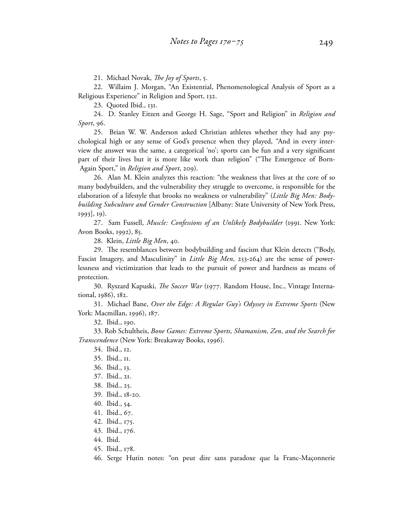21. Michael Novak, *The Joy of Sports*, 5.

 22. Willaim J. Morgan, "An Existential, Phenomenological Analysis of Sport as a Religious Experience" in Religion and Sport, 132.

23. Quoted Ibid., 131.

 24. D. Stanley Eitzen and George H. Sage, "Sport and Religion" in *Religion and Sport*, 96.

 25. Brian W. W. Anderson asked Christian athletes whether they had any psychological high or any sense of God's presence when they played, "And in every interview the answer was the same, a categorical 'no'; sports can be fun and a very significant part of their lives but it is more like work than religion" ("The Emergence of Born- Again Sport," in *Religion and Sport*, 209).

 26. Alan M. Klein analyzes this reaction: "the weakness that lives at the core of so many bodybuilders, and the vulnerability they struggle to overcome, is responsible for the elaboration of a lifestyle that brooks no weakness or vulnerability" (*Little Big Men: Bodybuilding Subculture and Gender Construction* [Albany: State University of New York Press, 1993], 19).

27. Sam Fussell, *Muscle: Confessions of an Unlikely Bodybuilder* (1991. New York: Avon Books, 1992), 85.

28. Klein, *Little Big Men*, 40.

 29. The resemblances between bodybuilding and fascism that Klein detects ("Body, Fascist Imagery, and Masculinity" in *Little Big Men*, 253-264) are the sense of powerlessness and victimization that leads to the pursuit of power and hardness as means of protection.

30. Ryszard Kapuski, *The Soccer War* (1977. Random House, Inc., Vintage International, 1986), 182.

 31. Michael Bane, *Over the Edge: A Regular Guy's Odyssey in Extreme Sports* (New York: Macmillan, 1996), 187.

32. Ibid., 190.

 33. Rob Schultheis, *Bone Games: Extreme Sports, Shamanism, Zen, and the Search for Transcendence* (New York: Breakaway Books, 1996).

- 35. Ibid., II.
- 36. Ibid., 13.
- 37. Ibid., 21.
- 38. Ibid., 25.
- 39. Ibid., 18-20.
- 40. Ibid., 54.
- 41. Ibid., 67.
- 42. Ibid., 175.
- 43. Ibid., 76.
- 44. Ibid.
- 45. Ibid., 178.

46. Serge Hutin notes: "on peut dire sans paradoxe que la Franc-Maçonnerie

<sup>34.</sup> Ibid., 12.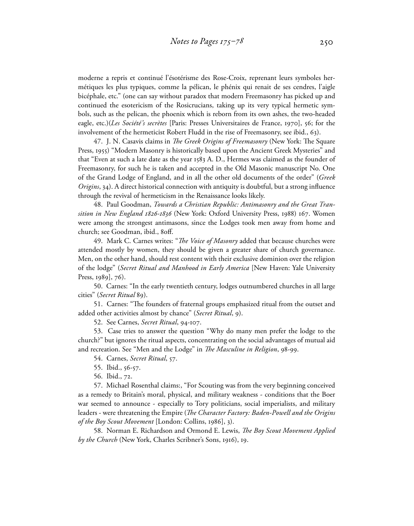moderne a repris et continué l'ésotérisme des Rose-Croix, reprenant leurs symboles hermétiques les plus typiques, comme la pélican, le phénix qui renait de ses cendres, l'aigle bicéphale, etc." (one can say without paradox that modern Freemasonry has picked up and continued the esotericism of the Rosicrucians, taking up its very typical hermetic symbols, such as the pelican, the phoenix which is reborn from its own ashes, the two-headed eagle, etc.)(*Les Société's secrètes* [Paris: Presses Universitaires de France, 970], 56; for the involvement of the hermeticist Robert Fludd in the rise of Freemasonry, see ibid., 63).

 47. J. N. Casavis claims in *The Greek Origins of Freemasonry* (New York: The Square Press, 955) "Modern Masonry is historically based upon the Ancient Greek Mysteries" and that "Even at such a late date as the year 583 A. D., Hermes was claimed as the founder of Freemasonry, for such he is taken and accepted in the Old Masonic manuscript No. One of the Grand Lodge of England, and in all the other old documents of the order" (*Greek Origins*, 34). A direct historical connection with antiquity is doubtful, but a strong influence through the revival of hermeticism in the Renaissance looks likely.

 48. Paul Goodman, *Towards a Christian Republic: Antimasonry and the Great Transition in New England 1826-1836* (New York: Oxford University Press, 1988) 167. Women were among the strongest antimasons, since the Lodges took men away from home and church; see Goodman, ibid., 8off.

 49. Mark C. Carnes writes: "*The Voice of Masonry* added that because churches were attended mostly by women, they should be given a greater share of church governance. Men, on the other hand, should rest content with their exclusive dominion over the religion of the lodge" (*Secret Ritual and Manhood in Early America* [New Haven: Yale University Press,  $1989$ ], 76).

 50. Carnes: "In the early twentieth century, lodges outnumbered churches in all large cities" (*Secret Ritual* 89).

 51. Carnes: "The founders of fraternal groups emphasized ritual from the outset and added other activities almost by chance" (*Secret Ritual*, 9).

52. See Carnes, *Secret Ritual*, 94-07.

 53. Case tries to answer the question "Why do many men prefer the lodge to the church?" but ignores the ritual aspects, concentrating on the social advantages of mutual aid and recreation. See "Men and the Lodge" in *The Masculine in Religion*, 98-99.

54. Carnes, *Secret Ritual*, 57.

55. Ibid., 56-57.

56. Ibid., 72.

 57. Michael Rosenthal claims:, "For Scouting was from the very beginning conceived as a remedy to Britain's moral, physical, and military weakness - conditions that the Boer war seemed to announce - especially to Tory politicians, social imperialists, and military leaders - were threatening the Empire (*The Character Factory: Baden-Powell and the Origins of the Boy Scout Movement* [London: Collins, 1986], 3).

 58. Norman E. Richardson and Ormond E. Lewis, *The Boy Scout Movement Applied by the Church* (New York, Charles Scribner's Sons, 1916), 19.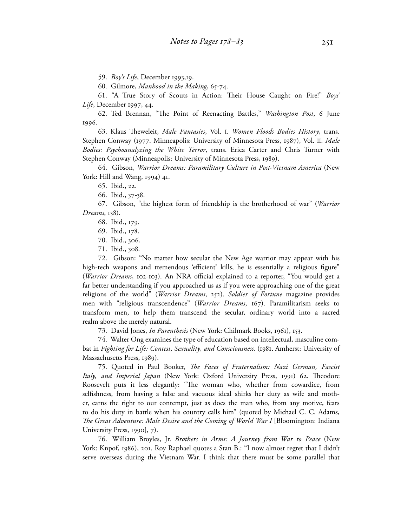59. *Boy's Life*, December 1993,19.

60. Gilmore, *Manhood in the Making*, 65-74.

 61. "A True Story of Scouts in Action: Their House Caught on Fire!" *Boys' Life*, December 1997, 44.

 62. Ted Brennan, "The Point of Reenacting Battles," *Washington Post*, 6 June 1996.

 63. Klaus Theweleit, *Male Fantasies*, Vol. I. *Women Floods Bodies History*, trans. Stephen Conway (977. Minneapolis: University of Minnesota Press, 987), Vol. II. *Male Bodies: Psychoanalyzing the White Terror*, trans. Erica Carter and Chris Turner with Stephen Conway (Minneapolis: University of Minnesota Press, 1989).

 64. Gibson, *Warrior Dreams: Paramilitary Culture in Post-Vietnam America* (New York: Hill and Wang,  $1994$ ) 41.

65. Ibid., 22.

66. Ibid., 37-38.

 67. Gibson, "the highest form of friendship is the brotherhood of war" (*Warrior Dreams*, 138).

68. Ibid., 79.

69. Ibid., 78.

70. Ibid., 306.

71. Ibid., 308.

 72. Gibson: "No matter how secular the New Age warrior may appear with his high-tech weapons and tremendous 'efficient' kills, he is essentially a religious figure" (*Warrior Dreams*, 102-103). An NRA official explained to a reporter, "You would get a far better understanding if you approached us as if you were approaching one of the great religions of the world" (*Warrior Dreams*, 252). *Soldier of Fortune* magazine provides men with "religious transcendence" (*Warrior Dreams*, 67). Paramilitarism seeks to transform men, to help them transcend the secular, ordinary world into a sacred realm above the merely natural.

73. David Jones, *In Parenthesis* (New York: Chilmark Books, 1961), 153.

 74. Walter Ong examines the type of education based on intellectual, masculine combat in *Fighting for Life: Contest, Sexuality, and Consciousness*. (98. Amherst: University of Massachusetts Press, 1989).

 75. Quoted in Paul Booker, *The Faces of Fraternalism: Nazi German, Fascist Italy, and Imperial Japan* (New York: Oxford University Press, 1991) 62. Theodore Roosevelt puts it less elegantly: "The woman who, whether from cowardice, from selfishness, from having a false and vacuous ideal shirks her duty as wife and mother, earns the right to our contempt, just as does the man who, from any motive, fears to do his duty in battle when his country calls him" (quoted by Michael C. C. Adams, *The Great Adventure: Male Desire and the Coming of World War I* [Bloomington: Indiana University Press, 1990], 7).

 76. William Broyles, Jr. *Brothers in Arms: A Journey from War to Peace* (New York: Knpof, 1986), 201. Roy Raphael quotes a Stan B.: "I now almost regret that I didn't serve overseas during the Vietnam War. I think that there must be some parallel that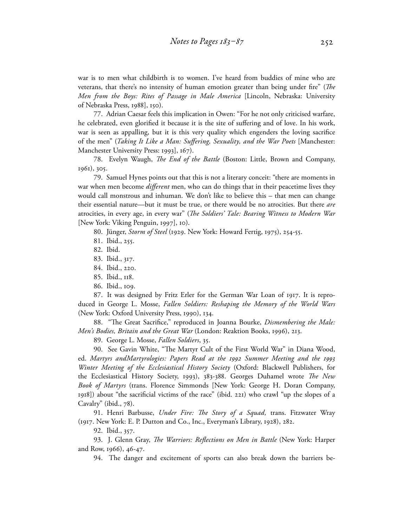war is to men what childbirth is to women. I've heard from buddies of mine who are veterans, that there's no intensity of human emotion greater than being under fire" (*The Men from the Boys: Rites of Passage in Male America* [Lincoln, Nebraska: University of Nebraska Press, 1988], 150).

 77. Adrian Caesar feels this implication in Owen: "For he not only criticised warfare, he celebrated, even glorified it because it is the site of suffering and of love. In his work, war is seen as appalling, but it is this very quality which engenders the loving sacrifice of the men" (*Taking It Like a Man: Suffering, Sexuality, and the War Poets* [Manchester: Manchester University Press: 1993], 167).

 78. Evelyn Waugh, *The End of the Battle* (Boston: Little, Brown and Company, 96), 305.

 79. Samuel Hynes points out that this is not a literary conceit: "there are moments in war when men become *different* men, who can do things that in their peacetime lives they would call monstrous and inhuman. We don't like to believe this – that men can change their essential nature—but it must be true, or there would be no atrocities. But there *are* atrocities, in every age, in every war" (*The Soldiers' Tale: Bearing Witness to Modern War*  [New York: Viking Penguin, 1997], 10).

80. Jünger, *Storm of Steel* (1929. New York: Howard Fertig, 1975), 254-55.

81. Ibid., 255.

82. Ibid.

83. Ibid., 317.

84. Ibid., 220.

85. Ibid., 118.

86. Ibid., 109.

87. It was designed by Fritz Erler for the German War Loan of 1917. It is reproduced in George L. Mosse, *Fallen Soldiers: Reshaping the Memory of the World Wars* (New York: Oxford University Press, 1990), 134.

 88. "The Great Sacrifice," reproduced in Joanna Bourke, *Dismembering the Male: Men's Bodies, Britain and the Great War* (London: Reaktion Books, 1996), 213.

89. George L. Mosse, *Fallen Soldiers*, 35.

 90. See Gavin White, "The Martyr Cult of the First World War" in Diana Wood, ed. *Martyrs andMartyrologies: Papers Read at the 1992 Summer Meeting and the 1993 Winter Meeting of the Ecclesiastical History Society* (Oxford: Blackwell Publishers, for the Ecclesiastical History Society, 993), 383-388. Georges Duhamel wrote *The New Book of Martyrs* (trans. Florence Simmonds [New York: George H. Doran Company,  $[1918]$ ) about "the sacrificial victims of the race" (ibid. 221) who crawl "up the slopes of a Cavalry" (ibid., 78).

 91. Henri Barbusse, *Under Fire: The Story of a Squad,* trans. Fitzwater Wray (97. New York: E. P. Dutton and Co., Inc., Everyman's Library, 928), 282.

92. Ibid., 357.

 93. J. Glenn Gray, *The Warriors: Reflections on Men in Battle* (New York: Harper and Row, 1966), 46-47.

94. The danger and excitement of sports can also break down the barriers be-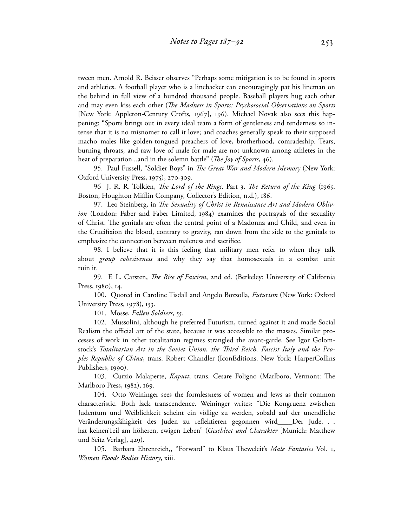tween men. Arnold R. Beisser observes "Perhaps some mitigation is to be found in sports and athletics. A football player who is a linebacker can encouragingly pat his lineman on the behind in full view of a hundred thousand people. Baseball players hug each other and may even kiss each other (*The Madness in Sports: Psychosocial Observations on Sports* [New York: Appleton-Century Crofts, 967], 96). Michael Novak also sees this happening: "Sports brings out in every ideal team a form of gentleness and tenderness so intense that it is no misnomer to call it love; and coaches generally speak to their supposed macho males like golden-tongued preachers of love, brotherhood, comradeship. Tears, burning throats, and raw love of male for male are not unknown among athletes in the heat of preparation...and in the solemn battle" (*The Joy of Sports*, 46).

 95. Paul Fussell, "Soldier Boys" in *The Great War and Modern Memory* (New York: Oxford University Press, 1975), 270-309.

 96 J. R. R. Tolkien, *The Lord of the Rings*. Part 3, *The Return of the King* (965. Boston, Houghton Mifflin Company, Collector's Edition, n.d.), 186.

 97. Leo Steinberg, in *The Sexuality of Christ in Renaissance Art and Modern Oblivion* (London: Faber and Faber Limited, 1984) examines the portrayals of the sexuality of Christ. The genitals are often the central point of a Madonna and Child, and even in the Crucifixion the blood, contrary to gravity, ran down from the side to the genitals to emphasize the connection between maleness and sacrifice.

 98. I believe that it is this feeling that military men refer to when they talk about *group cohesiveness* and why they say that homosexuals in a combat unit ruin it.

 99. F. L. Carsten, *The Rise of Fascism*, 2nd ed. (Berkeley: University of California Press, 1980), 14.

 100. Quoted in Caroline Tisdall and Angelo Bozzolla, *Futurism* (New York: Oxford University Press, 1978), 153.

101. Mosse, *Fallen Soldiers*, 55.

 102. Mussolini, although he preferred Futurism, turned against it and made Social Realism the official art of the state, because it was accessible to the masses. Similar processes of work in other totalitarian regimes strangled the avant-garde. See Igor Golomstock's *Totalitarian Art in the Soviet Union, the Third Reich, Fascist Italy and the Peoples Republic of China*, trans. Robert Chandler (IconEditions. New York: HarperCollins Publishers, 1990).

 103. Curzio Malaperte, *Kaputt*, trans. Cesare Foligno (Marlboro, Vermont: The Marlboro Press, 1982), 169.

 104. Otto Weininger sees the formlessness of women and Jews as their common characteristic. Both lack transcendence. Weininger writes: "Die Kongruenz zwischen Judentum und Weiblichkeit scheint ein völlige zu werden, sobald auf der unendliche Veränderungsfähigkeit des Juden zu reflektieren gegonnen wird\_\_\_\_Der Jude. . . hat keinenTeil am höheren, ewigen Leben" (*Geschlect und Charakter* [Munich: Matthew und Seitz Verlag], 429).

 105. Barbara Ehrenreich,, "Forward" to Klaus Theweleit's *Male Fantasies* Vol. , *Women Floods Bodies History*, xiii.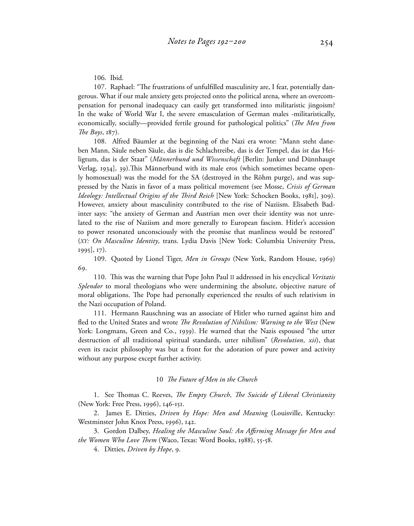106. Ibid.

 107. Raphael: "The frustrations of unfulfilled masculinity are, I fear, potentially dangerous. What if our male anxiety gets projected onto the political arena, where an overcompensation for personal inadequacy can easily get transformed into militaristic jingoism? In the wake of World War I, the severe emasculation of German males -militaristically, economically, socially—provided fertile ground for pathological politics" (*The Men from The Boys*, 187).

 108. Alfred Bäumler at the beginning of the Nazi era wrote: "Mann steht daneben Mann, Säule neben Säule, das is die Schlachtreibe, das is der Tempel, das ist das Heiligtum, das is der Staat" (*Männerbund und Wissenschaft* [Berlin: Junker und Dünnhaupt Verlag, 1934], 39). This Männerbund with its male eros (which sometimes became openly homosexual) was the model for the SA (destroyed in the Röhm purge), and was suppressed by the Nazis in favor of a mass political movement (see Mosse, *Crisis of German Ideology: Intellectual Origins of the Third Reich* [New York: Schocken Books, 1981], 309). However, anxiety about masculinity contributed to the rise of Naziism. Elisabeth Badinter says: "the anxiety of German and Austrian men over their identity was not unrelated to the rise of Naziism and more generally to European fascism. Hitler's accession to power resonated unconsciously with the promise that manliness would be restored" (*XY: On Masculine Identity*, trans. Lydia Davis [New York: Columbia University Press,  $[1995], 17$ .

 109. Quoted by Lionel Tiger, *Men in Groups* (New York, Random House, 969) 69.

 110. This was the warning that Pope John Paul II addressed in his encyclical *Veritatis Splendor* to moral theologians who were undermining the absolute, objective nature of moral obligations. The Pope had personally experienced the results of such relativism in the Nazi occupation of Poland.

 111. Hermann Rauschning was an associate of Hitler who turned against him and fled to the United States and wrote *The Revolution of Nihilism: Warning to the West* (New York: Longmans, Green and Co., 939). He warned that the Nazis espoused "the utter destruction of all traditional spiritual standards, utter nihilism" (*Revolution, xii*), that even its racist philosophy was but a front for the adoration of pure power and activity without any purpose except further activity.

## 10 *The Future of Men in the Church*

 1. See Thomas C. Reeves, *The Empty Church, The Suicide of Liberal Christianity*  (New York: Free Press, 1996), 146-151.

 2. James E. Ditties, *Driven by Hope: Men and Meaning* (Louisville, Kentucky: Westminster John Knox Press, 1996), 142.

 3. Gordon Dalbey, *Healing the Masculine Soul: An Affirming Message for Men and the Women Who Love Them* (Waco, Texas: Word Books, 1988), 55-58.

4. Ditties, *Driven by Hope*, 9.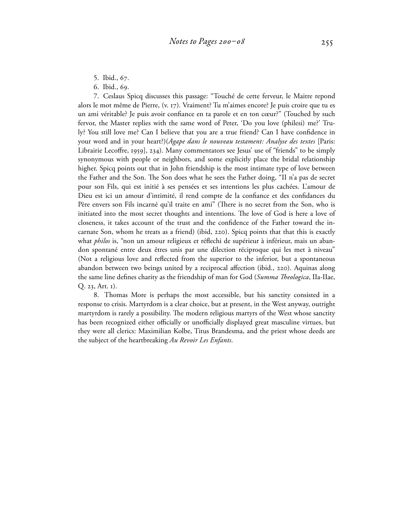- 5. Ibid., 67.
- 6. Ibid., 69.

 7. Ceslaus Spicq discusses this passage: "Touché de cette ferveur, le Maitre repond alors le mot même de Pierre, (v. 7). Vraiment? Tu m'aimes encore? Je puis croire que tu es un ami véritable? Je puis avoir confiance en ta parole et en ton cœur?" (Touched by such fervor, the Master replies with the same word of Peter, 'Do you love (philesi) me?' Truly? You still love me? Can I believe that you are a true friend? Can I have confidence in your word and in your heart?)(*Agape dans le nouveau testament: Analyse des textes* [Paris: Librairie Lecoffre, 959], 234). Many commentators see Jesus' use of "friends" to be simply synonymous with people or neighbors, and some explicitly place the bridal relationship higher. Spicq points out that in John friendship is the most intimate type of love between the Father and the Son. The Son does what he sees the Father doing, "II n'a pas de secret pour son Fils, qui est initié à ses pensées et ses intentions les plus cachées. L'amour de Dieu est ici un amour d'intimité, il rend compte de la confiance et des confidances du Père envers son Fils incarné qu'il traite en ami" (There is no secret from the Son, who is initiated into the most secret thoughts and intentions. The love of God is here a love of closeness, it takes account of the trust and the confidence of the Father toward the incarnate Son, whom he treats as a friend) (ibid, 220). Spicq points that that this is exactly what *philos* is, "non un amour religieux et réflechi de supérieur à inférieur, mais un abandon spontané entre deux êtres unis par une dilection réciproque qui les met à niveau" (Not a religious love and reflected from the superior to the inferior, but a spontaneous abandon between two beings united by a reciprocal affection (ibid., 220). Aquinas along the same line defines charity as the friendship of man for God (*Summa Theologica*, IIa-IIae, Q. 23, Art. ).

 8. Thomas More is perhaps the most accessible, but his sanctity consisted in a response to crisis. Martyrdom is a clear choice, but at present, in the West anyway, outright martyrdom is rarely a possibility. The modern religious martyrs of the West whose sanctity has been recognized either officially or unofficially displayed great masculine virtues, but they were all clerics: Maximilian Kolbe, Titus Brandesma, and the priest whose deeds are the subject of the heartbreaking *Au Revoir Les Enfants*.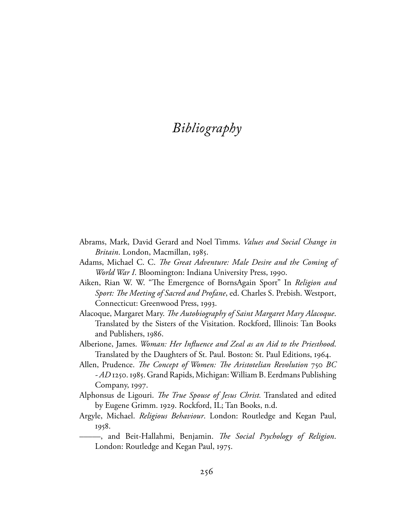## *Bibliography*

- Abrams, Mark, David Gerard and Noel Timms. *Values and Social Change in Britain*. London, Macmillan, 1985.
- Adams, Michael C. C. *The Great Adventure: Male Desire and the Coming of World War I*. Bloomington: Indiana University Press, 1990.
- Aiken, Rian W. W. "The Emergence of BornsAgain Sport" In *Religion and Sport: The Meeting of Sacred and Profane*, ed. Charles S. Prebish. Westport, Connecticut: Greenwood Press, 1993.
- Alacoque, Margaret Mary. *The Autobiography of Saint Margaret Mary Alacoque*. Translated by the Sisters of the Visitation. Rockford, Illinois: Tan Books and Publishers, 1986.
- Alberione, James. *Woman: Her Influence and Zeal as an Aid to the Priesthood*. Translated by the Daughters of St. Paul. Boston: St. Paul Editions, 964.
- Allen, Prudence. *The Concept of Women: The Aristotelian Revolution* 750 *BC* - AD 1250. 1985. Grand Rapids, Michigan: William B. Eerdmans Publishing Company,  $1997$ .
- Alphonsus de Ligouri. *The True Spouse of Jesus Christ.* Translated and edited by Eugene Grimm. 929. Rockford, IL; Tan Books, n.d.
- Argyle, Michael. *Religious Behaviour*. London: Routledge and Kegan Paul, 1958.
	- –––––, and Beit-Hallahmi, Benjamin. *The Social Psychology of Religion*. London: Routledge and Kegan Paul, 1975.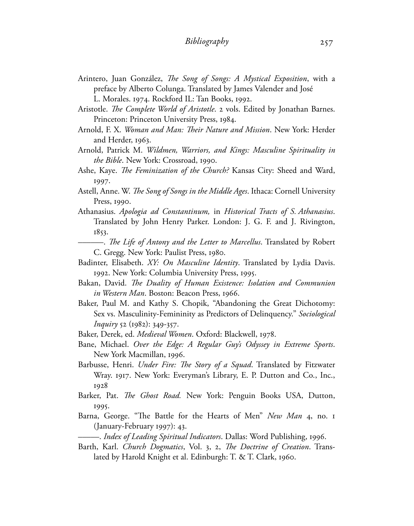- Arintero, Juan González, *The Song of Songs: A Mystical Exposition*, with a preface by Alberto Colunga. Translated by James Valender and José L. Morales. 1974. Rockford IL: Tan Books, 1992.
- Aristotle. *The Complete World of Aristotle*. 2 vols. Edited by Jonathan Barnes. Princeton: Princeton University Press, 1984.
- Arnold, F. X. *Woman and Man: Their Nature and Mission*. New York: Herder and Herder, 1963.
- Arnold, Patrick M. *Wildmen, Warriors, and Kings: Masculine Spirituality in* the Bible. New York: Crossroad, 1990.
- Ashe, Kaye. *The Feminization of the Church?* Kansas City: Sheed and Ward, 1997.
- Astell, Anne. W. *The Song of Songs in the Middle Ages*. Ithaca: Cornell University Press, 1990.
- Athanasius. *Apologia ad Constantinum,* in *Historical Tracts of S. Athanasius*. Translated by John Henry Parker. London: J. G. F. and J. Rivington, 853.
	- ––––––. *The Life of Antony and the Letter to Marcellus*. Translated by Robert C. Gregg. New York: Paulist Press, 1980.
- Badinter, Elisabeth. *XY: On Masculine Identity*. Translated by Lydia Davis. 992. New York: Columbia University Press, 995.
- Bakan, David. *The Duality of Human Existence: Isolation and Communion in Western Man*. Boston: Beacon Press, 1966.
- Baker, Paul M. and Kathy S. Chopik, "Abandoning the Great Dichotomy: Sex vs. Masculinity-Femininity as Predictors of Delinquency." *Sociological Inquiry* 52 (1982): 349-357.
- Baker, Derek, ed. *Medieval Women*. Oxford: Blackwell, 1978.
- Bane, Michael. *Over the Edge: A Regular Guy's Odyssey in Extreme Sports*. New York Macmillan, 1996.
- Barbusse, Henri. *Under Fire: The Story of a Squad*. Translated by Fitzwater Wray. 1917. New York: Everyman's Library, E. P. Dutton and Co., Inc., 928
- Barker, Pat. *The Ghost Road.* New York: Penguin Books USA, Dutton, 1995.
- Barna, George. "The Battle for the Hearts of Men" *New Man* 4, no.  $(January-February 1997): 43.$
- –––––. *Index of Leading Spiritual Indicators*. Dallas: Word Publishing, 996.
- Barth, Karl. *Church Dogmatics*, Vol. 3, 2, *The Doctrine of Creation*. Trans lated by Harold Knight et al. Edinburgh: T. & T. Clark, 1960.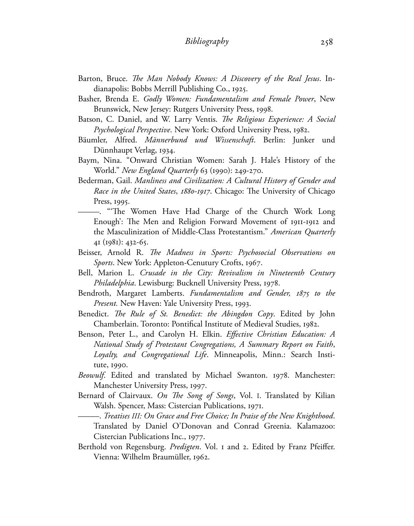- Barton, Bruce. *The Man Nobody Knows: A Discovery of the Real Jesus*. In dianapolis: Bobbs Merrill Publishing Co., 1925.
- Basher, Brenda E. *Godly Women: Fundamentalism and Female Power*, New Brunswick, New Jersey: Rutgers University Press, 1998.
- Batson, C. Daniel, and W. Larry Ventis. *The Religious Experience: A Social*  Psychological Perspective. New York: Oxford University Press, 1982.
- Bäumler, Alfred. *Männerbund und Wissenschaft*. Berlin: Junker und Dünnhaupt Verlag, 1934.
- Baym, Nina. "Onward Christian Women: Sarah J. Hale's History of the *World." New England Quarterly 63 (1990): 249-270.*
- Bederman, Gail. *Manliness and Civilization: A Cultural History of Gender and Race in the United States*, *1880-1917*. Chicago: The University of Chicago Press, 1995.
- –––––. "'The Women Have Had Charge of the Church Work Long Enough': The Men and Religion Forward Movement of 1911-1912 and the Masculinization of Middle-Class Protestantism." *American Quarterly* 41 (1981): 432-65.
- Beisser, Arnold R. *The Madness in Sports: Psychosocial Observations on Sports*. New York: Appleton-Cenutury Crofts, 1967.
- Bell, Marion L. *Crusade in the City: Revivalism in Nineteenth Century*  Philadelphia. Lewisburg: Bucknell University Press, 1978.
- Bendroth, Margaret Lamberts. *Fundamentalism and Gender, 1875 to the Present.* New Haven: Yale University Press, 1993.
- Benedict. *The Rule of St. Benedict: the Abingdon Copy*. Edited by John Chamberlain. Toronto: Pontifical Institute of Medieval Studies, 1982.
- Benson, Peter L., and Carolyn H. Elkin. *Effective Christian Education: A National Study of Protestant Congregations, A Summary Report on Faith*, *Loyalty, and Congregational Life*. Minneapolis, Minn.: Search Insti tute, 1990.
- *Beowulf*. Edited and translated by Michael Swanton. 1978. Manchester: Manchester University Press, 1997.
- Bernard of Clairvaux. *On The Song of Songs*, Vol. I. Translated by Kilian Walsh. Spencer, Mass: Cistercian Publications, 1971.
- –––––. *Treatises III: On Grace and Free Choice; In Praise of the New Knighthood*. Translated by Daniel O'Donovan and Conrad Greenia. Kalamazoo: Cistercian Publications Inc., 1977.
- Berthold von Regensburg. *Predigten*. Vol. I and 2. Edited by Franz Pfeiffer. Vienna: Wilhelm Braumüller, 1962.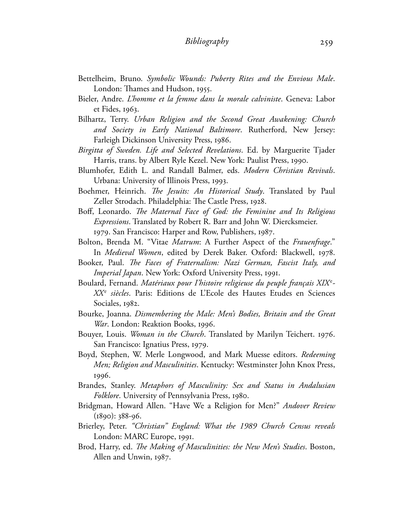- Bettelheim, Bruno. *Symbolic Wounds: Puberty Rites and the Envious Male*. London: Thames and Hudson, 1955.
- Bieler, Andre. *L'homme et la femme dans la morale calviniste*. Geneva: Labor et Fides, 1963.
- Bilhartz, Terry. *Urban Religion and the Second Great Awakening: Church and Society in Early National Baltimore*. Rutherford, New Jersey: Farleigh Dickinson University Press, 1986.
- *Birgitta of Sweden. Life and Selected Revelations*. Ed. by Marguerite Tjader Harris, trans. by Albert Ryle Kezel. New York: Paulist Press, 990.
- Blumhofer, Edith L. and Randall Balmer, eds. *Modern Christian Revivals*. Urbana: University of Illinois Press, 1993.
- Boehmer, Heinrich. *The Jesuits: An Historical Study*. Translated by Paul Zeller Strodach. Philadelphia: The Castle Press, 1928.
- Boff, Leonardo. *The Maternal Face of God: the Feminine and Its Religious Expressions*. Translated by Robert R. Barr and John W. Diercksmeier. 979. San Francisco: Harper and Row, Publishers, 987.
- Bolton, Brenda M. "Vitae *Matrum*: A Further Aspect of the *Frauenfrage*." In *Medieval Women*, edited by Derek Baker. Oxford: Blackwell, 1978.
- Booker, Paul. *The Faces of Fraternalism: Nazi German, Fascist Italy, and Imperial Japan*. New York: Oxford University Press, 1991.
- Boulard, Fernand. *Matériaux pour I'histoire religieuse du peuple français XIX*<sup>e</sup> *- XX*<sup>e</sup>  *siècles*. Paris: Editions de L'Ecole des Hautes Etudes en Sciences Sociales, 1982.
- Bourke, Joanna. *Dismembering the Male: Men's Bodies, Britain and the Great War*. London: Reaktion Books, 1996.
- Bouyer, Louis. *Woman in the Church*. Translated by Marilyn Teichert. 976. San Francisco: Ignatius Press, 1979.
- Boyd, Stephen, W. Merle Longwood, and Mark Muesse editors. *Redeeming Men; Religion and Masculinities*. Kentucky: Westminster John Knox Press, 1996.
- Brandes, Stanley. *Metaphors of Masculinity: Sex and Status in Andalusian Folklore*. University of Pennsylvania Press, 1980.
- Bridgman, Howard Allen. "Have We a Religion for Men?" *Andover Review*  $(1890): 388-96.$
- Brierley, Peter. *"Christian" England: What the 1989 Church Census reveals* London: MARC Europe, 1991.
- Brod, Harry, ed. *The Making of Masculinities: the New Men's Studies*. Boston, Allen and Unwin, 1987.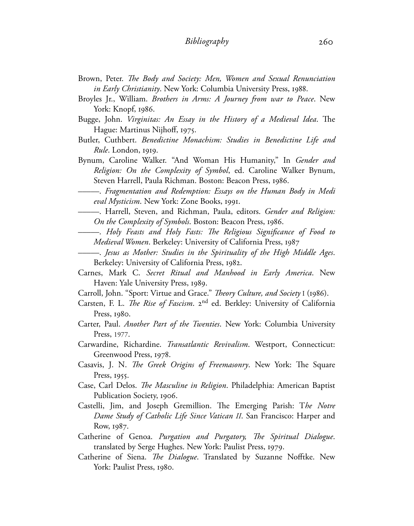- Brown, Peter. *The Body and Society: Men, Women and Sexual Renunciation in Early Christianity*. New York: Columbia University Press, 1988.
- Broyles Jr., William. *Brothers in Arms: A Journey from war to Peace*. New York: Knopf, 1986.
- Bugge, John. *Virginitas: An Essay in the History of a Medieval Idea*. The Hague: Martinus Nijhoff, 1975.
- Butler, Cuthbert. *Benedictine Monachism: Studies in Benedictine Life and Rule*. London, 1919.
- Bynum, Caroline Walker. "And Woman His Humanity," In *Gender and Religion: On the Complexity of Symbol*, ed. Caroline Walker Bynum, Steven Harrell, Paula Richman. Boston: Beacon Press, 1986.
- –––––. *Fragmentation and Redemption: Essays on the Human Body in Medi eval Mysticism*. New York: Zone Books, 1991.
- –––––. Harrell, Steven, and Richman, Paula, editors. *Gender and Religion: On the Complexity of Symbols*. Boston: Beacon Press, 1986.
	- –––––. *Holy Feasts and Holy Fasts: The Religious Significance of Food to Medieval Women*. Berkeley: University of California Press, 1987
- –––––. *Jesus as Mother: Studies in the Spirituality of the High Middle Ages*. Berkeley: University of California Press, 1982.
- Carnes, Mark C. *Secret Ritual and Manhood in Early America*. New Haven: Yale University Press, 1989.
- Carroll, John. "Sport: Virtue and Grace." *Theory Culture, and Society* I (1986).
- Carsten, F. L. *The Rise of Fascism*. 2nd ed. Berkley: University of California Press, 1980.
- Carter, Paul. *Another Part of the Twenties*. New York: Columbia University Press, 1977.
- Carwardine, Richardine. *Transatlantic Revivalism*. Westport, Connecticut: Greenwood Press, 1978.
- Casavis, J. N. *The Greek Origins of Freemasonry*. New York: The Square Press, 1955.
- Case, Carl Delos. *The Masculine in Religion*. Philadelphia: American Baptist Publication Society, 1906.
- Castelli, Jim, and Joseph Gremillion. The Emerging Parish: T*he Notre Dame Study of Catholic Life Since Vatican II*. San Francisco: Harper and Row, 1987.
- Catherine of Genoa. *Purgation and Purgatory, The Spiritual Dialogue*. translated by Serge Hughes. New York: Paulist Press, 979.
- Catherine of Siena. *The Dialogue*. Translated by Suzanne Nofftke. New York: Paulist Press, 1980.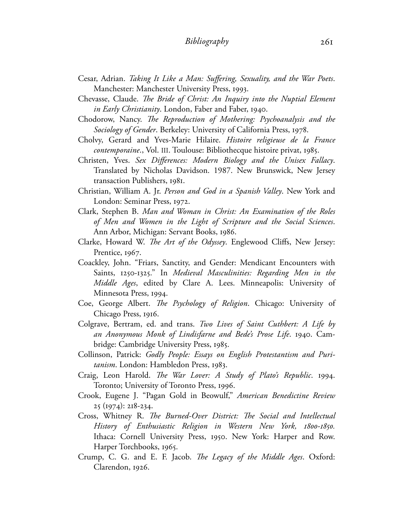- Cesar, Adrian. *Taking It Like a Man: Suffering, Sexuality, and the War Poets*. Manchester: Manchester University Press, 1993.
- Chevasse, Claude. *The Bride of Christ: An Inquiry into the Nuptial Element in Early Christianity*. London, Faber and Faber, 1940.
- Chodorow, Nancy. *The Reproduction of Mothering: Psychoanalysis and the Sociology of Gender*. Berkeley: University of California Press, 1978.
- Cholvy, Gerard and Yves-Marie Hilaire. *Histoire religieuse de la France contemporaine.*, Vol. III. Toulouse: Bibliothecque histoire privat, 1985.
- Christen, Yves. *Sex Differences: Modern Biology and the Unisex Fallacy*. Translated by Nicholas Davidson. 1987. New Brunswick, New Jersey transaction Publishers, 1981.
- Christian, William A. Jr. *Person and God in a Spanish Valley*. New York and London: Seminar Press, 1972.
- Clark, Stephen B. *Man and Woman in Christ: An Examination of the Roles of Men and Women in the Light of Scripture and the Social Sciences*. Ann Arbor, Michigan: Servant Books, 986.
- Clarke, Howard W. *The Art of the Odyssey*. Englewood Cliffs, New Jersey: Prentice, 1967.
- Coackley, John. "Friars, Sanctity, and Gender: Mendicant Encounters with Saints, 250-325." In *Medieval Masculinities: Regarding Men in the Middle Ages*, edited by Clare A. Lees. Minneapolis: University of Minnesota Press, 1994.
- Coe, George Albert. *The Psychology of Religion*. Chicago: University of Chicago Press, 1916.
- Colgrave, Bertram, ed. and trans. *Two Lives of Saint Cuthbert: A Life by*  an Anonymous Monk of Lindisfarne and Bede's Prose Life. 1940. Cambridge: Cambridge University Press, 1985.
- Collinson, Patrick: *Godly People: Essays on English Protestantism and Puri* tanism. London: Hambledon Press, 1983.
- Craig, Leon Harold. *The War Lover: A Study of Plato's Republic*. 1994. Toronto; University of Toronto Press, 1996.
- Crook, Eugene J. "Pagan Gold in Beowulf," *American Benedictine Review* 25 (974): 28-234.
- Cross, Whitney R. *The Burned-Over District: The Social and Intellectual History of Enthusiastic Religion in Western New York, 1800-1850.* Ithaca: Cornell University Press, 1950. New York: Harper and Row. Harper Torchbooks, 1965.
- Crump, C. G. and E. F. Jacob. *The Legacy of the Middle Ages*. Oxford: Clarendon, 1926.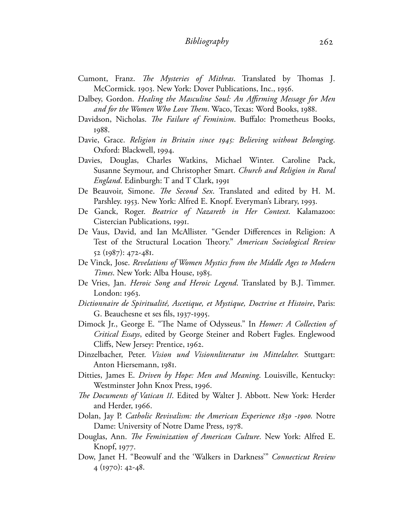- Cumont, Franz. *The Mysteries of Mithras*. Translated by Thomas J. McCormick. 1903. New York: Dover Publications, Inc., 1956.
- Dalbey, Gordon. *Healing the Masculine Soul: An Affirming Message for Men and for the Women Who Love Them*. Waco, Texas: Word Books, 988.
- Davidson, Nicholas. *The Failure of Feminism*. Buffalo: Prometheus Books, 988.
- Davie, Grace. *Religion in Britain since 1945: Believing without Belonging*. Oxford: Blackwell, 1994.
- Davies, Douglas, Charles Watkins, Michael Winter. Caroline Pack, Susanne Seymour, and Christopher Smart. *Church and Religion in Rural England*. Edinburgh: T and T Clark, 1991
- De Beauvoir, Simone. *The Second Sex*. Translated and edited by H. M. Parshley. 1953. New York: Alfred E. Knopf. Everyman's Library, 1993.
- De Ganck, Roger. *Beatrice of Nazareth in Her Context*. Kalamazoo: Cistercian Publications, 1991.
- De Vaus, David, and Ian McAllister. "Gender Differences in Religion: A Test of the Structural Location Theory." *American Sociological Review* 52 (1987): 472-481.
- De Vinck, Jose. *Revelations of Women Mystics from the Middle Ages to Modern Times*. New York: Alba House, 1985.
- De Vries, Jan. *Heroic Song and Heroic Legend*. Translated by B.J. Timmer. London: 1963.
- *Dictionnaire de Spiritualité, Ascetique, et Mystique, Doctrine et Histoire*, Paris: G. Beauchesne et ses fils, 1937-1995.
- Dimock Jr., George E. "The Name of Odysseus." In *Homer: A Collection of Critical Essays*, edited by George Steiner and Robert Fagles. Englewood Cliffs, New Jersey: Prentice, 1962.
- Dinzelbacher, Peter. *Vision und Visionnliteratur im Mittelalter.* Stuttgart: Anton Hiersemann, 1981.
- Ditties, James E. *Driven by Hope: Men and Meaning*. Louisville, Kentucky: Westminster John Knox Press, 1996.
- *The Documents of Vatican II*. Edited by Walter J. Abbott. New York: Herder and Herder, 1966.
- Dolan, Jay P. *Catholic Revivalism: the American Experience 1830 -1900.* Notre Dame: University of Notre Dame Press, 1978.
- Douglas, Ann. *The Feminization of American Culture*. New York: Alfred E. Knopf, 1977.
- Dow, Janet H. "Beowulf and the 'Walkers in Darkness'" *Connecticut Review*  $4$  (1970): 42-48.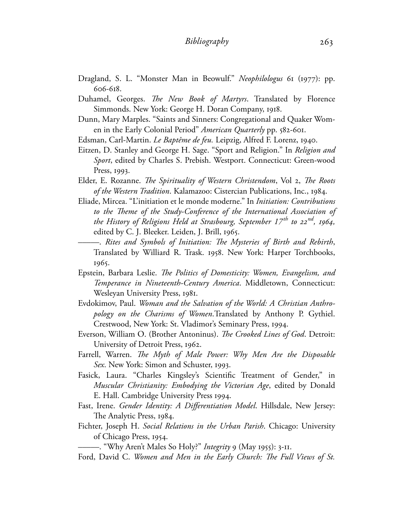- Dragland, S. L. "Monster Man in Beowulf." *Neophilologus* 61 (1977): pp. 606-618.
- Duhamel, Georges. *The New Book of Martyrs*. Translated by Florence Simmonds. New York: George H. Doran Company, 1918.
- Dunn, Mary Marples. "Saints and Sinners: Congregational and Quaker Wom en in the Early Colonial Period" *American Quarterly* pp. 582-60.
- Edsman, Carl-Martin. *Le Baptême de feu*. Leipzig, Alfred F. Lorenz, 1940.
- Eitzen, D. Stanley and George H. Sage. "Sport and Religion." In *Religion and Sport*, edited by Charles S. Prebish. Westport. Connecticut: Green-wood Press, 1993.
- Elder, E. Rozanne. *The Spirituality of Western Christendom*, Vol 2, *The Roots of the Western Tradition*. Kalamazoo: Cistercian Publications, Inc., 984.
- Eliade, Mircea. "L'initiation et le monde moderne." In *Initiation: Contributions to the Theme of the Study-Conference of the International Association of the History of Religions Held at Strasbourg, September 17th to 22nd, 1964,* edited by C. J. Bleeker. Leiden, J. Brill, 1965.
- –––––. *Rites and Symbols of Initiation: The Mysteries of Birth and Rebirth*, Translated by Williard R. Trask. 1958. New York: Harper Torchbooks, 1965.
- Epstein, Barbara Leslie. *The Politics of Domesticity: Women, Evangelism, and Temperance in Nineteenth-Century America*. Middletown, Connecticut: Wesleyan University Press, 1981.
- Evdokimov, Paul. *Woman and the Salvation of the World: A Christian Anthro pology on the Charisms of Women*.Translated by Anthony P. Gythiel. Crestwood, New York: St. Vladimor's Seminary Press, 994.
- Everson, William O. (Brother Antoninus). *The Crooked Lines of God*. Detroit: University of Detroit Press, 1962.
- Farrell, Warren. *The Myth of Male Power: Why Men Are the Disposable Sex*. New York: Simon and Schuster, 1993.
- Fasick, Laura. "Charles Kingsley's Scientific Treatment of Gender," in *Muscular Christianity: Embodying the Victorian Age*, edited by Donald E. Hall. Cambridge University Press 1994.
- Fast, Irene. *Gender Identity: A Differentiation Model*. Hillsdale, New Jersey: The Analytic Press, 1984.
- Fichter, Joseph H. *Social Relations in the Urban Parish*. Chicago: University of Chicago Press, 1954.

—–. "Why Aren't Males So Holy?" *Integrity* 9 (May 1955): 3-11.

Ford, David C. *Women and Men in the Early Church: The Full Views of St.*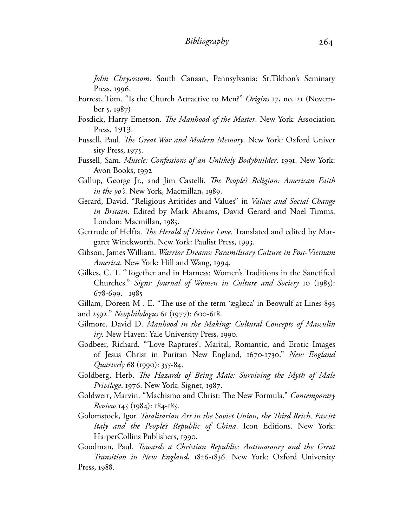*John Chrysostom*. South Canaan, Pennsylvania: St.Tikhon's Seminary Press, 1996.

- Forrest, Tom. "Is the Church Attractive to Men?" *Origins* 17, no. 21 (Novem $ber\,5, 1987)$
- Fosdick, Harry Emerson. *The Manhood of the Master*. New York: Association Press, 1913.
- Fussell, Paul. *The Great War and Modern Memory*. New York: Oxford Univer sity Press, 1975.
- Fussell, Sam. *Muscle: Confessions of an Unlikely Bodybuilder*. 1991. New York: Avon Books, 1992
- Gallup, George Jr., and Jim Castelli. *The People's Religion: American Faith in the 90's*. New York, Macmillan, 1989.
- Gerard, David. "Religious Attitides and Values" in *Values and Social Change in Britain*. Edited by Mark Abrams, David Gerard and Noel Timms. London: Macmillan, 1985.
- Gertrude of Helfta. *The Herald of Divine Love*. Translated and edited by Mar garet Winckworth. New York: Paulist Press, 993.
- Gibson, James William. *Warrior Dreams: Paramilitary Culture in Post-Vietnam America*. New York: Hill and Wang, 1994.
- Gilkes, C. T. "Together and in Harness: Women's Traditions in the Sanctified Churches." *Signs: Journal of Women in Culture and Society* 10 (1985): 678-699. 1985
- Gillam, Doreen M . E. "The use of the term 'æglæca' in Beowulf at Lines 893 and 2592." *Neophilologus* 61 (1977): 600-618.
- Gilmore. David D. *Manhood in the Making: Cultural Concepts of Masculin ity*. New Haven: Yale University Press, 1990.
- Godbeer, Richard. "'Love Raptures': Marital, Romantic, and Erotic Images of Jesus Christ in Puritan New England, 670-730." *New England Quarterly* 68 (1990): 355-84.
- Goldberg, Herb. *The Hazards of Being Male: Surviving the Myth of Male Privilege*. 1976. New York: Signet, 1987.
- Goldwert, Marvin. "Machismo and Christ: The New Formula." *Contemporary Review* 145 (1984): 184-185.
- Golomstock, Igor. *Totalitarian Art in the Soviet Union, the Third Reich, Fascist Italy and the People's Republic of China*. Icon Editions. New York: HarperCollins Publishers, 1990.

Goodman, Paul. *Towards a Christian Republic: Antimasonry and the Great Transition in New England*, 826-836. New York: Oxford University Press, 1988.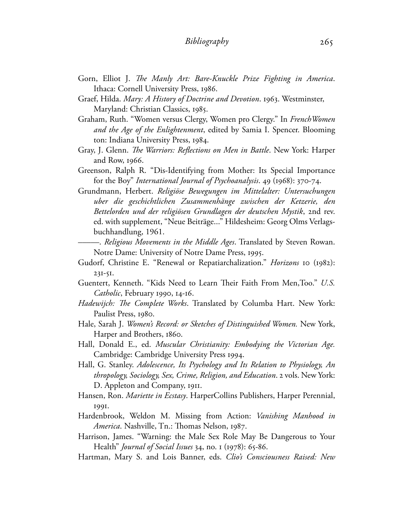- Gorn, Elliot J. *The Manly Art: Bare-Knuckle Prize Fighting in America*. Ithaca: Cornell University Press, 1986.
- Graef, Hilda. *Mary: A History of Doctrine and Devotion*. 963. Westminster, Maryland: Christian Classics, 1985.
- Graham, Ruth. "Women versus Clergy, Women pro Clergy." In *FrenchWomen and the Age of the Enlightenment*, edited by Samia I. Spencer. Blooming ton: Indiana University Press, 1984.
- Gray, J. Glenn. *The Warriors: Reflections on Men in Battle*. New York: Harper and Row, 1966.
- Greenson, Ralph R. "Dis-Identifying from Mother: Its Special Importance for the Boy" *International Journal of Psychoanalysis*. 49 (968): 370-74.
- Grundmann, Herbert. *Religiöse Bewegungen im Mittelalter: Untersuchungen uber die geschichtlichen Zusammenhänge zwischen der Ketzerie, den Bettelorden und der religiösen Grundlagen der deutschen Mystik*, 2nd rev. ed. with supplement, "Neue Beiträge..." Hildesheim: Georg Olms Verlags buchhandlung, 1961.
	- –––––. *Religious Movements in the Middle Ages*. Translated by Steven Rowan. Notre Dame: University of Notre Dame Press, 1995.
- Gudorf, Christine E. "Renewal or Repatiarchalization." *Horizons* 10 (1982): 23I-5I.
- Guentert, Kenneth. "Kids Need to Learn Their Faith From Men,Too." *U.S. Catholic*, February 1990, 14-16.
- *Hadewijch: The Complete Works*. Translated by Columba Hart. New York: Paulist Press, 1980.
- Hale, Sarah J. *Women's Record: or Sketches of Distinguished Women.* New York, Harper and Brothers, 1860.
- Hall, Donald E., ed. *Muscular Christianity: Embodying the Victorian Age.* Cambridge: Cambridge University Press 1994.
- Hall, G. Stanley. *Adolescence, Its Psychology and Its Relation to Physiology, An thropology, Sociology, Sex, Crime, Religion, and Education*. 2 vols. New York: D. Appleton and Company, 1911.
- Hansen, Ron. *Mariette in Ecstasy*. HarperCollins Publishers, Harper Perennial, 1991.
- Hardenbrook, Weldon M. Missing from Action: *Vanishing Manhood in America*. Nashville, Tn.: Thomas Nelson, 1987.
- Harrison, James. "Warning: the Male Sex Role May Be Dangerous to Your Health" *Journal of Social Issues* 34, no. 1 (1978): 65-86.
- Hartman, Mary S. and Lois Banner, eds. *Clio's Consciousness Raised: New*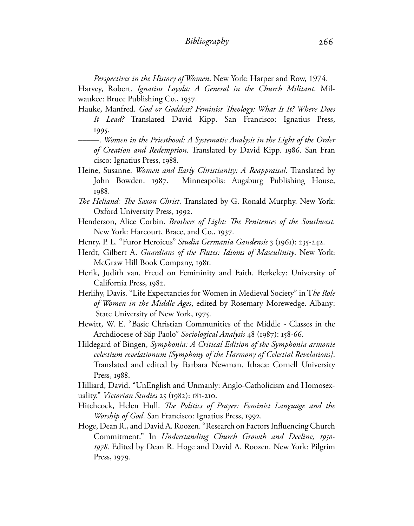*Perspectives in the History of Women*. New York: Harper and Row, 1974.

Harvey, Robert. *Ignatius Loyola: A General in the Church Militant*. Milwaukee: Bruce Publishing Co., 1937.

Hauke, Manfred. *God or Goddess? Feminist Theology: What Is It? Where Does It Lead?* Translated David Kipp. San Francisco: Ignatius Press, 1995.

–––––. *Women in the Priesthood: A Systematic Analysis in the Light of the Order* of Creation and Redemption. Translated by David Kipp. 1986. San Fran cisco: Ignatius Press, 1988.

- Heine, Susanne. *Women and Early Christianity: A Reappraisal*. Translated by John Bowden. 987. Minneapolis: Augsburg Publishing House, 988.
- *The Heliand: The Saxon Christ*. Translated by G. Ronald Murphy. New York: Oxford University Press, 1992.
- Henderson, Alice Corbin. *Brothers of Light: The Penitentes of the Southwest.* New York: Harcourt, Brace, and Co., 1937.
- Henry, P. L. "Furor Heroicus" Studia Germania Gandensis 3 (1961): 235-242.
- Herdt, Gilbert A. *Guardians of the Flutes: Idioms of Masculinity*. New York: McGraw Hill Book Company, 1981.
- Herik, Judith van. Freud on Femininity and Faith. Berkeley: University of California Press, 1982.
- Herlihy, Davis. "Life Expectancies for Women in Medieval Society" in T*he Role of Women in the Middle Ages*, edited by Rosemary Morewedge. Albany: State University of New York, 1975.
- Hewitt, W. E. "Basic Christian Communities of the Middle Classes in the Archdiocese of Sãp Paolo" *Sociological Analysis* 48 (1987): 158-66.

Hildegard of Bingen, *Symphonia: A Critical Edition of the Symphonia armonie celestium revelationum [Symphony of the Harmony of Celestial Revelations]*. Translated and edited by Barbara Newman. Ithaca: Cornell University Press, 1988.

Hilliard, David. "UnEnglish and Unmanly: Anglo-Catholicism and Homosexuality." *Victorian Studies* 25 (1982): 181-210.

- Hitchcock, Helen Hull. *The Politics of Prayer: Feminist Language and the Worship of God.* San Francisco: Ignatius Press, 1992.
- Hoge, Dean R., and David A. Roozen. "Research on Factors Influencing Church Commitment." In *Understanding Church Growth and Decline, 1950- 1978*. Edited by Dean R. Hoge and David A. Roozen. New York: Pilgrim Press, 1979.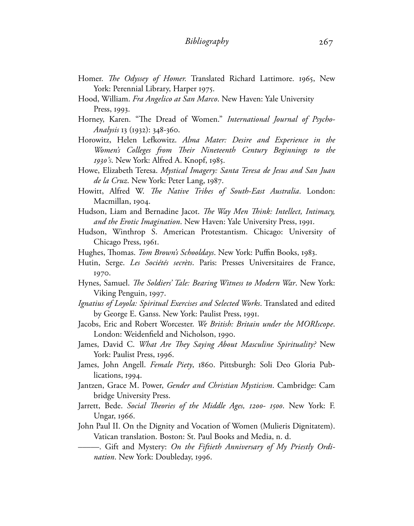- Homer. *The Odyssey of Homer.* Translated Richard Lattimore. 965, New York: Perennial Library, Harper 1975.
- Hood, William. *Fra Angelico at San Marco*. New Haven: Yale University Press, 1993.
- Horney, Karen. "The Dread of Women." *International Journal of Psycho- Analysis* 13 (1932): 348-360.
- Horowitz, Helen Lefkowitz. *Alma Mater: Desire and Experience in the Women's Colleges from Their Nineteenth Century Beginnings to the 1930's*. New York: Alfred A. Knopf, 1985.
- Howe, Elizabeth Teresa. *Mystical Imagery: Santa Teresa de Jesus and San Juan de la Cruz*. New York: Peter Lang, 1987.
- Howitt, Alfred W. *The Native Tribes of South-East Australia*. London: Macmillan, 1904.
- Hudson, Liam and Bernadine Jacot. *The Way Men Think: Intellect, Intimacy, and the Erotic Imagination*. New Haven: Yale University Press, 1991.
- Hudson, Winthrop S. American Protestantism. Chicago: University of Chicago Press, 1961.
- Hughes, Thomas. *Tom Brown's Schooldays*. New York: Puffin Books, 983.
- Hutin, Serge. *Les Sociétés secrèts*. Paris: Presses Universitaires de France, 1970.
- Hynes, Samuel. *The Soldiers' Tale: Bearing Witness to Modern War*. New York: Viking Penguin, 1997.
- *Ignatius of Loyola: Spiritual Exercises and Selected Works*. Translated and edited by George E. Ganss. New York: Paulist Press, 1991.
- Jacobs, Eric and Robert Worcester. *We British: Britain under the MORIscope*. London: Weidenfield and Nicholson, 1990.
- James, David C. *What Are They Saying About Masculine Spirituality?* New York: Paulist Press, 1996.
- James, John Angell. *Female Piety*, 860. Pittsburgh: Soli Deo Gloria Pub lications, 1994.
- Jantzen, Grace M. Power, *Gender and Christian Mysticism*. Cambridge: Cam bridge University Press.
- Jarrett, Bede. *Social Theories of the Middle Ages, 1200- 1500*. New York: F. Ungar, 1966.
- John Paul II. On the Dignity and Vocation of Women (Mulieris Dignitatem). Vatican translation. Boston: St. Paul Books and Media, n. d.
	- –––––. Gift and Mystery: *On the Fiftieth Anniversary of My Priestly Ordi nation*. New York: Doubleday, 1996.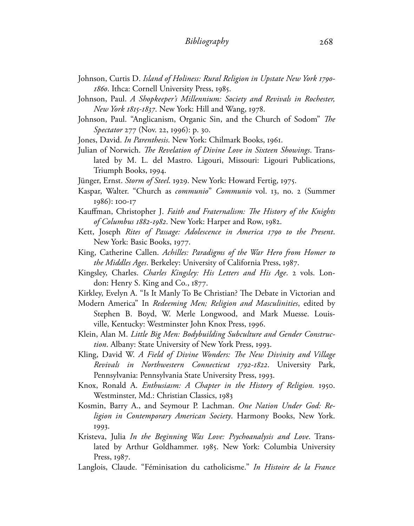- Johnson, Curtis D. *Island of Holiness: Rural Religion in Upstate New York 1790-* 1860. Ithca: Cornell University Press, 1985.
- Johnson, Paul. *A Shopkeeper's Millennium: Society and Revivals in Rochester, New York 1815-1837*. New York: Hill and Wang, 1978.
- Johnson, Paul. "Anglicanism, Organic Sin, and the Church of Sodom" *The Spectator* 277 (Nov. 22, 1996): p. 30.
- Jones, David. *In Parenthesis*. New York: Chilmark Books, 1961.
- Julian of Norwich. *The Revelation of Divine Love in Sixteen Showings*. Trans lated by M. L. del Mastro. Ligouri, Missouri: Ligouri Publications, Triumph Books, 1994.
- Jünger, Ernst. *Storm of Steel*. 1929. New York: Howard Fertig, 1975.
- Kaspar, Walter. "Church as *communio" Communio* vol. 13, no. 2 (Summer 1986): 100-17
- Kauffman, Christopher J. *Faith and Fraternalism: The History of the Knights*  of Columbus 1882-1982. New York: Harper and Row, 1982.
- Kett, Joseph *Rites of Passage: Adolescence in America 1790 to the Present*. New York: Basic Books, 1977.
- King, Catherine Callen. *Achilles: Paradigms of the War Hero from Homer to the Middles Ages*. Berkeley: University of California Press, 1987.
- Kingsley, Charles. *Charles Kingsley: His Letters and His Age*. 2 vols. Lon don: Henry S. King and Co., 1877.
- Kirkley, Evelyn A. "Is It Manly To Be Christian? The Debate in Victorian and
- Modern America" In *Redeeming Men; Religion and Masculinities*, edited by Stephen B. Boyd, W. Merle Longwood, and Mark Muesse. Louis ville, Kentucky: Westminster John Knox Press, 996.
- Klein, Alan M. *Little Big Men: Bodybuilding Subculture and Gender Construc tion*. Albany: State University of New York Press, 1993.
- Kling, David W. *A Field of Divine Wonders: The New Divinity and Village Revivals in Northwestern Connecticut 1792-1822*. University Park, Pennsylvania: Pennsylvania State University Press, 1993.
- Knox, Ronald A. *Enthusiasm: A Chapter in the History of Religion.* 950. Westminster, Md.: Christian Classics, 1983
- Kosmin, Barry A., and Seymour P. Lachman. *One Nation Under God: Re ligion in Contemporary American Society*. Harmony Books, New York. 1993.
- Kristeva, Julia *In the Beginning Was Love: Psychoanalysis and Love*. Trans lated by Arthur Goldhammer. 1985. New York: Columbia University Press, 1987.
- Langlois, Claude. "Féminisation du catholicisme." *In Histoire de la France*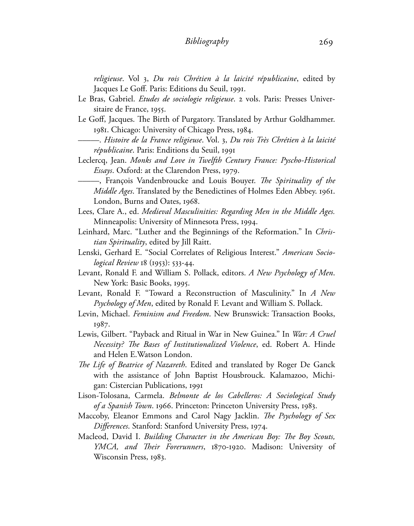*religieuse*. Vol 3, *Du rois Chrétien à la laicité républicaine*, edited by Jacques Le Goff. Paris: Editions du Seuil, 1991.

- Le Bras, Gabriel. *Etudes de sociologie religieuse*. 2 vols. Paris: Presses Univer sitaire de France, 1955.
- Le Goff, Jacques. The Birth of Purgatory. Translated by Arthur Goldhammer. 1981. Chicago: University of Chicago Press, 1984.
- –––––. *Histoire de la France religieuse*. Vol. 3, *Du rois Très Chrétien à la laicité républicaine*. Paris: Enditions du Seuil, 1991
- Leclercq, Jean. *Monks and Love in Twelfth Century France: Pyscho-Historical Essays*. Oxford: at the Clarendon Press, 1979.
	- –––––, François Vandenbroucke and Louis Bouyer. *The Spirituality of the Middle Ages*. Translated by the Benedictines of Holmes Eden Abbey. 1961. London, Burns and Oates, 1968.
- Lees, Clare A., ed. *Medieval Masculinities: Regarding Men in the Middle Ages.*  Minneapolis: University of Minnesota Press, 1994.
- Leinhard, Marc. "Luther and the Beginnings of the Reformation." In *Chris tian Spirituality*, edited by Jill Raitt.
- Lenski, Gerhard E. "Social Correlates of Religious Interest." *American Socio logical Review* 18 (1953): 533-44.
- Levant, Ronald F. and William S. Pollack, editors. *A New Psychology of Men*. New York: Basic Books, 1995.
- Levant, Ronald F. "Toward a Reconstruction of Masculinity." In *A New Psychology of Men*, edited by Ronald F. Levant and William S. Pollack.
- Levin, Michael. *Feminism and Freedom*. New Brunswick: Transaction Books, 1987.
- Lewis, Gilbert. "Payback and Ritual in War in New Guinea." In *War: A Cruel Necessity? The Bases of Institutionalized Violence*, ed. Robert A. Hinde and Helen E.Watson London.
- *The Life of Beatrice of Nazareth*. Edited and translated by Roger De Ganck with the assistance of John Baptist Housbrouck. Kalamazoo, Michi gan: Cistercian Publications, 1991
- Lison-Tolosana, Carmela. *Belmonte de los Cabelleros: A Sociological Study*  of a Spanish Town. 1966. Princeton: Princeton University Press, 1983.
- Maccoby, Eleanor Emmons and Carol Nagy Jacklin. *The Psychology of Sex Differences*. Stanford: Stanford University Press, 1974.
- Macleod, David I. *Building Character in the American Boy: The Boy Scouts, YMCA, and Their Forerunners*, 1870-1920. Madison: University of Wisconsin Press, 1983.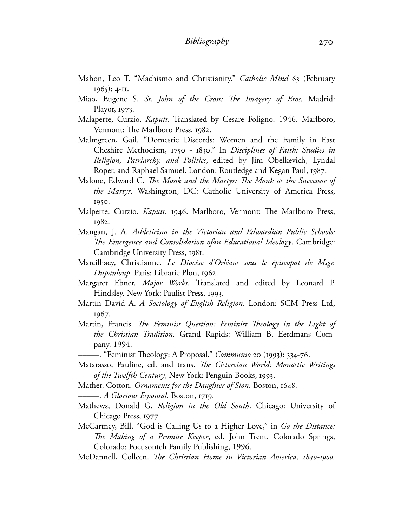- Mahon, Leo T. "Machismo and Christianity." *Catholic Mind* 63 (February  $1965$ : 4-II.
- Miao, Eugene S. *St. John of the Cross: The Imagery of Eros.* Madrid: Playor, 1973.
- Malaperte, Curzio. *Kaputt*. Translated by Cesare Foligno. 1946. Marlboro, Vermont: The Marlboro Press, 1982.
- Malmgreen, Gail. "Domestic Discords: Women and the Family in East Cheshire Methodism, 750 - 830." In *Disciplines of Faith: Studies in Religion, Patriarchy, and Politics*, edited by Jim Obelkevich, Lyndal Roper, and Raphael Samuel. London: Routledge and Kegan Paul, 1987.
- Malone, Edward C. *The Monk and the Martyr: The Monk as the Successor of the Martyr*. Washington, DC: Catholic University of America Press, 1950.
- Malperte, Curzio. *Kaputt*. 1946. Marlboro, Vermont: The Marlboro Press, 1982.
- Mangan, J. A. *Athleticism in the Victorian and Edwardian Public Schools: The Emergence and Consolidation ofan Educational Ideology*. Cambridge: Cambridge University Press, 1981.
- Marcilhacy, Christianne*. Le Diocèse d'Orléans sous le épiscopat de Msgr. Dupanloup*. Paris: Librarie Plon, 1962.
- Margaret Ebner. *Major Works*. Translated and edited by Leonard P. Hindsley. New York: Paulist Press, 1993.
- Martin David A. *A Sociology of English Religion*. London: SCM Press Ltd, 1967.
- Martin, Francis. *The Feminist Question: Feminist Theology in the Light of the Christian Tradition*. Grand Rapids: William B. Eerdmans Com pany, 1994.

–––––. "Feminist Theology: A Proposal." *Communio* 20 (993): 334-76.

- Matarasso, Pauline, ed. and trans. *The Cistercian World: Monastic Writings of the Twelfth Century*, New York: Penguin Books, 1993.
- Mather, Cotton. *Ornaments for the Daughter of Sion*. Boston, 1648.
- –––––. *A Glorious Espousal*. Boston, 79.
- Mathews, Donald G. *Religion in the Old South*. Chicago: University of Chicago Press, 1977.
- McCartney, Bill. "God is Calling Us to a Higher Love," in *Go the Distance: The Making of a Promise Keeper*, ed. John Trent. Colorado Springs, Colorado: Focusonteh Family Publishing, 1996.
- McDannell, Colleen. *The Christian Home in Victorian America, 1840-1900.*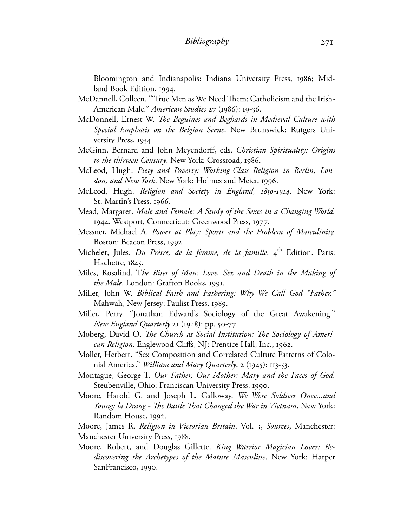Bloomington and Indianapolis: Indiana University Press, 1986; Midland Book Edition, 1994.

- McDannell, Colleen. '"True Men as We Need Them: Catholicism and the Irish- American Male." *American Studies* 27 (1986): 19-36.
- McDonnell, Ernest W. *The Beguines and Beghards in Medieval Culture with Special Emphasis on the Belgian Scene*. New Brunswick: Rutgers Uni versity Press, 1954.
- McGinn, Bernard and John Meyendorff, eds. *Christian Spirituality: Origins*  to the thirteen Century. New York: Crossroad, 1986.
- McLeod, Hugh. *Piety and Poverty: Working-Class Religion in Berlin, Lon* don, and New York. New York: Holmes and Meier, 1996.
- McLeod, Hugh. *Religion and Society in England, 1850-1914*. New York: St. Martin's Press, 1966.
- Mead, Margaret. *Male and Female: A Study of the Sexes in a Changing World.* 944. Westport, Connecticut: Greenwood Press, 977.
- Messner, Michael A. *Power at Play: Sports and the Problem of Masculinity.*  Boston: Beacon Press, 1992.
- Michelet, Jules. *Du Prêtre, de la femme, de la famille*. 4<sup>th</sup> Edition. Paris: Hachette, 1845.
- Miles, Rosalind. T*he Rites of Man: Love, Sex and Death in the Making of the Male*. London: Grafton Books, 1991.
- Miller, John W. *Biblical Faith and Fathering: Why We Call God "Father."*  Mahwah, New Jersey: Paulist Press, 1989.
- Miller, Perry. "Jonathan Edward's Sociology of the Great Awakening." *New England Quarterly* 21 (1948): pp. 50-77.
- Moberg, David O. *The Church as Social Institution: The Sociology of Ameri can Religion*. Englewood Cliffs, NJ: Prentice Hall, Inc., 1962.
- Moller, Herbert. "Sex Composition and Correlated Culture Patterns of Colo nial America." *William and Mary Quarterly*, 2 (1945): 113-53.
- Montague, George T. *Our Father, Our Mother: Mary and the Faces of God.*  Steubenville, Ohio: Franciscan University Press, 1990.
- Moore, Harold G. and Joseph L. Galloway. *We Were Soldiers Once...and Young: la Drang - The Battle That Changed the War in Vietnam*. New York: Random House, 1992.
- Moore, James R. *Religion in Victorian Britain*. Vol. 3, *Sources*, Manchester: Manchester University Press, 1988.
- Moore, Robert, and Douglas Gillette. *King Warrior Magician Lover: Re discovering the Archetypes of the Mature Masculine*. New York: Harper SanFrancisco, 1990.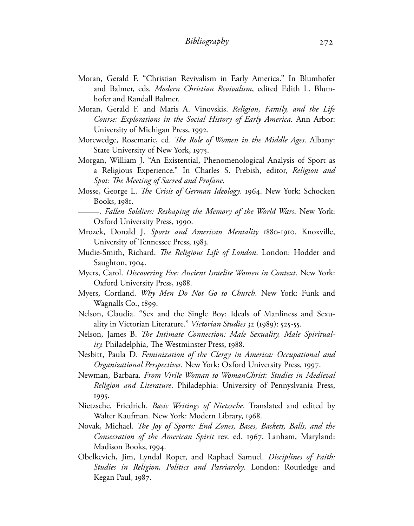- Moran, Gerald F. "Christian Revivalism in Early America." In Blumhofer and Balmer, eds. *Modern Christian Revivalism*, edited Edith L. Blum hofer and Randall Balmer.
- Moran, Gerald F. and Maris A. Vinovskis. *Religion, Family, and the Life Course: Explorations in the Social History of Early America*. Ann Arbor: University of Michigan Press, 1992.
- Morewedge, Rosemarie, ed. *The Role of Women in the Middle Ages*. Albany: State University of New York, 1975.
- Morgan, William J. "An Existential, Phenomenological Analysis of Sport as a Religious Experience." In Charles S. Prebish, editor, *Religion and Spot: The Meeting of Sacred and Profane*.
- Mosse, George L. *The Crisis of German Ideology*. 1964. New York: Schocken Books, 1981.
- –––––. *Fallen Soldiers: Reshaping the Memory of the World Wars*. New York: Oxford University Press, 1990.
- Mrozek, Donald J. *Sports and American Mentality* 1880-1910. Knoxville, University of Tennessee Press, 1983.
- Mudie-Smith, Richard. *The Religious Life of London*. London: Hodder and Saughton, 1904.
- Myers, Carol. *Discovering Eve: Ancient Israelite Women in Context*. New York: Oxford University Press, 1988.
- Myers, Cortland. *Why Men Do Not Go to Church*. New York: Funk and Wagnalls Co., 1899.
- Nelson, Claudia. "Sex and the Single Boy: Ideals of Manliness and Sexu ality in Victorian Literature." *Victorian Studies* 32 (989): 525-55.
- Nelson, James B. *The Intimate Connection: Male Sexuality, Male Spiritual ity*. Philadelphia, The Westminster Press, 1988.
- Nesbitt, Paula D. *Feminization of the Clergy in America: Occupational and Organizational Perspectives*. New York: Oxford University Press, 997.
- Newman, Barbara. *From Virile Woman to WomanChrist: Studies in Medieval Religion and Literature*. Philadephia: University of Pennyslvania Press, 1995.
- Nietzsche, Friedrich. *Basic Writings of Nietzsche*. Translated and edited by Walter Kaufman. New York: Modern Library, 1968.
- Novak, Michael. *The Joy of Sports: End Zones, Bases, Baskets, Balls, and the Consecration of the American Spirit* rev. ed. 1967. Lanham, Maryland: Madison Books, 1994.
- Obelkevich, Jim, Lyndal Roper, and Raphael Samuel. *Disciplines of Faith: Studies in Religion, Politics and Patriarchy*. London: Routledge and Kegan Paul, 1987.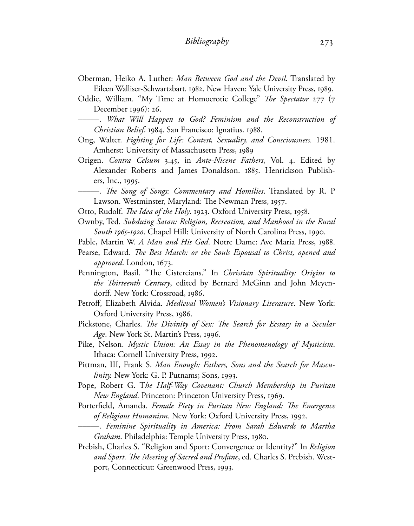- Oberman, Heiko A. Luther: *Man Between God and the Devil*. Translated by Eileen Walliser-Schwartzbart. 1982. New Haven: Yale University Press, 1989.
- Oddie, William. "My Time at Homoerotic College" *The Spectator* 277 (7 December 1996): 26.
	- –––––. *What Will Happen to God? Feminism and the Reconstruction of Christian Belief*. 984. San Francisco: Ignatius. 988.
- Ong, Walter. *Fighting for Life: Contest, Sexuality, and Consciousness.* 1981. Amherst: University of Massachusetts Press, 1989
- Origen. *Contra Celsum* 3.45, in *Ante-Nicene Fathers*, Vol. 4. Edited by Alexander Roberts and James Donaldson. 1885. Henrickson Publishers, Inc., 1995.
	- –––––. *The Song of Songs: Commentary and Homilies*. Translated by R. P Lawson. Westminster, Maryland: The Newman Press, 1957.
- Otto, Rudolf. *The Idea of the Holy*. 1923. Oxford University Press, 1958.
- Ownby, Ted. *Subduing Satan: Religion, Recreation, and Manhood in the Rural South 1965-1920*. Chapel Hill: University of North Carolina Press, 1990.
- Pable, Martin W. *A Man and His God*. Notre Dame: Ave Maria Press, 1988.
- Pearse, Edward. *The Best Match: or the Souls Espousal to Christ, opened and approved*. London, 1673.
- Pennington, Basil. "The Cistercians." In *Christian Spirituality: Origins to the Thirteenth Century*, edited by Bernard McGinn and John Meyen dorff. New York: Crossroad, 1986.
- Petroff, Elizabeth Alvida. *Medieval Women's Visionary Literature*. New York: Oxford University Press, 1986.
- Pickstone, Charles. *The Divinity of Sex: The Search for Ecstasy in a Secular Age*. New York St. Martin's Press, 1996.
- Pike, Nelson. *Mystic Union: An Essay in the Phenomenology of Mysticism*. Ithaca: Cornell University Press, 1992.
- Pittman, III, Frank S. *Man Enough: Fathers, Sons and the Search for Mascu linity*. New York: G. P. Putnams; Sons, 1993.
- Pope, Robert G. T*he Half-Way Covenant: Church Membership in Puritan New England*. Princeton: Princeton University Press, 1969.
- Porterfield, Amanda. *Female Piety in Puritan New England: The Emergence of Religious Humanism*. New York: Oxford University Press, 992.
	- –––––. *Feminine Spirituality in America: From Sarah Edwards to Martha* Graham. Philadelphia: Temple University Press, 1980.
- Prebish, Charles S. "Religion and Sport: Convergence or Identity?" In *Religion and Sport. The Meeting of Sacred and Profane*, ed. Charles S. Prebish. West port, Connecticut: Greenwood Press, 1993.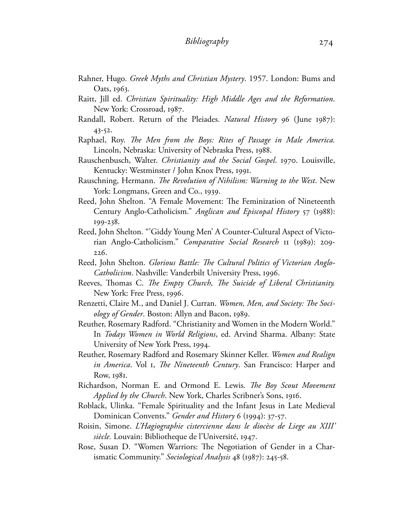- Rahner, Hugo. *Greek Myths and Christian Mystery*. 1957. London: Bums and Oats, 1963.
- Raitt, Jill ed. *Christian Spirituality: High Middle Ages and the Reformation*. New York: Crossroad, 1987.
- Randall, Robert. Return of the Pleiades. *Natural History* 96 (June 1987): 43-52.
- Raphael, Roy. *The Men from the Boys: Rites of Passage in Male America.*  Lincoln, Nebraska: University of Nebraska Press, 988.
- Rauschenbusch, Walter. *Christianity and the Social Gospel*. 1970. Louisville, Kentucky: Westminster / John Knox Press, 1991.
- Rauschning, Hermann. *The Revolution of Nihilism: Warning to the West*. New York: Longmans, Green and Co., 1939.
- Reed, John Shelton. "A Female Movement: The Feminization of Nineteenth Century Anglo-Catholicism." *Anglican and Episcopal History* 57 (1988): 99-238.
- Reed, John Shelton. "'Giddy Young Men' A Counter-Cultural Aspect of Victo rian Anglo-Catholicism." *Comparative Social Research* II (1989): 209-226.
- Reed, John Shelton. *Glorious Battle: The Cultural Politics of Victorian Anglo- Catholicism*. Nashville: Vanderbilt University Press, 1996.
- Reeves, Thomas C. *The Empty Church, The Suicide of Liberal Christianity.* New York: Free Press, 1996.
- Renzetti, Claire M., and Daniel J. Curran. *Women, Men, and Society: The Soci ology of Gender*. Boston: Allyn and Bacon, 1989.
- Reuther, Rosemary Radford. "Christianity and Women in the Modern World." In *Todays Women in World Religions*, ed. Arvind Sharma. Albany: State University of New York Press, 1994.
- Reuther, Rosemary Radford and Rosemary Skinner Keller. *Women and Realign in America*. Vol 1, *The Nineteenth Century*. San Francisco: Harper and Row, 1981.
- Richardson, Norman E. and Ormond E. Lewis. *The Boy Scout Movement Applied by the Church*. New York, Charles Scribner's Sons, 1916.
- Roblack, Ulinka. "Female Spirituality and the Infant Jesus in Late Medieval Dominican Convents." *Gender and History* 6 (1994): 37-57.
- Roisin, Simone. *L'Hagiographie cistercienne dans le diocèse de Liege au XIII' siècle.* Louvain: Bibliotheque de l'Université, 947.
- Rose, Susan D. "Women Warriors: The Negotiation of Gender in a Char ismatic Community." *Sociological Analysis* 48 (1987): 245-58.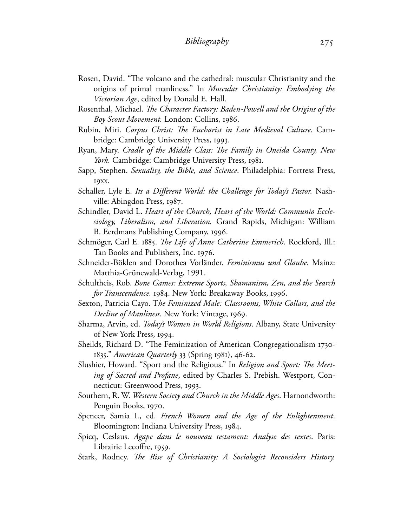- Rosen, David. "The volcano and the cathedral: muscular Christianity and the origins of primal manliness." In *Muscular Christianity: Embodying the Victorian Age*, edited by Donald E. Hall.
- Rosenthal, Michael. *The Character Factory: Baden-Powell and the Origins of the Boy Scout Movement.* London: Collins, 1986.
- Rubin, Miri. *Corpus Christ: The Eucharist in Late Medieval Culture*. Cam bridge: Cambridge University Press, 1993.
- Ryan, Mary. *Cradle of the Middle Class: The Family in Oneida County, New York.* Cambridge: Cambridge University Press, 1981.
- Sapp, Stephen. *Sexuality, the Bible, and Science*. Philadelphia: Fortress Press, 19XX.
- Schaller, Lyle E. *Its a Different World: the Challenge for Today's Pastor.* Nash ville: Abingdon Press, 1987.
- Schindler, David L. *Heart of the Church, Heart of the World: Communio Eccle siology, Liberalism, and Liberation.* Grand Rapids, Michigan: William B. Eerdmans Publishing Company, 1996.
- Schmöger, Carl E. 885. *The Life of Anne Catherine Emmerich*. Rockford, Ill.: Tan Books and Publishers, Inc. 1976.
- Schneider-Böklen and Dorothea Vorländer. *Feminismus und Glaube*. Mainz: Matthia-Grünewald-Verlag, 1991.
- Schultheis, Rob. *Bone Games: Extreme Sports, Shamanism, Zen, and the Search for Transcendence.* 1984. New York: Breakaway Books, 1996.
- Sexton, Patricia Cayo. T*he Feminized Male: Classrooms, White Collars, and the Decline of Manliness*. New York: Vintage, 1969.
- Sharma, Arvin, ed. *Today's Women in World Religions*. Albany, State University of New York Press, 1994.
- Sheilds, Richard D. "The Feminization of American Congregationalism 730- 1835." *American Quarterly* 33 (Spring 1981), 46-62.
- Slushier, Howard. "Sport and the Religious." In *Religion and Sport: The Meet ing of Sacred and Profane*, edited by Charles S. Prebish. Westport, Con necticut: Greenwood Press, 1993.
- Southern, R. W. *Western Society and Church in the Middle Ages*. Harnondworth: Penguin Books, 1970.
- Spencer, Samia I., ed. *French Women and the Age of the Enlightenment*. Bloomington: Indiana University Press, 1984.
- Spicq, Ceslaus. *Agape dans le nouveau testament: Analyse des textes*. Paris: Librairie Lecoffre, 1959.
- Stark, Rodney. *The Rise of Christianity: A Sociologist Reconsiders History.*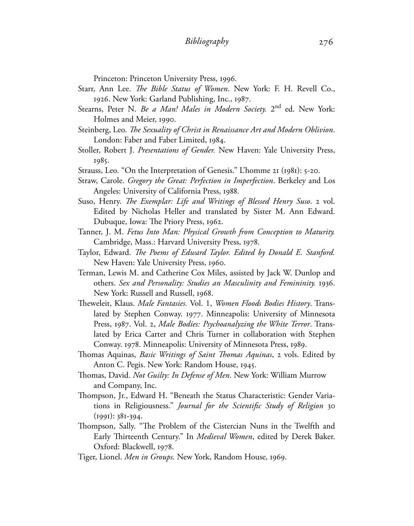Princeton: Princeton University Press, 1996.

- Starr, Ann Lee. *The Bible Status of Women*. New York: F. H. Revell Co., 1926. New York: Garland Publishing, Inc., 1987.
- Stearns, Peter N. *Be a Man! Males in Modern Society.* 2nd ed. New York: Holmes and Meier, 1990.
- Steinberg, Leo. *The Sexuality of Christ in Renaissance Art and Modern Oblivion*. London: Faber and Faber Limited, 1984.
- Stoller, Robert J. *Presentations of Gender.* New Haven: Yale University Press, 1985.
- Strauss, Leo. "On the Interpretation of Genesis." L'homme 21 (1981): 5-20.
- Straw, Carole. *Gregory the Great: Perfection in Imperfection*. Berkeley and Los Angeles: University of California Press, 1988.
- Suso, Henry. *The Exemplar: Life and Writings of Blessed Henry Suso*. 2 vol. Edited by Nicholas Heller and translated by Sister M. Ann Edward. Dubuque, Iowa: The Priory Press, 1962.
- Tanner, J. M. *Fetus Into Man: Physical Growth from Conception to Maturity.* Cambridge, Mass.: Harvard University Press, 1978.
- Taylor, Edward. *The Poems of Edward Taylor. Edited by Donald E. Stanford.* New Haven: Yale University Press, 1960.
- Terman, Lewis M. and Catherine Cox Miles, assisted by Jack W. Dunlop and others. *Sex and Personality: Studies an Masculinity and Femininity.* 936. New York: Russell and Russell, 1968.
- Theweleit, Klaus. *Male Fantasies.* Vol. 1, *Women Floods Bodies History*. Trans lated by Stephen Conway. 1977. Minneapolis: University of Minnesota Press, 987. Vol. 2, *Male Bodies: Psychoanalyzing the White Terror*. Trans lated by Erica Carter and Chris Turner in collaboration with Stephen Conway. 1978. Minneapolis: University of Minnesota Press, 1989.
- Thomas Aquinas, *Basic Writings of Saint Thomas Aquinas*, 2 vols. Edited by Anton C. Pegis. New York: Random House, 1945.
- Thomas, David. *Not Guilty: In Defense of Men*. New York: William Murrow and Company, Inc.
- Thompson, Jr., Edward H. "Beneath the Status Characteristic: Gender Varia tions in Religiousness." *Journal for the Scientific Study of Religion* 30  $(1991): 38I-394.$
- Thompson, Sally. "The Problem of the Cistercian Nuns in the Twelfth and Early Thirteenth Century." In *Medieval Women*, edited by Derek Baker. Oxford: Blackwell, 1978.
- Tiger, Lionel. *Men in Groups*. New York, Random House, 969.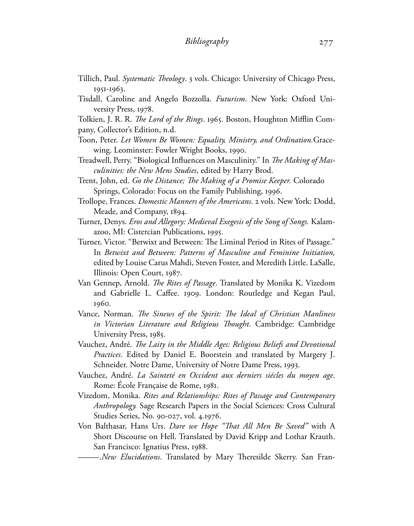- Tillich, Paul. *Systematic Theology*. 3 vols. Chicago: University of Chicago Press, 1951-1963.
- Tisdall, Caroline and Angelo Bozzolla. *Futurism*. New York: Oxford Uni versity Press, 1978.
- Tolkien, J. R. R. *The Lord of the Rings*. 965. Boston, Houghton Mifflin Company, Collector's Edition, n.d.
- Toon, Peter. *Let Women Be Women: Equality, Ministry, and Ordination.*Grace wing. Leominster: Fowler Wright Books, 1990.
- Treadwell, Perry. "Biological Influences on Masculinity." In *The Making of Mas culinities: the New Mens Studies*, edited by Harry Brod.
- Trent, John, ed. *Go the Distance; The Making of a Promise Keeper.* Colorado Springs, Colorado: Focus on the Family Publishing, 1996.
- Trollope, Frances. *Domestic Manners of the Americans*. 2 vols. New York: Dodd, Meade, and Company, 1894.
- Turner, Denys. *Eros and Allegory: Medieval Exegesis of the Song of Songs.* Kalam azoo, MI: Cistercian Publications, 1995.
- Turner, Victor. "Betwixt and Between: The Liminal Period in Rites of Passage." In *Betwixt and Between: Patterns of Masculine and Feminine Initiation,* edited by Louise Carus Mahdi, Steven Foster, and Meredith Little. LaSalle, Illinois: Open Court, 1987.
- Van Gennep, Arnold. *The Rites of Passage*. Translated by Monika K. Vizedom and Gabrielle L. Caffee. 909. London: Routledge and Kegan Paul, 1960.
- Vance, Norman. *The Sinews of the Spirit: The Ideal of Christian Manliness in Victorian Literature and Religious Thought*. Cambridge: Cambridge University Press, 1985.
- Vauchez, André. *The Laity in the Middle Ages: Religious Beliefs and Devotional Practices.* Edited by Daniel E. Boorstein and translated by Margery J. Schneider. Notre Dame, University of Notre Dame Press, 1993.
- Vauchez, André. *La Sainteté en Occident aux derniers siécles du moyen age*. Rome: Ecole Française de Rome, 1981.
- Vizedom, Monika. *Rites and Relationships: Rites of Passage and Contemporary Anthropology.* Sage Research Papers in the Social Sciences: Cross Cultural Studies Series, No. 90-027, vol. 4.1976.
- Von Balthasar, Hans Urs. *Dare we Hope "That All Men Be Saved"* with A Short Discourse on Hell. Translated by David Kripp and Lothar Krauth. San Francisco: Ignatius Press, 1988.
	- –––––.*New Elucidations*. Translated by Mary Theresilde Skerry. San Fran-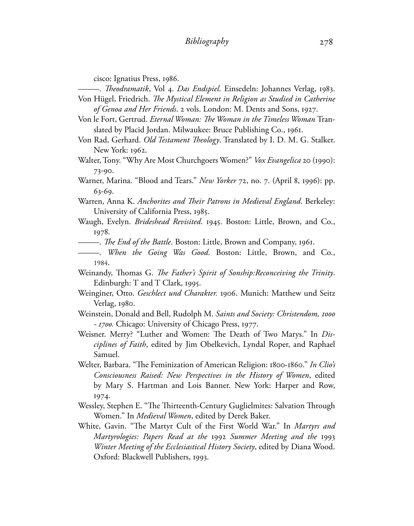cisco: Ignatius Press, 1986.

–––––. *Theodramatik*, Vol 4. *Das Endspiel*. Einsedeln: Johannes Verlag, 983.

- Von Hügel, Friedrich. *The Mystical Element in Religion as Studied in Catherine of Genoa and Her Friends*. 2 vols. London: M. Dents and Sons, 927.
- Von le Fort, Gertrud. *Eternal Woman: The Woman in the Timeless Woman* Tran slated by Placid Jordan. Milwaukee: Bruce Publishing Co., 1961.
- Von Rad, Gerhard. *Old Testament Theology*. Translated by I. D. M. G. Stalker. New York: 1962.
- Walter, Tony. "Why Are Most Churchgoers Women?" *Vox Evangelica* 20 (990): 73-90.
- Warner, Marina. "Blood and Tears." *New Yorker* 72, no. 7. (April 8, 996): pp. 63-69.
- Warren, Anna K. *Anchorites and Their Patrons in Medieval England*. Berkeley: University of California Press, 1985.
- Waugh, Evelyn. *Brideshead Revisited*. 945. Boston: Little, Brown, and Co., 978.
- –––––. *The End of the Battle*. Boston: Little, Brown and Company, 96.
- –––––. *When the Going Was Good*. Boston: Little, Brown, and Co., 1984.
- Weinandy, Thomas G. *The Father's Spirit of Sonship:Reconceiving the Trinity*. Edinburgh:  $T$  and  $T$  Clark, 1995.
- Weinginer, Otto. *Geschlect und Charakter*. 1906. Munich: Matthew und Seitz Verlag, 1980.
- Weinstein, Donald and Bell, Rudolph M. *Saints and Society: Christendom, 1000 - 1700*. Chicago: University of Chicago Press, 1977.
- Weisner. Merry? "Luther and Women: The Death of Two Marys." In *Dis ciplines of Faith*, edited by Jim Obelkevich, Lyndal Roper, and Raphael Samuel.
- Welter, Barbara. "The Feminization of American Religion: 800-860." *In Clio's Consciousness Raised: New Perspectives in the History of Women*, edited by Mary S. Hartman and Lois Banner. New York: Harper and Row, 974.
- Wessley, Stephen E. "The Thirteenth-Century Guglielmites: Salvation Through Women." In *Medieval Women*, edited by Derek Baker.
- White, Gavin. "The Martyr Cult of the First World War." In *Martyrs and Martyrologies: Papers Read at the* 992 *Summer Meeting and the* 993  *Winter Meeting of the Ecclesiastical History Society*, edited by Diana Wood. Oxford: Blackwell Publishers, 1993.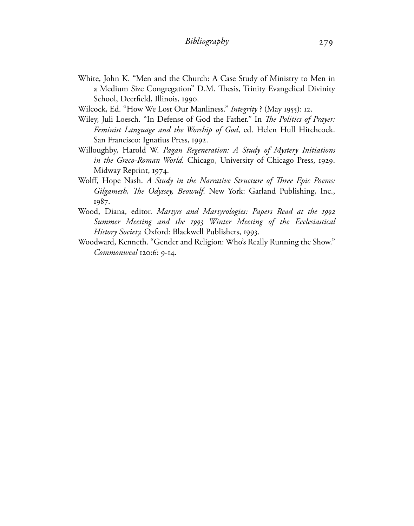- White, John K. "Men and the Church: A Case Study of Ministry to Men in a Medium Size Congregation" D.M. Thesis, Trinity Evangelical Divinity School, Deerfield, Illinois, 1990.
- Wilcock, Ed. "How We Lost Our Manliness." *Integrity* ? (May 1955): 12.
- Wiley, Juli Loesch. "In Defense of God the Father." In *The Politics of Prayer: Feminist Language and the Worship of God*, ed. Helen Hull Hitchcock. San Francisco: Ignatius Press, 1992.
- Willoughby, Harold W. *Pagan Regeneration: A Study of Mystery Initiations in the Greco-Roman World.* Chicago, University of Chicago Press, 929. Midway Reprint, 1974.
- Wolff, Hope Nash. *A Study in the Narrative Structure of Three Epic Poems: Gilgamesh, The Odyssey, Beowulf*. New York: Garland Publishing, Inc., 1987.
- Wood, Diana, editor. *Martyrs and Martyrologies: Papers Read at the 1992 Summer Meeting and the 1993 Winter Meeting of the Ecclesiastical History Society.* Oxford: Blackwell Publishers, 1993.
- Woodward, Kenneth. "Gender and Religion: Who's Really Running the Show." *Commonweal* 120:6: 9-14.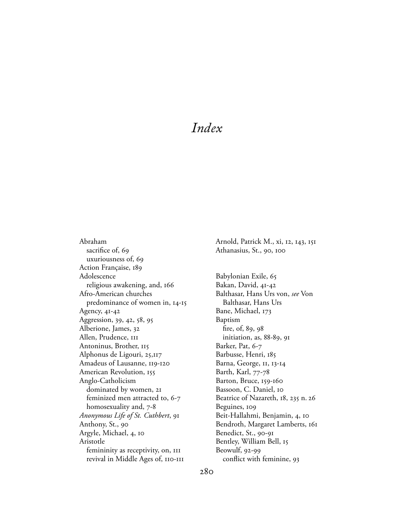## *Index*

Abraham sacrifice of, 69 uxuriousness of, 69 Action Française, 189 Adolescence religious awakening, and, 166 Afro-American churches predominance of women in, 14-15 Agency, 41-42 Aggression, 39, 42, 58, 95 Alberione, James, 32 Allen, Prudence, Antoninus, Brother, 115 Alphonus de Ligouri, 25,117 Amadeus of Lausanne, 119-120 American Revolution, 155 Anglo-Catholicism dominated by women, 2 feminized men attracted to, 6-7 homosexuality and, 7-8 *Anonymous Life of St. Cuthbert*, 9 Anthony, St., 90 Argyle, Michael, 4, 10 Aristotle femininity as receptivity, on, III revival in Middle Ages of, 110-111

Arnold, Patrick M., xi, 12, 143, 151 Athanasius, St., 90, 100

Babylonian Exile, 65 Bakan, David, 41-42 Balthasar, Hans Urs von, *see* Von Balthasar, Hans Urs Bane, Michael, 173 Baptism fire, of, 89, 98 initiation, as, 88-89, 9 Barker, Pat, 6-7 Barbusse, Henri, 185 Barna, George, II, 13-14 Barth, Karl, 77-78 Barton, Bruce, 159-160 Bassoon, C. Daniel, 10 Beatrice of Nazareth, 18, 235 n. 26 Beguines, 109 Beit-Hallahmi, Benjamin, 4, 10 Bendroth, Margaret Lamberts, 161 Benedict, St., 90-91 Bentley, William Bell, 15 Beowulf, 92-99 conflict with feminine, 93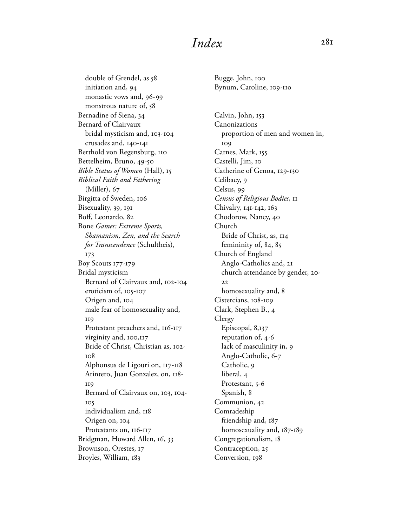double of Grendel, as 58 initiation and, 94 monastic vows and, 96-99 monstrous nature of, 58 Bernadine of Siena, 34 Bernard of Clairvaux bridal mysticism and, 103-104 crusades and, 140-141 Berthold von Regensburg, 110 Bettelheim, Bruno, 49-50 *Bible Status of Women* (Hall), 15 *Biblical Faith and Fathering* (Miller), 67 Birgitta of Sweden, 106 Bisexuality, 39, 191 Boff, Leonardo, 82 Bone *Games: Extreme Sports, Shamanism, Zen, and the Search for Transcendence* (Schultheis), 173 Boy Scouts 177-179 Bridal mysticism Bernard of Clairvaux and, 102-104 eroticism of, 105-107 Origen and, 104 male fear of homosexuality and, II9 Protestant preachers and, 116-117 virginity and, 100,117 Bride of Christ, Christian as, 102-108 Alphonsus de Ligouri on, 117-118 Arintero, Juan Gonzalez, on, 118-II9 Bernard of Clairvaux on, 103, 104-105 individualism and,  $118$ Origen on, 104 Protestants on, 116-117 Bridgman, Howard Allen, 16, 33 Brownson, Orestes, 17 Broyles, William, 183

Bugge, John, 100 Bynum, Caroline, 109-110

Calvin, John, 153 Canonizations proportion of men and women in, 109 Carnes, Mark, 155 Castelli, Jim, 10 Catherine of Genoa, 129-130 Celibacy, 9 Celsus, 99 *Census of Religious Bodies*, Chivalry, 141-142, 163 Chodorow, Nancy, 40 Church Bride of Christ, as, 114 femininity of, 84, 85 Church of England Anglo-Catholics and, 2 church attendance by gender, 20- 22 homosexuality and, 8 Cistercians, 108-109 Clark, Stephen B., 4 Clergy Episcopal, 8,137 reputation of, 4-6 lack of masculinity in, 9 Anglo-Catholic, 6-7 Catholic, 9 liberal, 4 Protestant, 5-6 Spanish, 8 Communion, 42 Comradeship friendship and, 187 homosexuality and, 187-189 Congregationalism, 18 Contraception, 25 Conversion, 198

 $28<sub>I</sub>$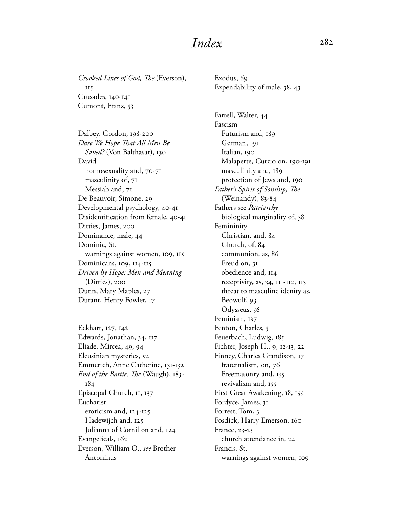*Crooked Lines of God, The* (Everson),  $II5$  $Crusades$ ,  $140-141$ Cumont, Franz, 53

Dalbey, Gordon, 198-200 *Dare We Hope That All Men Be Saved?* (Von Balthasar), 130 David homosexuality and, 70-7 masculinity of, 7 Messiah and, 71 De Beauvoir, Simone, 29 Developmental psychology, 40-4 Disidentification from female, 40-4 Ditties, James, 200 Dominance, male, 44 Dominic, St. warnings against women, 109, 115 Dominicans, 109, 114-115 *Driven by Hope: Men and Meaning* (Ditties), 200 Dunn, Mary Maples, 27 Durant, Henry Fowler, 17

Eckhart, 127, 142 Edwards, Jonathan, 34, 117 Eliade, Mircea, 49, 94 Eleusinian mysteries, 52 Emmerich, Anne Catherine, 131-132 *End of the Battle, The* (Waugh), 183- 84 Episcopal Church, 11, 137 Eucharist eroticism and, 124-125 Hadewijch and, 125 Julianna of Cornillon and, 124 Evangelicals, 162 Everson, William O., *see* Brother Antoninus

Exodus, 69 Expendability of male, 38, 43

Farrell, Walter, 44 Fascism Futurism and, 189 German, 191 Italian, 190 Malaperte, Curzio on, 190-191 masculinity and, 189 protection of Jews and, 190 *Father's Spirit of Sonship, The* (Weinandy), 83-84 Fathers see *Patriarchy* biological marginality of, 38 Femininity Christian, and, 84 Church, of, 84 communion, as, 86 Freud on, 3 obedience and,  $II4$ receptivity, as, 34, III-II2, II3 threat to masculine idenity as, Beowulf, 93 Odysseus, 56 Feminism, 137 Fenton, Charles, 5 Feuerbach, Ludwig, 185 Fichter, Joseph H., 9, 12-13, 22 Finney, Charles Grandison, 17 fraternalism, on, 76 Freemasonry and, 155 revivalism and, 155 First Great Awakening, 18, 155 Fordyce, James, 3 Forrest, Tom, 3 Fosdick, Harry Emerson, 160 France, 23-25 church attendance in, 24 Francis, St. warnings against women, 109

282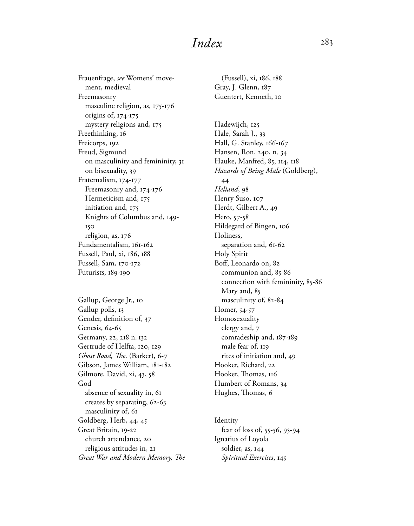Frauenfrage, *see* Womens' move ment, medieval Freemasonry masculine religion, as, 175-176 origins of,  $174-175$ mystery religions and, 175 Freethinking, 16 Freicorps, 192 Freud, Sigmund on masculinity and femininity, 3 on bisexuality, 39 Fraternalism, 174-177 Freemasonry and, 174-176 Hermeticism and, 175 initiation and, 175 Knights of Columbus and, 149-150 religion, as, 176 Fundamentalism, 161-162 Fussell, Paul, xi, 186, 188 Fussell, Sam, 170-172 Futurists, 189-190

Gallup, George Jr., 10 Gallup polls, 13 Gender, definition of, 37 Genesis, 64-65 Germany, 22, 218 n. 132 Gertrude of Helfta, 120, 129 *Ghost Road, The*. (Barker), 6-7 Gibson, James William, 181-182 Gilmore, David, xi, 43, 58 God absence of sexuality in, 6 creates by separating, 62-63 masculinity of, 6 Goldberg, Herb, 44, 45 Great Britain, 19-22 church attendance, 20 religious attitudes in, 2 *Great War and Modern Memory, The*

(Fussell), xi, 186, 188 Gray, J. Glenn, 187 Guentert, Kenneth, 10

Hadewijch, 125 Hale, Sarah J., 33 Hall, G. Stanley, 166-167 Hansen, Ron, 240, n. 34 Hauke, Manfred, 85, 114, 118 *Hazards of Being Male* (Goldberg), 44 *Heliand*, 98 Henry Suso, 107 Herdt, Gilbert A., 49 Hero, 57-58 Hildegard of Bingen, 106 Holiness, separation and, 61-62 Holy Spirit Boff, Leonardo on, 82 communion and, 85-86 connection with femininity, 85-86 Mary and, 85 masculinity of, 82-84 Homer, 54-57 Homosexuality clergy and, 7 comradeship and, 187-189 male fear of, 119 rites of initiation and, 49 Hooker, Richard, 22 Hooker, Thomas, 116 Humbert of Romans, 34 Hughes, Thomas, 6

**Identity**  fear of loss of, 55-56, 93-94 Ignatius of Loyola soldier, as, 144 *Spiritual Exercises*, 145

283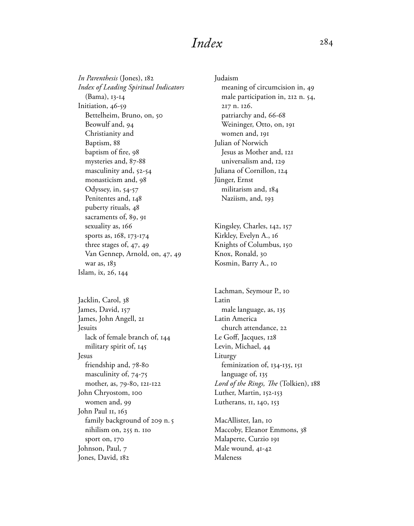*In Parenthesis* (Jones), 182 *Index of Leading Spiritual Indicators* (Bama), 13-14 Initiation, 46-59 Bettelheim, Bruno, on, 50 Beowulf and, 94 Christianity and Baptism, 88 baptism of fire, 98 mysteries and, 87-88 masculinity and, 52-54 monasticism and, 98 Odyssey, in, 54-57 Penitentes and, 148 puberty rituals, 48 sacraments of, 89, 9 sexuality as, 166 sports as, 168, 173-174 three stages of, 47, 49 Van Gennep, Arnold, on, 47, 49 war as, 183 Islam, ix, 26, 44

Jacklin, Carol, 38 James, David, 157 James, John Angell, 2 Jesuits lack of female branch of, 144 military spirit of, 145 Jesus friendship and, 78-80 masculinity of, 74-75 mother, as, 79-80, 121-122 John Chryostom, 100 women and, 99 John Paul II, 163 family background of 209 n. 5 nihilism on, 255 n. IIO sport on, 170 Johnson, Paul, 7 Jones, David, 182

Judaism meaning of circumcision in, 49 male participation in, 212 n. 54, 217 n. 126. patriarchy and, 66-68 Weininger, Otto, on, 191 women and, 191 Julian of Norwich Jesus as Mother and, 121 universalism and, 129 Juliana of Cornillon, 124 Jünger, Ernst militarism and, 184 Naziism, and, 193

Kingsley, Charles, 142, 157 Kirkley, Evelyn A., 16 Knights of Columbus, 150 Knox, Ronald, 30 Kosmin, Barry A., 10

Lachman, Seymour P., 10 Latin male language, as, 135 Latin America church attendance, 22 Le Goff, Jacques, 128 Levin, Michael, 44 Liturgy feminization of, 134-135, 151 language of, 135 Lord of the Rings, The (Tolkien), 188 Luther, Martin, 152-153 Lutherans, II, 140, 153

MacAllister, Ian, 10 Maccoby, Eleanor Emmons, 38 Malaperte, Curzio 191 Male wound, 41-42 Maleness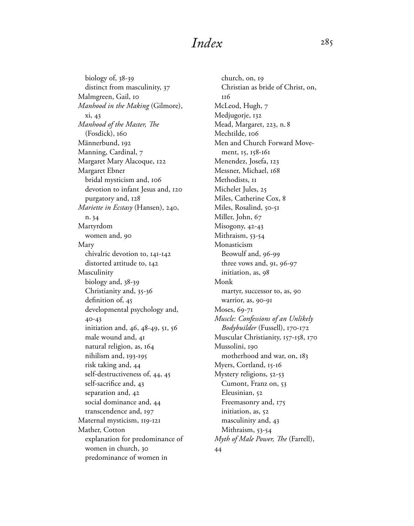biology of, 38-39 distinct from masculinity, 37 Malmgreen, Gail, 10 *Manhood in the Making* (Gilmore), xi, 43 *Manhood of the Master, The*  $(Fosdick)$ , 160 Männerbund, 192 Manning, Cardinal, 7 Margaret Mary Alacoque, 122 Margaret Ebner bridal mysticism and, 106 devotion to infant Jesus and, 120 purgatory and, 128 *Mariette in Ecstasy* (Hansen), 240, n. 34 Martyrdom women and, 90 Mary chivalric devotion to, 141-142 distorted attitude to, 142 Masculinity biology and, 38-39 Christianity and, 35-36 definition of, 45 developmental psychology and, 40-43 initiation and,  $46, 48-49, 51, 56$  male wound and, 4 natural religion, as, 164 nihilism and,  $193-195$  risk taking and, 44 self-destructiveness of, 44, 45 self-sacrifice and, 43 separation and, 42 social dominance and, 44 transcendence and, 197 Maternal mysticism, 119-121 Mather, Cotton explanation for predominance of women in church, 30 predominance of women in

church, on, 19 Christian as bride of Christ, on, 6 McLeod, Hugh, 7 Medjugorje, 132 Mead, Margaret, 223, n. 8 Mechtilde, 106 Men and Church Forward Move ment, 15, 158-161 Menendez, Josefa, 123 Messner, Michael, 168 Methodists, II Michelet Jules, 25 Miles, Catherine Cox, 8 Miles, Rosalind, 50-51 Miller, John, 67 Misogony, 42-43 Mithraism, 53-54 Monasticism Beowulf and, 96-99 three vows and, 91, 96-97 initiation, as, 98 Monk martyr, successor to, as, 90 warrior, as, 90-9 Moses, 69-7 *Muscle: Confessions of an Unlikely Bodybuilder* (Fussell), 170-172 Muscular Christianity, 157-158, 170 Mussolini, 190 motherhood and war, on, 183 Myers, Cortland, 15-16 Mystery religions, 52-53 Cumont, Franz on, 53 Eleusinian, 52 Freemasonry and, 175 initiation, as, 52 masculinity and, 43 Mithraism, 53-54 *Myth of Male Power, The* (Farrell), 44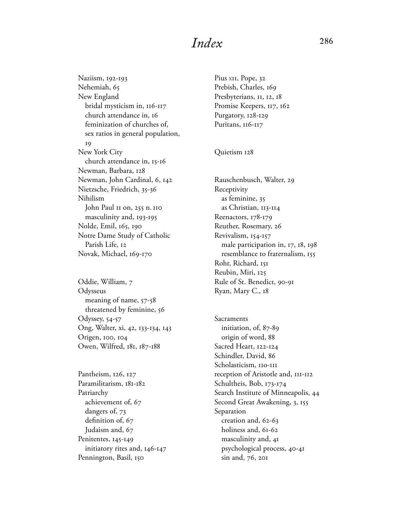Naziism, 192-193 Nehemiah, 65 New England bridal mysticism in, 116-117 church attendance in, 16 feminization of churches of, sex ratios in general population, 19 New York City church attendance in, 15-16 Newman, Barbara, 128 Newman, John Cardinal, 6, 42 Nietzsche, Friedrich, 35-36 Nihilism John Paul II on, 255 n. 110 masculinity and, 193-195 Nolde, Emil, 165, 190 Notre Dame Study of Catholic Parish Life, 12 Novak, Michael, 169-170

Oddie, William, 7 Odysseus meaning of name, 57-58 threatened by feminine, 56 Odyssey, 54-57 Ong, Walter, xi, 42, 133-134, 143 Origen, 100, 104 Owen, Wilfred, 181, 187-188

Pantheism, 126, 127 Paramilitarism, 181-182 Patriarchy achievement of, 67 dangers of, 73 definition of, 67 Judaism and, 67 Penitentes, 145-149 initiatory rites and, 146-147 Pennington, Basil, 150

Pius XII, Pope, 32 Prebish, Charles, 169 Presbyterians, II, I2, 18 Promise Keepers, 117, 162 Purgatory, 128-129 Puritans, 116-117

#### Quietism 128

Rauschenbusch, Walter, 29 Receptivity as feminine, 35 as Christian, 113-114 Reenactors, 178-179 Reuther, Rosemary, 26 Revivalism, 154-157 male participation in,  $17, 18, 198$ resemblance to fraternalism, 155 Rohr, Richard, 151 Reubin, Miri, 125 Rule of St. Benedict, 90-9 Ryan, Mary C., 18

Sacraments initiation, of, 87-89 origin of word, 88 Sacred Heart, 122-124 Schindler, David, 86 Scholasticism, 110-111 reception of Aristotle and, III-II2 Schultheis, Bob, 173-174 Search Institute of Minneapolis, 44 Second Great Awakening, 3, 155 Separation creation and, 62-63 holiness and,  $6I-62$  masculinity and, 4 psychological process, 40-4 sin and, 76, 201

### 286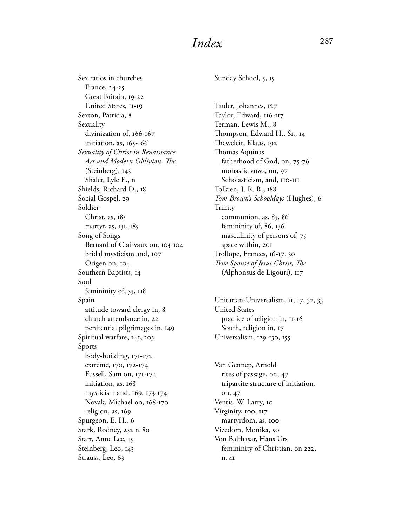Sex ratios in churches France, 24-25 Great Britain, 19-22 United States, II-19 Sexton, Patricia, 8 Sexuality divinization of,  $166-167$ initiation, as,  $165 - 166$ *Sexuality of Christ in Renaissance Art and Modern Oblivion, The*  $(Steinberg)$ , 143 Shaler, Lyle E., n Shields, Richard D., 18 Social Gospel, 29 Soldier Christ, as,  $185$ martyr, as, 131, 185 Song of Songs Bernard of Clairvaux on, 103-104 bridal mysticism and, 107 Origen on, 104 Southern Baptists, 14 Soul femininity of, 35, 118 Spain attitude toward clergy in, 8 church attendance in, 22 penitential pilgrimages in, 149 Spiritual warfare, 145, 203 Sports  $body$ -building,  $17I$ - $172$ extreme, 170, 172-174 Fussell, Sam on, 171-172 initiation, as, 168 mysticism and, 169, 173-174 Novak, Michael on, 168-170 religion, as, 169 Spurgeon, E. H., 6 Stark, Rodney, 232 n. 8o Starr, Anne Lee, 15 Steinberg, Leo, 143 Strauss, Leo, 63

Sunday School, 5, 15

Tauler, Johannes, 127 Taylor, Edward, 116-117 Terman, Lewis M., 8 Thompson, Edward H., Sr., 14 Theweleit, Klaus, 192 Thomas Aquinas fatherhood of God, on, 75-76 monastic vows, on, 97 Scholasticism, and, 110-111 Tolkien, J. R. R., 188 *Tom Brown's Schooldays* (Hughes), 6 Trinity communion, as, 85, 86 femininity of, 86, 136 masculinity of persons of, 75 space within, 20 Trollope, Frances, 16-17, 30 *True Spouse of Jesus Christ, The*  $(A$ lphonsus de Ligouri),  $117$ 

Unitarian-Universalism, II, 17, 32, 33 United States practice of religion in, II-16 South, religion in, 17 Universalism, 129-130, 155

Van Gennep, Arnold rites of passage, on, 47 tripartite structure of initiation, on, 47 Ventis, W. Larry, 10 Virginity, 100, 117 martyrdom, as, 100 Vizedom, Monika, 50 Von Balthasar, Hans Urs femininity of Christian, on 222, n. 4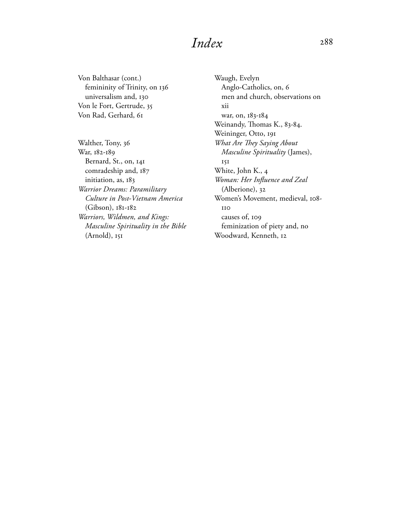Von Balthasar (cont.) femininity of Trinity, on 136 universalism and, 130 Von le Fort, Gertrude, 35 Von Rad, Gerhard, 6

Walther, Tony, 36 War, 182-189 Bernard, St., on, 141 comradeship and, 187 initiation, as, 183 *Warrior Dreams: Paramilitary Culture in Post-Vietnam America*  (Gibson), 181-182 *Warriors, Wildmen, and Kings: Masculine Spirituality in the Bible*   $(Arhold),$  151

Waugh, Evelyn Anglo-Catholics, on, 6 men and church, observations on xii war, on, 183-184 Weinandy, Thomas K., 83-84. Weininger, Otto, 191 *What Are They Saying About Masculine Spirituality* (James), 151 White, John K., 4 *Woman: Her Influence and Zeal* (Alberione), 32 Women's Movement, medieval, 108- $_{\rm IIO}$ causes of, 109 feminization of piety and, no Woodward, Kenneth, 12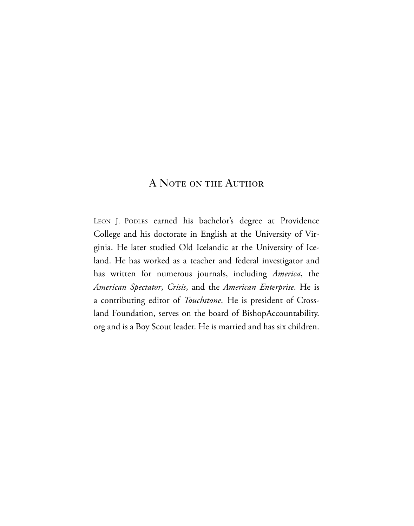### A Note on the Author

LEON J. PODLES earned his bachelor's degree at Providence College and his doctorate in English at the University of Virginia. He later studied Old Icelandic at the University of Iceland. He has worked as a teacher and federal investigator and has written for numerous journals, including *America*, the *American Spectator*, *Crisis*, and the *American Enterprise*. He is a contributing editor of *Touchstone*. He is president of Crossland Foundation, serves on the board of BishopAccountability. org and is a Boy Scout leader. He is married and has six children.